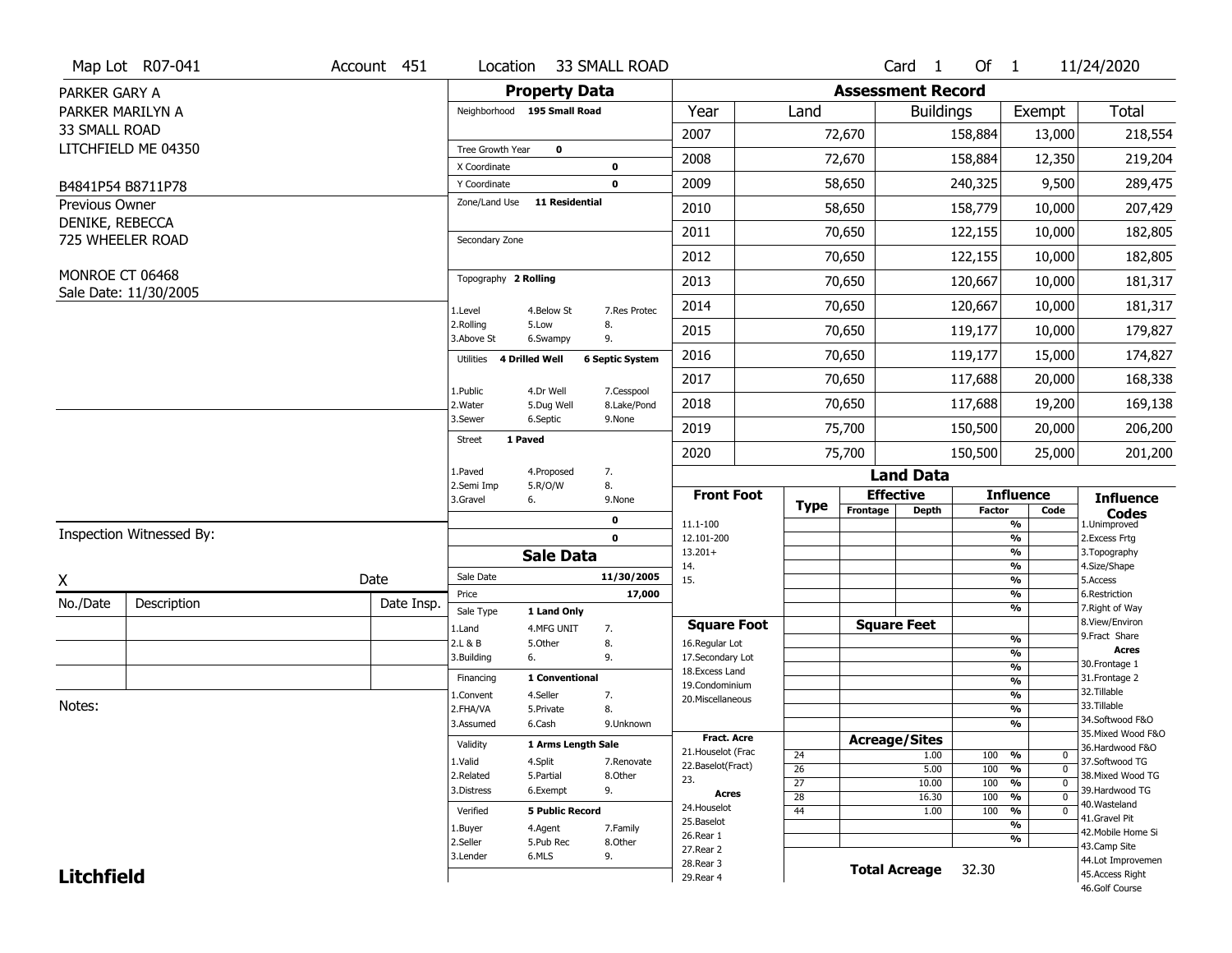|                   | Map Lot R07-041          | Account 451 | Location                     |                           | 33 SMALL ROAD            |                                         |                                    |                          | Card <sub>1</sub> | Of $1$        |                                               | 11/24/2020                            |
|-------------------|--------------------------|-------------|------------------------------|---------------------------|--------------------------|-----------------------------------------|------------------------------------|--------------------------|-------------------|---------------|-----------------------------------------------|---------------------------------------|
| PARKER GARY A     |                          |             |                              | <b>Property Data</b>      |                          |                                         |                                    | <b>Assessment Record</b> |                   |               |                                               |                                       |
| PARKER MARILYN A  |                          |             | Neighborhood 195 Small Road  |                           |                          | Year                                    | Land                               |                          | <b>Buildings</b>  |               | Exempt                                        | Total                                 |
| 33 SMALL ROAD     |                          |             |                              |                           |                          | 2007                                    |                                    | 72,670                   |                   | 158,884       | 13,000                                        | 218,554                               |
|                   | LITCHFIELD ME 04350      |             | Tree Growth Year             | $\mathbf 0$               |                          | 2008                                    |                                    | 72,670                   |                   | 158,884       | 12,350                                        | 219,204                               |
|                   |                          |             | X Coordinate<br>Y Coordinate |                           | $\pmb{0}$<br>$\mathbf 0$ | 2009                                    |                                    | 58,650                   |                   | 240,325       | 9,500                                         | 289,475                               |
| Previous Owner    | B4841P54 B8711P78        |             | Zone/Land Use                | <b>11 Residential</b>     |                          |                                         |                                    |                          |                   |               |                                               |                                       |
| DENIKE, REBECCA   |                          |             |                              |                           |                          | 2010                                    |                                    | 58,650                   |                   | 158,779       | 10,000                                        | 207,429                               |
|                   | 725 WHEELER ROAD         |             | Secondary Zone               |                           |                          | 2011                                    |                                    | 70,650                   |                   | 122,155       | 10,000                                        | 182,805                               |
|                   |                          |             |                              |                           |                          | 2012                                    |                                    | 70,650                   |                   | 122,155       | 10,000                                        | 182,805                               |
| MONROE CT 06468   | Sale Date: 11/30/2005    |             | Topography 2 Rolling         |                           |                          | 2013                                    |                                    | 70,650                   |                   | 120,667       | 10,000                                        | 181,317                               |
|                   |                          |             | 1.Level                      | 4.Below St                | 7.Res Protec             | 2014                                    |                                    | 70,650                   |                   | 120,667       | 10,000                                        | 181,317                               |
|                   |                          |             | 2.Rolling<br>3.Above St      | 5.Low<br>6.Swampy         | 8.<br>9.                 | 2015                                    |                                    | 70,650                   |                   | 119,177       | 10,000                                        | 179,827                               |
|                   |                          |             | 4 Drilled Well<br>Utilities  |                           | <b>6 Septic System</b>   | 2016                                    |                                    | 70,650                   |                   | 119,177       | 15,000                                        | 174,827                               |
|                   |                          |             | 1.Public                     | 4.Dr Well                 | 7.Cesspool               | 2017                                    |                                    | 70,650                   |                   | 117,688       | 20,000                                        | 168,338                               |
|                   |                          |             | 2. Water                     | 5.Dug Well                | 8.Lake/Pond              | 2018                                    |                                    | 70,650                   |                   | 117,688       | 19,200                                        | 169,138                               |
|                   |                          |             | 3.Sewer                      | 6.Septic                  | 9.None                   | 2019                                    |                                    | 75,700                   |                   | 150,500       | 20,000                                        | 206,200                               |
|                   |                          |             | 1 Paved<br><b>Street</b>     |                           |                          | 2020                                    |                                    | 75,700                   |                   | 150,500       | 25,000                                        | 201,200                               |
|                   |                          |             | 1.Paved                      | 4.Proposed                | 7.                       |                                         |                                    |                          | <b>Land Data</b>  |               |                                               |                                       |
|                   |                          |             | 2.Semi Imp<br>3.Gravel<br>6. | 5.R/O/W                   | 8.<br>9.None             | <b>Front Foot</b>                       |                                    | <b>Effective</b>         |                   |               | <b>Influence</b>                              | <b>Influence</b>                      |
|                   |                          |             |                              |                           | $\mathbf 0$              | 11.1-100                                | <b>Type</b>                        | Frontage                 | <b>Depth</b>      | <b>Factor</b> | Code<br>%                                     | <b>Codes</b><br>1.Unimproved          |
|                   | Inspection Witnessed By: |             |                              |                           | $\mathbf 0$              | 12.101-200                              |                                    |                          |                   |               | %                                             | 2.Excess Frtg                         |
|                   |                          |             |                              | <b>Sale Data</b>          |                          | $13.201+$<br>14.                        |                                    |                          |                   |               | %<br>%                                        | 3. Topography<br>4.Size/Shape         |
| X                 |                          | Date        | Sale Date                    |                           | 11/30/2005               | 15.                                     |                                    |                          |                   |               | %                                             | 5.Access                              |
| No./Date          | Description              | Date Insp.  | Price                        |                           | 17,000                   |                                         |                                    |                          |                   |               | %<br>%                                        | 6.Restriction<br>7. Right of Way      |
|                   |                          |             | Sale Type<br>1.Land          | 1 Land Only<br>4.MFG UNIT | 7.                       | <b>Square Foot</b>                      |                                    | <b>Square Feet</b>       |                   |               |                                               | 8.View/Environ                        |
|                   |                          |             | 2.L & B                      | 5.Other                   | 8.                       | 16.Regular Lot                          |                                    |                          |                   |               | $\frac{9}{6}$                                 | 9. Fract Share                        |
|                   |                          |             | 3.Building<br>6.             |                           | 9.                       | 17.Secondary Lot                        |                                    |                          |                   |               | $\frac{9}{6}$<br>$\frac{9}{6}$                | <b>Acres</b><br>30.Frontage 1         |
|                   |                          |             | Financing                    | 1 Conventional            |                          | 18.Excess Land<br>19.Condominium        |                                    |                          |                   |               | $\frac{9}{6}$                                 | 31. Frontage 2                        |
|                   |                          |             | 1.Convent                    | 4.Seller                  | 7.                       | 20.Miscellaneous                        |                                    |                          |                   |               | $\frac{9}{6}$                                 | 32. Tillable                          |
| Notes:            |                          |             | 2.FHA/VA                     | 5.Private                 | 8.                       |                                         |                                    |                          |                   |               | $\frac{9}{6}$                                 | 33.Tillable                           |
|                   |                          |             | 3.Assumed                    | 6.Cash                    | 9.Unknown                |                                         |                                    |                          |                   |               | $\frac{9}{6}$                                 | 34.Softwood F&O                       |
|                   |                          |             | Validity                     | 1 Arms Length Sale        |                          | <b>Fract. Acre</b>                      |                                    | <b>Acreage/Sites</b>     |                   |               |                                               | 35. Mixed Wood F&O<br>36.Hardwood F&O |
|                   |                          |             | 1.Valid                      | 4.Split                   | 7.Renovate               | 21. Houselot (Frac<br>22.Baselot(Fract) | 24                                 |                          | 1.00              | 100           | %<br>$\mathbf 0$                              | 37.Softwood TG                        |
|                   |                          |             | 2.Related                    | 5.Partial                 | 8.Other                  | 23.                                     | 26                                 |                          | 5.00              | 100           | %<br>$\mathbf 0$<br>$\mathbf{0}$              | 38. Mixed Wood TG                     |
|                   |                          |             | 3.Distress                   | 6.Exempt                  | 9.                       | <b>Acres</b>                            | $\overline{27}$<br>$\overline{28}$ |                          | 10.00<br>16.30    | 100<br>100    | $\frac{9}{6}$<br>$\frac{9}{6}$<br>$\mathbf 0$ | 39.Hardwood TG                        |
|                   |                          |             | Verified                     | <b>5 Public Record</b>    |                          | 24. Houselot                            | 44                                 |                          | 1.00              | 100           | %<br>0                                        | 40.Wasteland                          |
|                   |                          |             | 1.Buyer                      | 4.Agent                   | 7.Family                 | 25.Baselot                              |                                    |                          |                   |               | %                                             | 41.Gravel Pit                         |
|                   |                          |             | 2.Seller                     | 5.Pub Rec                 | 8.Other                  | 26.Rear 1                               |                                    |                          |                   |               | %                                             | 42. Mobile Home Si                    |
|                   |                          |             |                              |                           |                          |                                         |                                    |                          |                   |               |                                               | 43.Camp Site                          |
|                   |                          |             | 3.Lender                     | 6.MLS                     | 9.                       | 27. Rear 2                              |                                    |                          |                   |               |                                               |                                       |
| <b>Litchfield</b> |                          |             |                              |                           |                          | 28. Rear 3<br>29. Rear 4                |                                    | <b>Total Acreage</b>     |                   | 32.30         |                                               | 44.Lot Improvemen<br>45.Access Right  |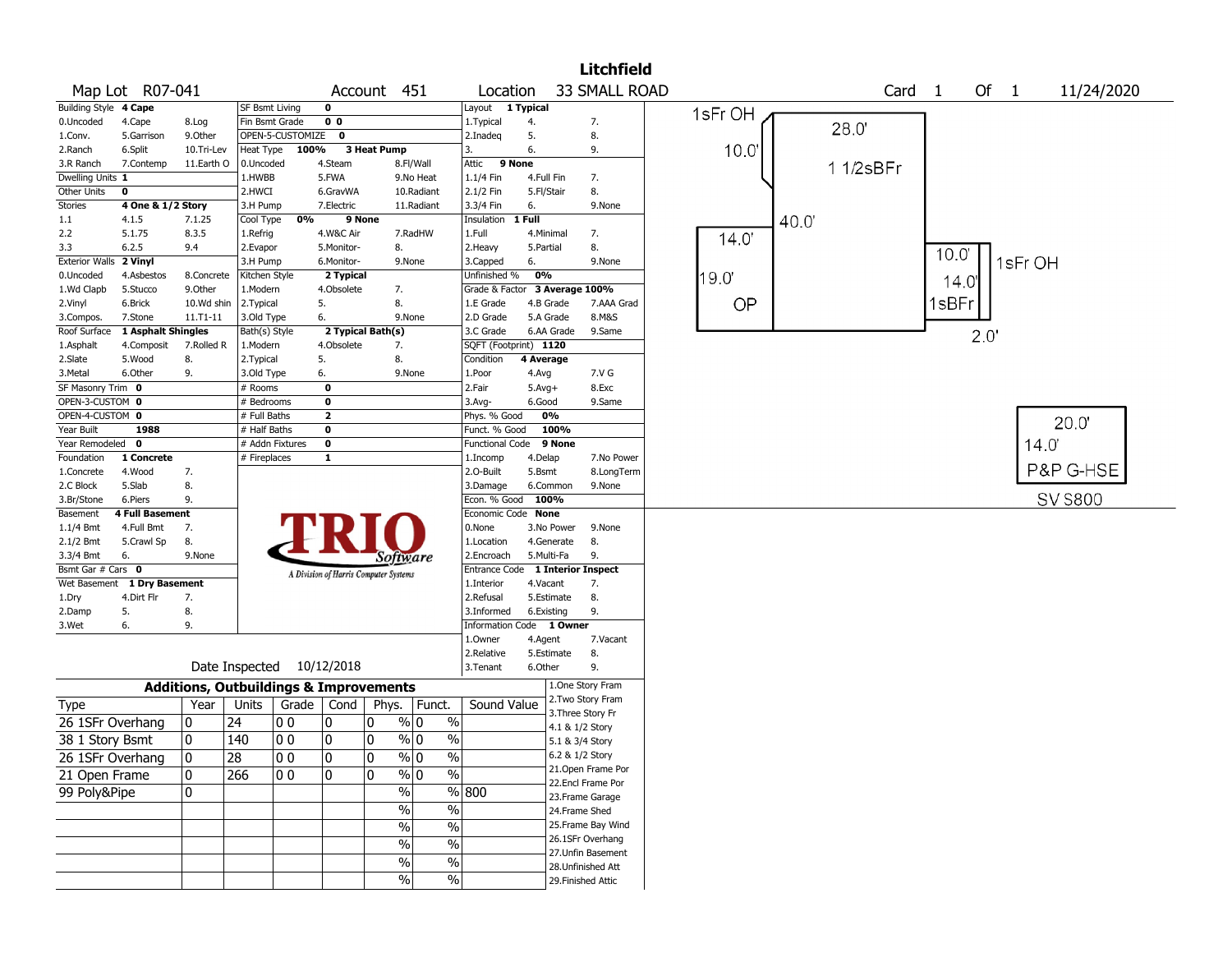|                       |                    |                                                   |                 |                  |                |                                       |                          |                         |                       |                 | <b>Litchfield</b>                     |         |      |           |                   |       |      |         |                 |  |
|-----------------------|--------------------|---------------------------------------------------|-----------------|------------------|----------------|---------------------------------------|--------------------------|-------------------------|-----------------------|-----------------|---------------------------------------|---------|------|-----------|-------------------|-------|------|---------|-----------------|--|
|                       | Map Lot R07-041    |                                                   |                 |                  |                | Account 451                           |                          | Location                |                       |                 | 33 SMALL ROAD                         |         |      |           | Card <sub>1</sub> |       | Of 1 |         | 11/24/2020      |  |
| <b>Building Style</b> | 4 Cape             |                                                   | SF Bsmt Living  |                  | 0              |                                       |                          | Layout                  | 1 Typical             |                 |                                       | 1sFr OH |      |           |                   |       |      |         |                 |  |
| 0.Uncoded             | 4.Cape             | 8.Log                                             | Fin Bsmt Grade  |                  | 0 <sub>0</sub> |                                       |                          | 1. Typical              | 4.                    |                 | 7.                                    |         |      | 28.0      |                   |       |      |         |                 |  |
| 1.Conv.               | 5.Garrison         | 9.0ther                                           |                 | OPEN-5-CUSTOMIZE | $\mathbf 0$    |                                       |                          | 2.Inadeq                | 5.                    |                 | 8.                                    |         |      |           |                   |       |      |         |                 |  |
| 2.Ranch               | 6.Split            | 10.Tri-Lev                                        | Heat Type       | 100%             |                | 3 Heat Pump                           |                          | 3.                      | 6.                    |                 | 9.                                    | 10.0    |      |           |                   |       |      |         |                 |  |
| 3.R Ranch             | 7.Contemp          | 11.Earth O                                        | 0.Uncoded       |                  | 4.Steam        |                                       | 8.Fl/Wall                | Attic                   | 9 None                |                 |                                       |         |      | 1 1/2sBFr |                   |       |      |         |                 |  |
| Dwelling Units 1      |                    |                                                   | 1.HWBB          |                  | 5.FWA          |                                       | 9.No Heat                | 1.1/4 Fin               | 4.Full Fin            |                 | 7.                                    |         |      |           |                   |       |      |         |                 |  |
| Other Units           | 0                  |                                                   | 2.HWCI          |                  | 6.GravWA       |                                       | 10.Radiant               | 2.1/2 Fin               | 5.Fl/Stair            |                 | 8.                                    |         |      |           |                   |       |      |         |                 |  |
| Stories               | 4 One & 1/2 Story  |                                                   | 3.H Pump        |                  | 7.Electric     |                                       | 11.Radiant               | 3.3/4 Fin               | 6.                    |                 | 9.None                                |         |      |           |                   |       |      |         |                 |  |
| 1.1                   | 4.1.5              | 7.1.25                                            | Cool Type       | 0%               | 9 None         |                                       |                          | Insulation              | 1 Full                |                 |                                       |         | 40.0 |           |                   |       |      |         |                 |  |
| 2.2                   | 5.1.75             | 8.3.5                                             | 1.Refrig        |                  | 4.W&C Air      |                                       | 7.RadHW                  | 1.Full                  | 4.Minimal             |                 | 7.                                    | 14.0    |      |           |                   |       |      |         |                 |  |
| 3.3                   | 6.2.5              | 9.4                                               | 2.Evapor        |                  | 5.Monitor-     | 8.                                    |                          | 2. Heavy                | 5.Partial             |                 | 8.                                    |         |      |           |                   | 10.0  |      |         |                 |  |
| <b>Exterior Walls</b> | 2 Vinyl            |                                                   | 3.H Pump        |                  | 6.Monitor-     | 9.None                                |                          | 3.Capped                | 6.                    |                 | 9.None                                |         |      |           |                   |       |      | 1sFr OH |                 |  |
| 0.Uncoded             | 4.Asbestos         | 8.Concrete                                        | Kitchen Style   |                  | 2 Typical      |                                       |                          | Unfinished %            | 0%                    |                 |                                       | 19.0    |      |           |                   | 14.0' |      |         |                 |  |
| 1.Wd Clapb            | 5.Stucco           | 9.0ther                                           | 1.Modern        |                  | 4.Obsolete     | 7.                                    |                          | Grade & Factor          |                       | 3 Average 100%  |                                       |         |      |           |                   |       |      |         |                 |  |
| 2.Vinyl               | 6.Brick            | 10.Wd shin                                        | 2.Typical       |                  | 5.             | 8.                                    |                          | 1.E Grade               | 4.B Grade             |                 | 7.AAA Grad                            | OP      |      |           |                   | 1sBFr |      |         |                 |  |
| 3.Compos.             | 7.Stone            | 11.T1-11                                          | 3.Old Type      |                  | 6.             | 9.None                                |                          | 2.D Grade               | 5.A Grade             |                 | 8.M&S                                 |         |      |           |                   |       |      |         |                 |  |
| Roof Surface          | 1 Asphalt Shingles |                                                   | Bath(s) Style   |                  |                | 2 Typical Bath(s)                     |                          | 3.C Grade               |                       | 6.AA Grade      | 9.Same                                |         |      |           |                   |       | 2.0  |         |                 |  |
| 1.Asphalt             | 4.Composit         | 7.Rolled R                                        | 1.Modern        |                  | 4.Obsolete     | 7.                                    |                          | SQFT (Footprint) 1120   |                       |                 |                                       |         |      |           |                   |       |      |         |                 |  |
| 2.Slate               | 5.Wood             | 8.                                                | 2. Typical      |                  | 5.             | 8.                                    |                          | Condition               | 4 Average             |                 |                                       |         |      |           |                   |       |      |         |                 |  |
| 3.Metal               | 6.Other            | 9.                                                | 3.Old Type      |                  | 6.             | 9.None                                |                          | 1.Poor                  | 4.Avg                 |                 | 7.V G                                 |         |      |           |                   |       |      |         |                 |  |
| SF Masonry Trim 0     |                    |                                                   | # Rooms         |                  | 0              |                                       |                          | 2.Fair                  | $5.Avg+$              |                 | 8.Exc                                 |         |      |           |                   |       |      |         |                 |  |
| OPEN-3-CUSTOM 0       |                    |                                                   | # Bedrooms      |                  | 0              |                                       |                          | 3.Avg-                  | 6.Good                |                 | 9.Same                                |         |      |           |                   |       |      |         |                 |  |
| OPEN-4-CUSTOM 0       |                    |                                                   | # Full Baths    |                  | $\overline{2}$ |                                       |                          | Phys. % Good            |                       | 0%              |                                       |         |      |           |                   |       |      |         | 20.0"           |  |
| Year Built            | 1988               |                                                   | # Half Baths    |                  | $\bf o$        |                                       |                          | Funct. % Good           |                       | 100%            |                                       |         |      |           |                   |       |      |         |                 |  |
| Year Remodeled        | 0                  |                                                   | # Addn Fixtures |                  | $\mathbf 0$    |                                       |                          | Functional Code         |                       | 9 None          |                                       |         |      |           |                   |       |      | 14.0    |                 |  |
| Foundation            | 1 Concrete         |                                                   | # Fireplaces    |                  | 1              |                                       |                          | 1.Incomp                | 4.Delap               |                 | 7.No Power                            |         |      |           |                   |       |      |         |                 |  |
| 1.Concrete            | 4.Wood             | 7.                                                |                 |                  |                |                                       |                          | 2.0-Built               | 5.Bsmt                |                 | 8.LongTerm                            |         |      |           |                   |       |      |         | P&P G-HSE       |  |
| 2.C Block             | 5.Slab             | 8.                                                |                 |                  |                |                                       |                          | 3.Damage                | 6.Common              |                 | 9.None                                |         |      |           |                   |       |      |         |                 |  |
| 3.Br/Stone            | 6.Piers            | 9.                                                |                 |                  |                |                                       |                          | Econ. % Good            | 100%                  |                 |                                       |         |      |           |                   |       |      |         | <b>SV \$800</b> |  |
| Basement              | 4 Full Basement    |                                                   |                 |                  |                |                                       |                          | Economic Code None      |                       |                 |                                       |         |      |           |                   |       |      |         |                 |  |
| 1.1/4 Bmt             | 4.Full Bmt         | 7.                                                |                 |                  |                |                                       |                          | 0.None                  |                       | 3.No Power      | 9.None                                |         |      |           |                   |       |      |         |                 |  |
| 2.1/2 Bmt             | 5.Crawl Sp         | 8.                                                |                 |                  |                |                                       |                          | 1.Location              |                       | 4.Generate      | 8.                                    |         |      |           |                   |       |      |         |                 |  |
| 3.3/4 Bmt             | 6.                 | 9.None                                            |                 |                  |                | Software                              |                          | 2.Encroach              | 5.Multi-Fa            |                 | 9.                                    |         |      |           |                   |       |      |         |                 |  |
| Bsmt Gar # Cars 0     |                    |                                                   |                 |                  |                | A Division of Harris Computer Systems |                          | <b>Entrance Code</b>    |                       |                 | <b>1 Interior Inspect</b>             |         |      |           |                   |       |      |         |                 |  |
| Wet Basement          | 1 Dry Basement     |                                                   |                 |                  |                |                                       |                          | 1.Interior              | 4.Vacant              |                 | 7.                                    |         |      |           |                   |       |      |         |                 |  |
| 1.Dry                 | 4.Dirt Flr         | 7.                                                |                 |                  |                |                                       |                          | 2.Refusal               | 5.Estimate            |                 | 8.                                    |         |      |           |                   |       |      |         |                 |  |
| 2.Damp                | 5.                 | 8.                                                |                 |                  |                |                                       |                          | 3.Informed              | 6.Existing            |                 | 9.                                    |         |      |           |                   |       |      |         |                 |  |
| 3.Wet                 | 6.                 | 9.                                                |                 |                  |                |                                       |                          | <b>Information Code</b> |                       | 1 Owner         |                                       |         |      |           |                   |       |      |         |                 |  |
|                       |                    |                                                   |                 |                  |                |                                       |                          | 1.0wner                 | 4.Agent               |                 | 7.Vacant                              |         |      |           |                   |       |      |         |                 |  |
|                       |                    |                                                   | Date Inspected  |                  | 10/12/2018     |                                       |                          | 2.Relative              | 5.Estimate<br>6.Other |                 | 8.<br>9.                              |         |      |           |                   |       |      |         |                 |  |
|                       |                    |                                                   |                 |                  |                |                                       |                          | 3.Tenant                |                       |                 |                                       |         |      |           |                   |       |      |         |                 |  |
|                       |                    | <b>Additions, Outbuildings &amp; Improvements</b> |                 |                  |                |                                       |                          |                         |                       |                 | 1.One Story Fram<br>2. Two Story Fram |         |      |           |                   |       |      |         |                 |  |
| Type                  |                    | Year                                              | Units           | Grade            | Cond           | Phys.                                 | Funct.                   | Sound Value             |                       |                 | 3. Three Story Fr                     |         |      |           |                   |       |      |         |                 |  |
| 26 1SFr Overhang      |                    | 0                                                 | 24              | 00               | 10             | 0                                     | % 0<br>$\%$              |                         |                       | 4.1 & 1/2 Story |                                       |         |      |           |                   |       |      |         |                 |  |
| 38 1 Story Bsmt       |                    | 0                                                 | 140             | 00               | 0              | 0                                     | $\%$<br>% 0              |                         |                       | 5.1 & 3/4 Story |                                       |         |      |           |                   |       |      |         |                 |  |
| 26 1SFr Overhang      |                    | $\overline{0}$                                    | 28              | 00               | ۱o             | 0                                     | $\frac{9}{0}$<br>$\%$    |                         |                       | 6.2 & 1/2 Story |                                       |         |      |           |                   |       |      |         |                 |  |
|                       |                    |                                                   |                 |                  |                |                                       |                          |                         |                       |                 | 21.Open Frame Por                     |         |      |           |                   |       |      |         |                 |  |
| 21 Open Frame         |                    | 0                                                 | 266             | l 0 0            | ٥١             | 0                                     | $\%$<br>$\frac{9}{0}$ 0  |                         |                       |                 | 22.Encl Frame Por                     |         |      |           |                   |       |      |         |                 |  |
| 99 Poly&Pipe          |                    | 0                                                 |                 |                  |                | $\frac{1}{2}$                         |                          | % 800                   |                       |                 | 23. Frame Garage                      |         |      |           |                   |       |      |         |                 |  |
|                       |                    |                                                   |                 |                  |                | %                                     | $\overline{\frac{0}{6}}$ |                         |                       | 24.Frame Shed   |                                       |         |      |           |                   |       |      |         |                 |  |
|                       |                    |                                                   |                 |                  |                | $\sqrt{6}$                            | $\overline{\frac{0}{0}}$ |                         |                       |                 | 25.Frame Bay Wind                     |         |      |           |                   |       |      |         |                 |  |
|                       |                    |                                                   |                 |                  |                |                                       |                          |                         |                       |                 | 26.1SFr Overhang                      |         |      |           |                   |       |      |         |                 |  |
|                       |                    |                                                   |                 |                  |                | $\sqrt{6}$                            | $\%$                     |                         |                       |                 | 27.Unfin Basement                     |         |      |           |                   |       |      |         |                 |  |
|                       |                    |                                                   |                 |                  |                | $\%$                                  | $\%$                     |                         |                       |                 | 28.Unfinished Att                     |         |      |           |                   |       |      |         |                 |  |
|                       |                    |                                                   |                 |                  |                | $\sqrt{6}$                            | $\%$                     |                         |                       |                 | 29. Finished Attic                    |         |      |           |                   |       |      |         |                 |  |
|                       |                    |                                                   |                 |                  |                |                                       |                          |                         |                       |                 |                                       |         |      |           |                   |       |      |         |                 |  |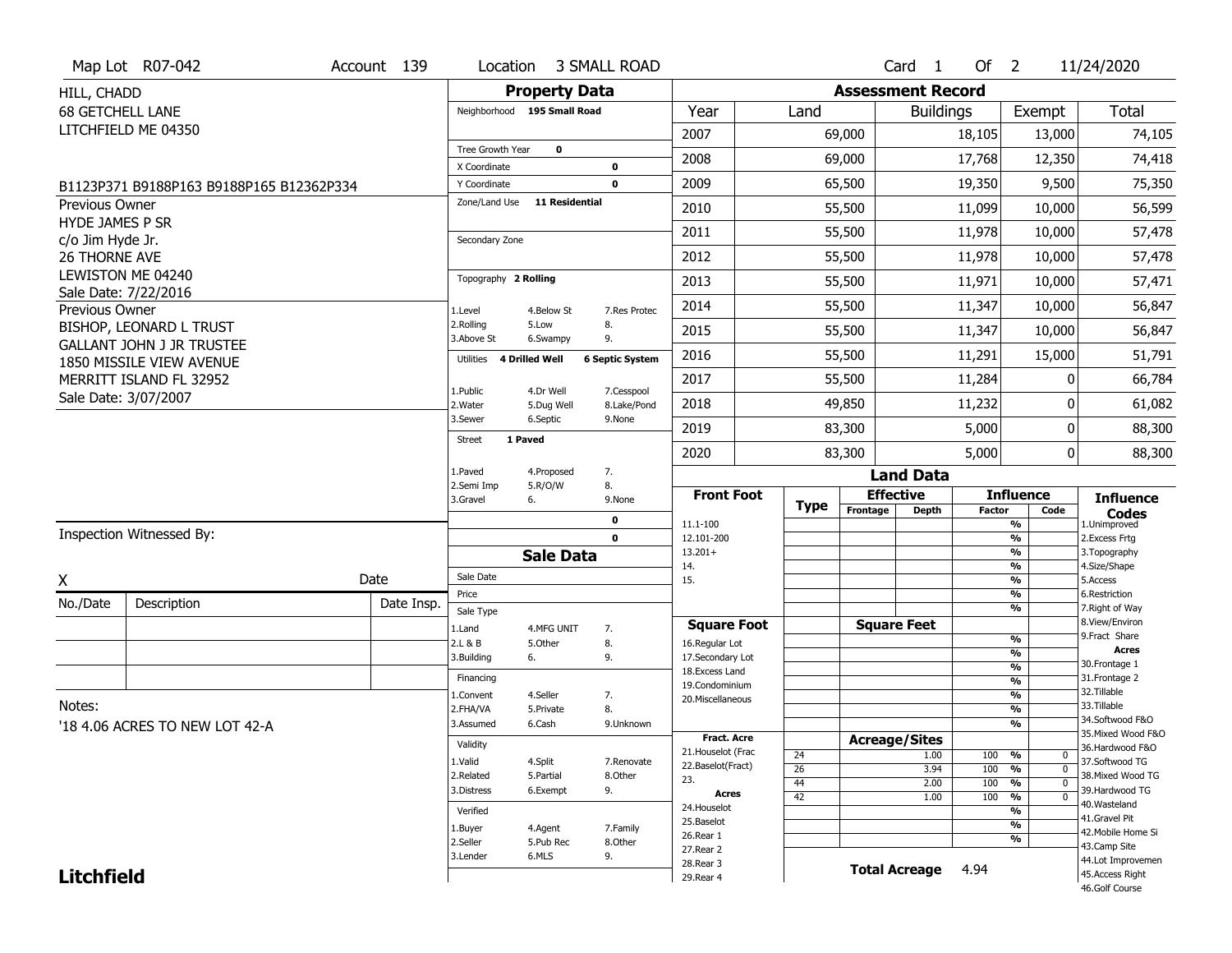|                         | Map Lot R07-042                                              | Account 139 | Location                     |                             | <b>3 SMALL ROAD</b>        |                                     |                 |                          | Card <sub>1</sub>    | Of $2$        |                                           | 11/24/2020                           |
|-------------------------|--------------------------------------------------------------|-------------|------------------------------|-----------------------------|----------------------------|-------------------------------------|-----------------|--------------------------|----------------------|---------------|-------------------------------------------|--------------------------------------|
| HILL, CHADD             |                                                              |             |                              | <b>Property Data</b>        |                            |                                     |                 | <b>Assessment Record</b> |                      |               |                                           |                                      |
| <b>68 GETCHELL LANE</b> |                                                              |             |                              | Neighborhood 195 Small Road |                            | Year                                | Land            |                          | <b>Buildings</b>     |               | Exempt                                    | Total                                |
|                         | LITCHFIELD ME 04350                                          |             |                              |                             |                            | 2007                                |                 | 69,000                   |                      | 18,105        | 13,000                                    | 74,105                               |
|                         |                                                              |             | Tree Growth Year             | $\mathbf 0$                 |                            | 2008                                |                 | 69,000                   |                      | 17,768        | 12,350                                    | 74,418                               |
|                         |                                                              |             | X Coordinate<br>Y Coordinate |                             | $\mathbf 0$<br>$\mathbf 0$ | 2009                                |                 | 65,500                   |                      | 19,350        | 9,500                                     | 75,350                               |
| Previous Owner          | B1123P371 B9188P163 B9188P165 B12362P334                     |             | Zone/Land Use                | <b>11 Residential</b>       |                            |                                     |                 |                          |                      |               |                                           |                                      |
| <b>HYDE JAMES P SR</b>  |                                                              |             |                              |                             |                            | 2010                                |                 | 55,500                   |                      | 11,099        | 10,000                                    | 56,599                               |
| c/o Jim Hyde Jr.        |                                                              |             | Secondary Zone               |                             |                            | 2011                                |                 | 55,500                   |                      | 11,978        | 10,000                                    | 57,478                               |
| <b>26 THORNE AVE</b>    |                                                              |             |                              |                             |                            | 2012                                |                 | 55,500                   |                      | 11,978        | 10,000                                    | 57,478                               |
|                         | LEWISTON ME 04240<br>Sale Date: 7/22/2016                    |             | Topography 2 Rolling         |                             |                            | 2013                                |                 | 55,500                   |                      | 11,971        | 10,000                                    | 57,471                               |
| Previous Owner          |                                                              |             | 1.Level                      | 4.Below St                  | 7.Res Protec               | 2014                                |                 | 55,500                   |                      | 11,347        | 10,000                                    | 56,847                               |
|                         | BISHOP, LEONARD L TRUST                                      |             | 2.Rolling<br>3.Above St      | 5.Low<br>6.Swampy           | 8.<br>9.                   | 2015                                |                 | 55,500                   |                      | 11,347        | 10,000                                    | 56,847                               |
|                         | <b>GALLANT JOHN J JR TRUSTEE</b><br>1850 MISSILE VIEW AVENUE |             | Utilities                    | <b>4 Drilled Well</b>       | <b>6 Septic System</b>     | 2016                                |                 | 55,500                   |                      | 11,291        | 15,000                                    | 51,791                               |
|                         | MERRITT ISLAND FL 32952                                      |             | 1.Public                     | 4.Dr Well                   | 7.Cesspool                 | 2017                                |                 | 55,500                   |                      | 11,284        | O                                         | 66,784                               |
|                         | Sale Date: 3/07/2007                                         |             | 2. Water                     | 5.Dug Well                  | 8.Lake/Pond                | 2018                                |                 | 49,850                   |                      | 11,232        | O                                         | 61,082                               |
|                         |                                                              |             | 3.Sewer                      | 6.Septic                    | 9.None                     | 2019                                |                 | 83,300                   |                      | 5,000         | 0                                         | 88,300                               |
|                         |                                                              |             | <b>Street</b>                | 1 Paved                     |                            | 2020                                |                 | 83,300                   |                      | 5,000         | 0                                         | 88,300                               |
|                         |                                                              |             | 1.Paved                      | 4.Proposed                  | 7.                         |                                     |                 |                          | <b>Land Data</b>     |               |                                           |                                      |
|                         |                                                              |             | 2.Semi Imp<br>3.Gravel       | 5.R/O/W<br>6.               | 8.<br>9.None               | <b>Front Foot</b>                   |                 |                          | <b>Effective</b>     |               | <b>Influence</b>                          | <b>Influence</b>                     |
|                         |                                                              |             |                              |                             | $\mathbf 0$                | 11.1-100                            | <b>Type</b>     | Frontage                 | <b>Depth</b>         | <b>Factor</b> | Code<br>%                                 | <b>Codes</b><br>1.Unimproved         |
|                         | Inspection Witnessed By:                                     |             |                              |                             | $\mathbf 0$                | 12.101-200                          |                 |                          |                      |               | $\frac{9}{6}$                             | 2. Excess Frtg                       |
|                         |                                                              |             |                              | <b>Sale Data</b>            |                            | $13.201+$<br>14.                    |                 |                          |                      |               | %<br>%                                    | 3. Topography<br>4.Size/Shape        |
| X                       |                                                              | Date        | Sale Date                    |                             |                            | 15.                                 |                 |                          |                      |               | %                                         | 5.Access                             |
| No./Date                | Description                                                  | Date Insp.  | Price                        |                             |                            |                                     |                 |                          |                      |               | %<br>%                                    | 6.Restriction<br>7. Right of Way     |
|                         |                                                              |             | Sale Type<br>1.Land          | 4.MFG UNIT                  | 7.                         | <b>Square Foot</b>                  |                 |                          | <b>Square Feet</b>   |               |                                           | 8.View/Environ                       |
|                         |                                                              |             | 2.L & B                      | 5.Other                     | 8.                         | 16.Regular Lot                      |                 |                          |                      |               | $\frac{9}{6}$                             | 9.Fract Share<br><b>Acres</b>        |
|                         |                                                              |             | 3.Building                   | 6.                          | 9.                         | 17.Secondary Lot<br>18. Excess Land |                 |                          |                      |               | $\frac{9}{6}$<br>$\overline{\frac{9}{6}}$ | 30.Frontage 1                        |
|                         |                                                              |             | Financing                    |                             |                            | 19.Condominium                      |                 |                          |                      |               | $\frac{9}{6}$                             | 31. Frontage 2                       |
| Notes:                  |                                                              |             | 1.Convent                    | 4.Seller                    | 7.                         | 20.Miscellaneous                    |                 |                          |                      |               | $\frac{9}{6}$                             | 32.Tillable<br>33.Tillable           |
|                         |                                                              |             | 2.FHA/VA<br>3.Assumed        | 5.Private<br>6.Cash         | 8.<br>9.Unknown            |                                     |                 |                          |                      |               | $\frac{9}{6}$<br>$\overline{\frac{9}{6}}$ | 34.Softwood F&O                      |
|                         | '18 4.06 ACRES TO NEW LOT 42-A                               |             |                              |                             |                            | <b>Fract, Acre</b>                  |                 |                          | <b>Acreage/Sites</b> |               |                                           | 35. Mixed Wood F&O                   |
|                         |                                                              |             | Validity                     |                             |                            | 21. Houselot (Frac                  | 24              |                          | 1.00                 | 100           | %<br>0                                    | 36.Hardwood F&O                      |
|                         |                                                              |             | 1.Valid<br>2.Related         | 4.Split<br>5.Partial        | 7.Renovate<br>8.Other      | 22.Baselot(Fract)                   | $\overline{26}$ |                          | 3.94                 | 100           | %<br>$\mathbf 0$                          | 37.Softwood TG<br>38. Mixed Wood TG  |
|                         |                                                              |             | 3.Distress                   | 6.Exempt                    | 9.                         | 23.                                 | 44              |                          | 2.00                 | 100           | $\frac{9}{6}$<br>$\mathbf 0$              | 39.Hardwood TG                       |
|                         |                                                              |             |                              |                             |                            | Acres<br>24. Houselot               | 42              |                          | 1.00                 | 100           | $\frac{9}{6}$<br>$\overline{0}$           | 40. Wasteland                        |
|                         |                                                              |             | Verified                     |                             |                            |                                     |                 |                          |                      |               | %                                         | 41.Gravel Pit                        |
|                         |                                                              |             |                              |                             |                            | 25.Baselot                          |                 |                          |                      |               |                                           |                                      |
|                         |                                                              |             | 1.Buyer                      | 4.Agent                     | 7.Family                   | 26.Rear 1                           |                 |                          |                      |               | $\frac{9}{6}$<br>%                        | 42. Mobile Home Si                   |
|                         |                                                              |             | 2.Seller<br>3.Lender         | 5.Pub Rec<br>6.MLS          | 8.Other                    | 27.Rear 2                           |                 |                          |                      |               |                                           | 43.Camp Site                         |
| <b>Litchfield</b>       |                                                              |             |                              |                             | 9.                         | 28. Rear 3<br>29. Rear 4            |                 |                          | <b>Total Acreage</b> | 4.94          |                                           | 44.Lot Improvemen<br>45.Access Right |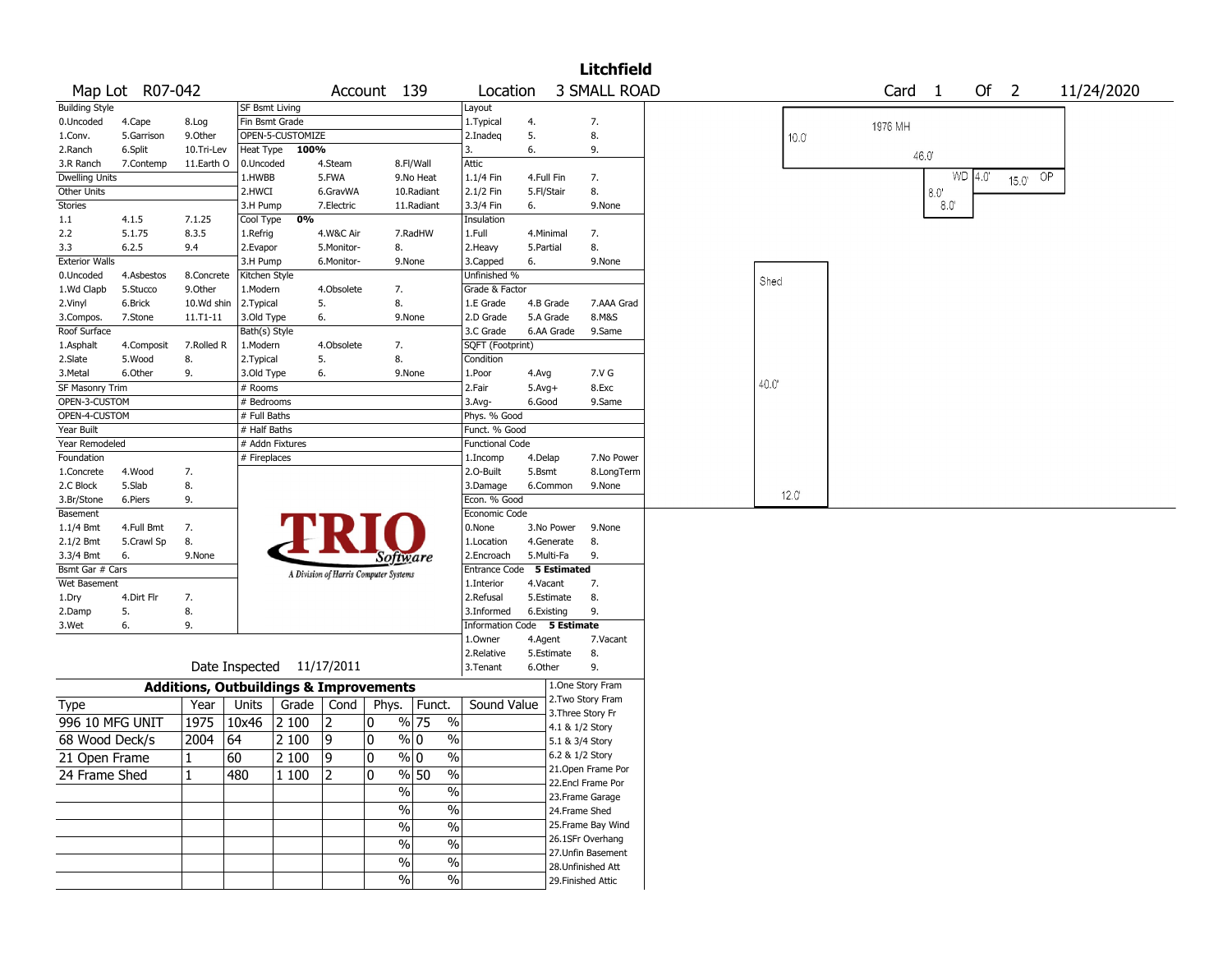|                        |                 |                                                   |                       |                           |            |                                       |                              |                             |            |            | <b>Litchfield</b>   |                |  |                   |             |          |                |    |            |  |
|------------------------|-----------------|---------------------------------------------------|-----------------------|---------------------------|------------|---------------------------------------|------------------------------|-----------------------------|------------|------------|---------------------|----------------|--|-------------------|-------------|----------|----------------|----|------------|--|
|                        | Map Lot R07-042 |                                                   |                       |                           |            | Account 139                           |                              | Location                    |            |            | <b>3 SMALL ROAD</b> |                |  | Card <sub>1</sub> |             |          | Of $2$         |    | 11/24/2020 |  |
| <b>Building Style</b>  |                 |                                                   | <b>SF Bsmt Living</b> |                           |            |                                       |                              | Layout                      |            |            |                     |                |  |                   |             |          |                |    |            |  |
| 0.Uncoded              | 4.Cape          | 8.Log                                             | Fin Bsmt Grade        |                           |            |                                       |                              | 1. Typical                  | 4.         |            | 7.                  |                |  | 1976 MH           |             |          |                |    |            |  |
| 1.Conv.                | 5.Garrison      | 9.0ther                                           |                       | OPEN-5-CUSTOMIZE          |            |                                       |                              | 2.Inadeg                    | 5.         |            | 8.                  | 10.0           |  |                   |             |          |                |    |            |  |
| 2.Ranch                | 6.Split         | 10.Tri-Lev                                        | Heat Type             | 100%                      |            |                                       |                              | 3.                          | 6.         |            | 9.                  |                |  | 46.0'             |             |          |                |    |            |  |
| 3.R Ranch              | 7.Contemp       | 11.Earth O                                        | 0.Uncoded             |                           | 4.Steam    |                                       | 8.Fl/Wall                    | Attic                       |            |            |                     |                |  |                   |             |          |                |    |            |  |
| <b>Dwelling Units</b>  |                 |                                                   | 1.HWBB                |                           | 5.FWA      |                                       | 9.No Heat                    | 1.1/4 Fin                   | 4.Full Fin |            | 7.                  |                |  |                   |             | $WD$ 4.0 | $15.0^{\circ}$ | OP |            |  |
| Other Units            |                 |                                                   | 2.HWCI                |                           | 6.GravWA   |                                       | 10.Radiant                   | 2.1/2 Fin                   | 5.Fl/Stair |            | 8.                  |                |  |                   | 8.0         |          |                |    |            |  |
| Stories                |                 |                                                   | 3.H Pump              |                           | 7.Electric |                                       | 11.Radiant                   | 3.3/4 Fin                   | 6.         |            | 9.None              |                |  |                   | $8.0^\circ$ |          |                |    |            |  |
| 1.1                    | 4.1.5           | 7.1.25                                            | Cool Type             | 0%                        |            |                                       |                              | Insulation                  |            |            |                     |                |  |                   |             |          |                |    |            |  |
| 2.2                    | 5.1.75          | 8.3.5                                             | 1.Refrig              |                           | 4.W&C Air  |                                       | 7.RadHW                      | 1.Full                      | 4.Minimal  |            | 7.                  |                |  |                   |             |          |                |    |            |  |
| 3.3                    | 6.2.5           | 9.4                                               | 2.Evapor              |                           | 5.Monitor- | 8.                                    |                              | 2. Heavy                    | 5.Partial  |            | 8.                  |                |  |                   |             |          |                |    |            |  |
| <b>Exterior Walls</b>  |                 |                                                   | 3.H Pump              |                           | 6.Monitor- |                                       | 9.None                       | 3.Capped                    | 6.         |            | 9.None              |                |  |                   |             |          |                |    |            |  |
| 0.Uncoded              | 4.Asbestos      | 8.Concrete                                        | Kitchen Style         |                           |            |                                       |                              | Unfinished %                |            |            |                     | Shed           |  |                   |             |          |                |    |            |  |
| 1.Wd Clapb             | 5.Stucco        | 9.Other                                           | 1.Modern              |                           | 4.Obsolete | 7.                                    |                              | Grade & Factor              |            |            |                     |                |  |                   |             |          |                |    |            |  |
| 2.Vinyl                | 6.Brick         | 10.Wd shin                                        | 2. Typical            |                           | 5.         | 8.                                    |                              | 1.E Grade                   |            | 4.B Grade  | 7.AAA Grad          |                |  |                   |             |          |                |    |            |  |
| 3.Compos.              | 7.Stone         | $11.71 - 11$                                      | 3.Old Type            |                           | 6.         |                                       | 9.None                       | 2.D Grade                   |            | 5.A Grade  | 8.M&S               |                |  |                   |             |          |                |    |            |  |
| Roof Surface           |                 |                                                   | Bath(s) Style         |                           |            |                                       |                              | 3.C Grade                   |            | 6.AA Grade | 9.Same              |                |  |                   |             |          |                |    |            |  |
| 1.Asphalt              | 4.Composit      | 7.Rolled R                                        | 1.Modern              |                           | 4.Obsolete | 7.                                    |                              | SQFT (Footprint)            |            |            |                     |                |  |                   |             |          |                |    |            |  |
| 2.Slate                | 5.Wood          | 8.                                                | 2. Typical            |                           | 5.         | 8.                                    |                              | Condition                   |            |            |                     |                |  |                   |             |          |                |    |            |  |
| 3.Metal                | 6.Other         | 9.                                                | 3.Old Type            |                           | 6.         |                                       | 9.None                       | 1.Poor                      | 4.Avg      |            | 7.V G               | 40.0'          |  |                   |             |          |                |    |            |  |
| <b>SF Masonry Trim</b> |                 |                                                   | # Rooms               |                           |            |                                       |                              | 2.Fair                      | $5.Avg+$   |            | 8.Exc               |                |  |                   |             |          |                |    |            |  |
| OPEN-3-CUSTOM          |                 |                                                   | # Bedrooms            |                           |            |                                       |                              | 3.Avg-                      | 6.Good     |            | 9.Same              |                |  |                   |             |          |                |    |            |  |
| OPEN-4-CUSTOM          |                 |                                                   | # Full Baths          |                           |            |                                       |                              | Phys. % Good                |            |            |                     |                |  |                   |             |          |                |    |            |  |
| Year Built             |                 |                                                   | # Half Baths          |                           |            |                                       |                              | Funct. % Good               |            |            |                     |                |  |                   |             |          |                |    |            |  |
| Year Remodeled         |                 |                                                   |                       | # Addn Fixtures           |            |                                       |                              | <b>Functional Code</b>      |            |            |                     |                |  |                   |             |          |                |    |            |  |
| Foundation             |                 |                                                   | # Fireplaces          |                           |            |                                       |                              | 1.Incomp                    | 4.Delap    |            | 7.No Power          |                |  |                   |             |          |                |    |            |  |
| 1.Concrete             | 4.Wood          | 7.                                                |                       |                           |            |                                       |                              | 2.0-Built                   | 5.Bsmt     |            | 8.LongTerm          |                |  |                   |             |          |                |    |            |  |
| 2.C Block              | 5.Slab          | 8.                                                |                       |                           |            |                                       |                              | 3.Damage<br>Econ. % Good    |            | 6.Common   | 9.None              | $12.0^{\circ}$ |  |                   |             |          |                |    |            |  |
| 3.Br/Stone<br>Basement | 6.Piers         | 9.                                                |                       |                           |            |                                       |                              | Economic Code               |            |            |                     |                |  |                   |             |          |                |    |            |  |
| $1.1/4$ Bmt            | 4.Full Bmt      | 7.                                                |                       |                           |            |                                       |                              | 0.None                      |            | 3.No Power | 9.None              |                |  |                   |             |          |                |    |            |  |
| $2.1/2$ Bmt            | 5.Crawl Sp      | 8.                                                |                       |                           |            |                                       |                              | 1.Location                  |            | 4.Generate | 8.                  |                |  |                   |             |          |                |    |            |  |
| 3.3/4 Bmt              | 6.              | 9.None                                            |                       |                           |            |                                       |                              | 2.Encroach                  | 5.Multi-Fa |            | 9.                  |                |  |                   |             |          |                |    |            |  |
| Bsmt Gar # Cars        |                 |                                                   |                       |                           |            | <i>Software</i>                       |                              | Entrance Code 5 Estimated   |            |            |                     |                |  |                   |             |          |                |    |            |  |
| Wet Basement           |                 |                                                   |                       |                           |            | A Division of Harris Computer Systems |                              | 1.Interior                  | 4.Vacant   |            | 7.                  |                |  |                   |             |          |                |    |            |  |
| 1.Dry                  | 4.Dirt Flr      | 7.                                                |                       |                           |            |                                       |                              | 2.Refusal                   |            | 5.Estimate | 8.                  |                |  |                   |             |          |                |    |            |  |
| 2.Damp                 | 5.              | 8.                                                |                       |                           |            |                                       |                              | 3.Informed                  | 6.Existing |            | 9.                  |                |  |                   |             |          |                |    |            |  |
| 3.Wet                  | 6.              | 9.                                                |                       |                           |            |                                       |                              | Information Code 5 Estimate |            |            |                     |                |  |                   |             |          |                |    |            |  |
|                        |                 |                                                   |                       |                           |            |                                       |                              | 1.0wner                     | 4.Agent    |            | 7.Vacant            |                |  |                   |             |          |                |    |            |  |
|                        |                 |                                                   |                       |                           |            |                                       |                              | 2.Relative                  |            | 5.Estimate | 8.                  |                |  |                   |             |          |                |    |            |  |
|                        |                 |                                                   |                       | Date Inspected 11/17/2011 |            |                                       |                              | 3.Tenant                    | 6.Other    |            | 9.                  |                |  |                   |             |          |                |    |            |  |
|                        |                 | <b>Additions, Outbuildings &amp; Improvements</b> |                       |                           |            |                                       |                              |                             |            |            | 1.One Story Fram    |                |  |                   |             |          |                |    |            |  |
| <b>Type</b>            |                 | Year                                              | Units                 | Grade                     | Cond       | Phys.                                 | Funct.                       | Sound Value                 |            |            | 2. Two Story Fram   |                |  |                   |             |          |                |    |            |  |
|                        |                 |                                                   |                       |                           |            |                                       |                              |                             |            |            | 3. Three Story Fr   |                |  |                   |             |          |                |    |            |  |
| 996 10 MFG UNIT        |                 | 1975                                              | 10x46                 | 2 100                     | 12         | 0                                     | $\%$<br>% 75                 |                             |            |            | 4.1 & 1/2 Story     |                |  |                   |             |          |                |    |            |  |
| 68 Wood Deck/s         |                 | 2004                                              | 64                    | 2 100                     | 9          | 0                                     | % 0<br>$\%$                  |                             |            |            | 5.1 & 3/4 Story     |                |  |                   |             |          |                |    |            |  |
| 21 Open Frame          |                 | $\mathbf{1}$                                      | 60                    | $\sqrt{2100}$             | 9          | 10                                    | $\sqrt{20}$<br>$\frac{9}{0}$ |                             |            |            | 6.2 & 1/2 Story     |                |  |                   |             |          |                |    |            |  |
| 24 Frame Shed          |                 | $\mathbf{1}$                                      | 480                   | 1 100                     | 12         | 10.                                   | $\sqrt{6}$<br>% 50           |                             |            |            | 21.Open Frame Por   |                |  |                   |             |          |                |    |            |  |
|                        |                 |                                                   |                       |                           |            | $\frac{9}{6}$                         | $\sqrt{6}$                   |                             |            |            | 22.Encl Frame Por   |                |  |                   |             |          |                |    |            |  |
|                        |                 |                                                   |                       |                           |            |                                       |                              |                             |            |            | 23. Frame Garage    |                |  |                   |             |          |                |    |            |  |
|                        |                 |                                                   |                       |                           |            | $\sqrt{6}$                            | $\%$                         |                             |            |            | 24.Frame Shed       |                |  |                   |             |          |                |    |            |  |
|                        |                 |                                                   |                       |                           |            | $\sqrt{6}$                            | $\%$                         |                             |            |            | 25. Frame Bay Wind  |                |  |                   |             |          |                |    |            |  |
|                        |                 |                                                   |                       |                           |            | %                                     | $\%$                         |                             |            |            | 26.1SFr Overhang    |                |  |                   |             |          |                |    |            |  |
|                        |                 |                                                   |                       |                           |            | $\%$                                  | $\sqrt{6}$                   |                             |            |            | 27. Unfin Basement  |                |  |                   |             |          |                |    |            |  |
|                        |                 |                                                   |                       |                           |            |                                       |                              |                             |            |            | 28.Unfinished Att   |                |  |                   |             |          |                |    |            |  |
|                        |                 |                                                   |                       |                           |            | %                                     | $\sqrt{6}$                   |                             |            |            | 29. Finished Attic  |                |  |                   |             |          |                |    |            |  |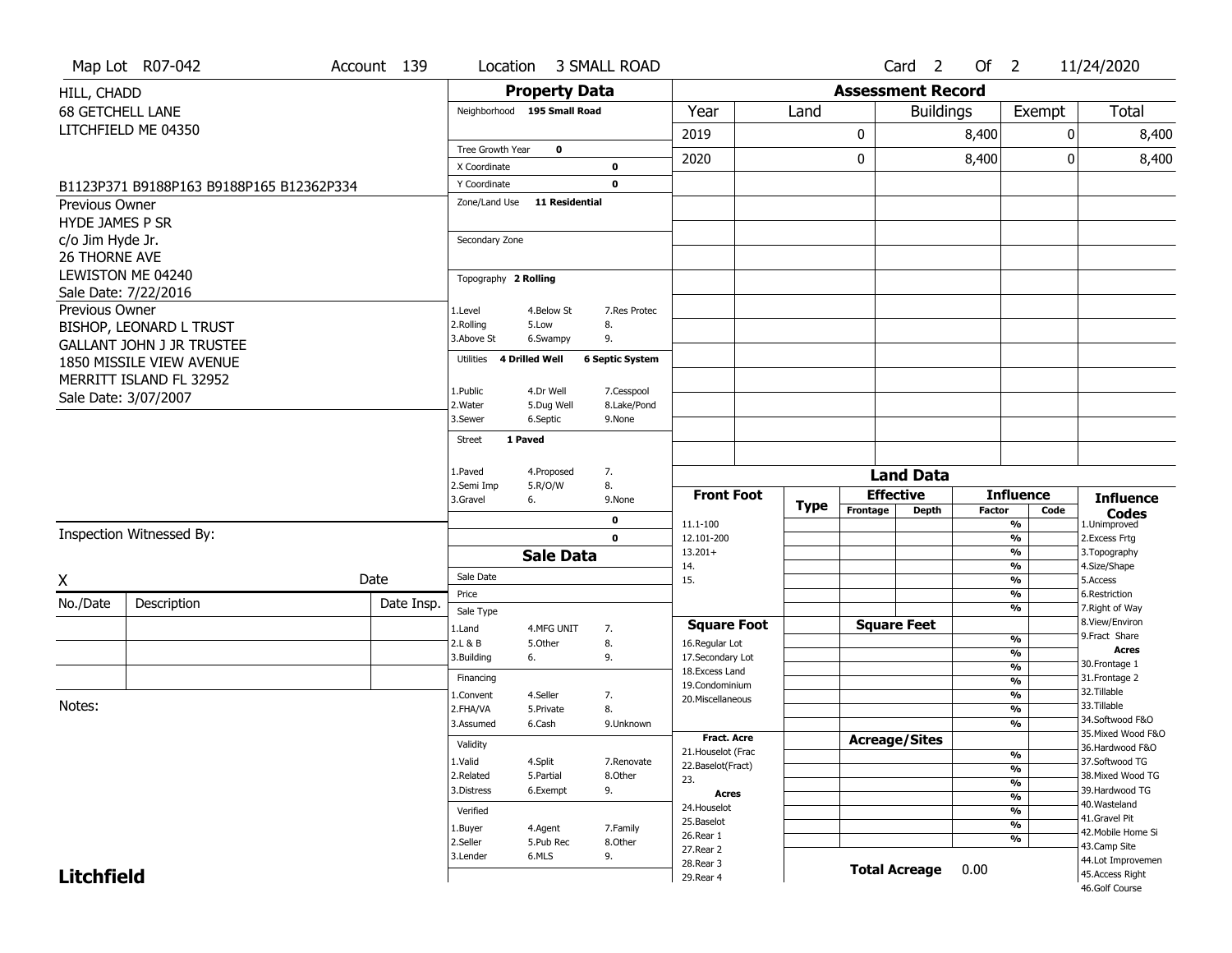|                         | Map Lot R07-042                           | Account 139 |            | Location                    |                         | 3 SMALL ROAD              |                                          |             |                          | Card <sub>2</sub>    | Of $2$        |                                           |      | 11/24/2020                            |
|-------------------------|-------------------------------------------|-------------|------------|-----------------------------|-------------------------|---------------------------|------------------------------------------|-------------|--------------------------|----------------------|---------------|-------------------------------------------|------|---------------------------------------|
| HILL, CHADD             |                                           |             |            |                             | <b>Property Data</b>    |                           |                                          |             | <b>Assessment Record</b> |                      |               |                                           |      |                                       |
| <b>68 GETCHELL LANE</b> |                                           |             |            | Neighborhood 195 Small Road |                         |                           | Year                                     | Land        |                          | <b>Buildings</b>     |               | Exempt                                    |      | Total                                 |
|                         | LITCHFIELD ME 04350                       |             |            |                             |                         |                           | 2019                                     |             | 0                        |                      | 8,400         |                                           | 0    | 8,400                                 |
|                         |                                           |             |            | Tree Growth Year            | $\mathbf 0$             |                           |                                          |             |                          |                      |               |                                           |      |                                       |
|                         |                                           |             |            | X Coordinate                |                         | $\mathbf 0$               | 2020                                     |             | 0                        |                      | 8,400         |                                           | 0    | 8,400                                 |
|                         | B1123P371 B9188P163 B9188P165 B12362P334  |             |            | Y Coordinate                |                         | $\mathbf 0$               |                                          |             |                          |                      |               |                                           |      |                                       |
| Previous Owner          |                                           |             |            | Zone/Land Use               | <b>11 Residential</b>   |                           |                                          |             |                          |                      |               |                                           |      |                                       |
| <b>HYDE JAMES P SR</b>  |                                           |             |            |                             |                         |                           |                                          |             |                          |                      |               |                                           |      |                                       |
| c/o Jim Hyde Jr.        |                                           |             |            | Secondary Zone              |                         |                           |                                          |             |                          |                      |               |                                           |      |                                       |
| <b>26 THORNE AVE</b>    |                                           |             |            |                             |                         |                           |                                          |             |                          |                      |               |                                           |      |                                       |
|                         | LEWISTON ME 04240<br>Sale Date: 7/22/2016 |             |            | Topography 2 Rolling        |                         |                           |                                          |             |                          |                      |               |                                           |      |                                       |
| Previous Owner          |                                           |             |            | 1.Level                     | 4.Below St              | 7. Res Protec             |                                          |             |                          |                      |               |                                           |      |                                       |
|                         | BISHOP, LEONARD L TRUST                   |             |            | 2.Rolling                   | 5.Low                   | 8.                        |                                          |             |                          |                      |               |                                           |      |                                       |
|                         | <b>GALLANT JOHN J JR TRUSTEE</b>          |             |            | 3.Above St                  | 6.Swampy                | 9.                        |                                          |             |                          |                      |               |                                           |      |                                       |
|                         | 1850 MISSILE VIEW AVENUE                  |             |            | Utilities                   | 4 Drilled Well          | <b>6 Septic System</b>    |                                          |             |                          |                      |               |                                           |      |                                       |
|                         | MERRITT ISLAND FL 32952                   |             |            |                             |                         |                           |                                          |             |                          |                      |               |                                           |      |                                       |
|                         | Sale Date: 3/07/2007                      |             |            | 1.Public<br>2. Water        | 4.Dr Well<br>5.Dug Well | 7.Cesspool<br>8.Lake/Pond |                                          |             |                          |                      |               |                                           |      |                                       |
|                         |                                           |             |            | 3.Sewer                     | 6.Septic                | 9.None                    |                                          |             |                          |                      |               |                                           |      |                                       |
|                         |                                           |             |            | <b>Street</b>               | 1 Paved                 |                           |                                          |             |                          |                      |               |                                           |      |                                       |
|                         |                                           |             |            |                             |                         |                           |                                          |             |                          |                      |               |                                           |      |                                       |
|                         |                                           |             |            | 1.Paved<br>2.Semi Imp       | 4.Proposed              | 7.<br>8.                  |                                          |             |                          | <b>Land Data</b>     |               |                                           |      |                                       |
|                         |                                           |             |            | 3.Gravel                    | 5.R/O/W<br>6.           | 9.None                    | <b>Front Foot</b>                        |             |                          | <b>Effective</b>     |               | <b>Influence</b>                          |      | <b>Influence</b>                      |
|                         |                                           |             |            |                             |                         | $\pmb{0}$                 | 11.1-100                                 | <b>Type</b> | Frontage                 | <b>Depth</b>         | <b>Factor</b> | %                                         | Code | <b>Codes</b><br>1.Unimproved          |
|                         | Inspection Witnessed By:                  |             |            |                             |                         | $\mathbf 0$               | 12.101-200                               |             |                          |                      |               | %                                         |      | 2. Excess Frtg                        |
|                         |                                           |             |            |                             | <b>Sale Data</b>        |                           | $13.201+$                                |             |                          |                      |               | %                                         |      | 3. Topography                         |
| X                       |                                           | Date        |            | Sale Date                   |                         |                           | 14.<br>15.                               |             |                          |                      |               | %<br>%                                    |      | 4.Size/Shape<br>5.Access              |
|                         |                                           |             |            | Price                       |                         |                           |                                          |             |                          |                      |               | %                                         |      | 6.Restriction                         |
| No./Date                | Description                               |             | Date Insp. | Sale Type                   |                         |                           |                                          |             |                          |                      |               | %                                         |      | 7. Right of Way<br>8.View/Environ     |
|                         |                                           |             |            | 1.Land                      | 4.MFG UNIT              | 7.                        | <b>Square Foot</b>                       |             |                          | <b>Square Feet</b>   |               | %                                         |      | 9.Fract Share                         |
|                         |                                           |             |            | 2.L & B<br>3.Building       | 5.Other<br>6.           | 8.<br>9.                  | 16.Regular Lot<br>17.Secondary Lot       |             |                          |                      |               | %                                         |      | Acres                                 |
|                         |                                           |             |            | Financing                   |                         |                           | 18. Excess Land                          |             |                          |                      |               | $\frac{9}{6}$                             |      | 30. Frontage 1<br>31. Frontage 2      |
|                         |                                           |             |            | 1.Convent                   | 4.Seller                | 7.                        | 19.Condominium<br>20.Miscellaneous       |             |                          |                      |               | $\frac{9}{6}$<br>$\overline{\frac{9}{6}}$ |      | 32.Tillable                           |
| Notes:                  |                                           |             |            | 2.FHA/VA                    | 5.Private               | 8.                        |                                          |             |                          |                      |               | $\frac{9}{6}$                             |      | 33.Tillable                           |
|                         |                                           |             |            | 3.Assumed                   | 6.Cash                  | 9.Unknown                 |                                          |             |                          |                      |               | $\overline{\frac{9}{6}}$                  |      | 34.Softwood F&O<br>35. Mixed Wood F&O |
|                         |                                           |             |            | Validity                    |                         |                           | <b>Fract. Acre</b><br>21. Houselot (Frac |             | <b>Acreage/Sites</b>     |                      |               | %                                         |      | 36.Hardwood F&O                       |
|                         |                                           |             |            | 1.Valid                     | 4.Split                 | 7.Renovate                | 22.Baselot(Fract)                        |             |                          |                      |               | $\overline{\frac{9}{6}}$                  |      | 37.Softwood TG                        |
|                         |                                           |             |            | 2.Related<br>3.Distress     | 5.Partial<br>6.Exempt   | 8.Other<br>9.             | 23.                                      |             |                          |                      |               | $\frac{9}{6}$                             |      | 38. Mixed Wood TG<br>39.Hardwood TG   |
|                         |                                           |             |            | Verified                    |                         |                           | <b>Acres</b><br>24. Houselot             |             |                          |                      |               | $\frac{9}{6}$<br>%                        |      | 40. Wasteland                         |
|                         |                                           |             |            | 1.Buyer                     | 4.Agent                 | 7.Family                  | 25.Baselot                               |             |                          |                      |               | $\overline{\frac{9}{6}}$                  |      | 41.Gravel Pit                         |
|                         |                                           |             |            | 2.Seller                    | 5.Pub Rec               | 8.Other                   | 26.Rear 1<br>27.Rear 2                   |             |                          |                      |               | %                                         |      | 42. Mobile Home Si<br>43.Camp Site    |
|                         |                                           |             |            | 3.Lender                    | 6.MLS                   | 9.                        | 28. Rear 3                               |             |                          |                      |               |                                           |      | 44.Lot Improvemen                     |
| <b>Litchfield</b>       |                                           |             |            |                             |                         |                           | 29. Rear 4                               |             |                          | <b>Total Acreage</b> | 0.00          |                                           |      | 45.Access Right<br>46.Golf Course     |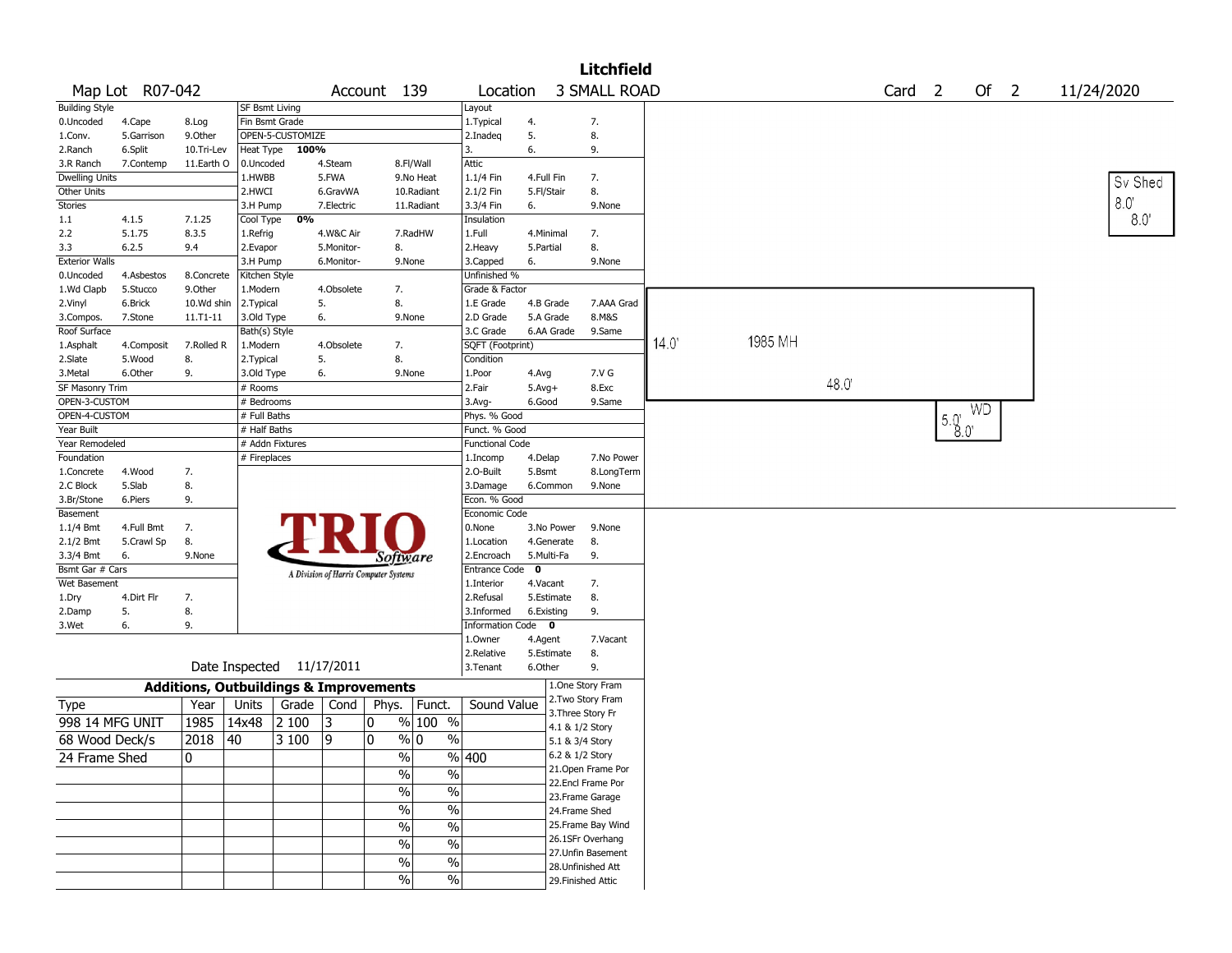|                        |                 |                                                   |                |                           |            |                                       |             |                        |             |            | <b>Litchfield</b>                     |      |         |      |                   |                 |           |      |               |
|------------------------|-----------------|---------------------------------------------------|----------------|---------------------------|------------|---------------------------------------|-------------|------------------------|-------------|------------|---------------------------------------|------|---------|------|-------------------|-----------------|-----------|------|---------------|
|                        | Map Lot R07-042 |                                                   |                |                           |            | Account 139                           |             | Location               |             |            | <b>3 SMALL ROAD</b>                   |      |         |      | Card <sub>2</sub> |                 |           | Of 2 | 11/24/2020    |
| <b>Building Style</b>  |                 |                                                   | SF Bsmt Living |                           |            |                                       |             | Layout                 |             |            |                                       |      |         |      |                   |                 |           |      |               |
| 0.Uncoded              | 4.Cape          | 8.Log                                             |                | Fin Bsmt Grade            |            |                                       |             | 1. Typical             | 4.          |            | 7.                                    |      |         |      |                   |                 |           |      |               |
| 1.Conv.                | 5.Garrison      | 9.0ther                                           |                | OPEN-5-CUSTOMIZE          |            |                                       |             | 2.Inadeg               | 5.          |            | 8.                                    |      |         |      |                   |                 |           |      |               |
| 2.Ranch                | 6.Split         | 10.Tri-Lev                                        | Heat Type      | 100%                      |            |                                       |             | 3.                     | 6.          |            | 9.                                    |      |         |      |                   |                 |           |      |               |
| 3.R Ranch              | 7.Contemp       | 11.Earth O                                        | 0.Uncoded      |                           | 4.Steam    |                                       | 8.Fl/Wall   | Attic                  |             |            |                                       |      |         |      |                   |                 |           |      |               |
| <b>Dwelling Units</b>  |                 |                                                   | 1.HWBB         |                           | 5.FWA      |                                       | 9.No Heat   | 1.1/4 Fin              | 4.Full Fin  |            | 7.                                    |      |         |      |                   |                 |           |      | Sv Shed       |
| Other Units            |                 |                                                   | 2.HWCI         |                           | 6.GravWA   |                                       | 10.Radiant  | 2.1/2 Fin              | 5.Fl/Stair  |            | 8.                                    |      |         |      |                   |                 |           |      |               |
| Stories                |                 |                                                   | 3.H Pump       |                           | 7.Electric |                                       | 11.Radiant  | 3.3/4 Fin              | 6.          |            | 9.None                                |      |         |      |                   |                 |           |      | $8.0^{\circ}$ |
| 1.1                    | 4.1.5           | 7.1.25                                            | Cool Type      | 0%                        |            |                                       |             | Insulation             |             |            |                                       |      |         |      |                   |                 |           |      | 8.0           |
| 2.2                    | 5.1.75          | 8.3.5                                             | 1.Refrig       |                           | 4.W&C Air  |                                       | 7.RadHW     | 1.Full                 | 4.Minimal   |            | 7.                                    |      |         |      |                   |                 |           |      |               |
| 3.3                    | 6.2.5           | 9.4                                               | 2.Evapor       |                           | 5.Monitor- | 8.                                    |             | 2.Heavy                | 5.Partial   |            | 8.                                    |      |         |      |                   |                 |           |      |               |
| <b>Exterior Walls</b>  |                 |                                                   | 3.H Pump       |                           | 6.Monitor- | 9.None                                |             | 3.Capped               | 6.          |            | 9.None                                |      |         |      |                   |                 |           |      |               |
| 0.Uncoded              | 4.Asbestos      | 8.Concrete                                        | Kitchen Style  |                           |            |                                       |             | Unfinished %           |             |            |                                       |      |         |      |                   |                 |           |      |               |
| 1.Wd Clapb             | 5.Stucco        | 9.0ther                                           | 1.Modern       |                           | 4.Obsolete | 7.                                    |             | Grade & Factor         |             |            |                                       |      |         |      |                   |                 |           |      |               |
| 2.Vinyl                | 6.Brick         | 10.Wd shin                                        | 2. Typical     |                           | 5.         | 8.                                    |             | 1.E Grade              |             | 4.B Grade  | 7.AAA Grad                            |      |         |      |                   |                 |           |      |               |
| 3.Compos.              | 7.Stone         | 11.T1-11                                          | 3.Old Type     |                           | 6.         | 9.None                                |             | 2.D Grade              |             | 5.A Grade  | 8.M&S                                 |      |         |      |                   |                 |           |      |               |
| Roof Surface           |                 |                                                   | Bath(s) Style  |                           |            |                                       |             | 3.C Grade              |             | 6.AA Grade | 9.Same                                |      |         |      |                   |                 |           |      |               |
| 1.Asphalt              | 4.Composit      | 7.Rolled R                                        | 1.Modern       |                           | 4.Obsolete | 7.                                    |             | SQFT (Footprint)       |             |            |                                       | 14.0 | 1985 MH |      |                   |                 |           |      |               |
| 2.Slate                | 5.Wood          | 8.                                                | 2. Typical     |                           | 5.         | 8.                                    |             | Condition              |             |            |                                       |      |         |      |                   |                 |           |      |               |
| 3. Metal               | 6.Other         | 9.                                                | 3.Old Type     |                           | 6.         | 9.None                                |             | 1.Poor                 | 4.Avg       |            | 7.V G                                 |      |         |      |                   |                 |           |      |               |
| <b>SF Masonry Trim</b> |                 |                                                   | # Rooms        |                           |            |                                       |             | 2.Fair                 | $5.Avg+$    |            | 8.Exc                                 |      |         | 48.0 |                   |                 |           |      |               |
| OPEN-3-CUSTOM          |                 |                                                   | # Bedrooms     |                           |            |                                       |             | $3.Avg-$               | 6.Good      |            | 9.Same                                |      |         |      |                   |                 |           |      |               |
| OPEN-4-CUSTOM          |                 |                                                   | # Full Baths   |                           |            |                                       |             | Phys. % Good           |             |            |                                       |      |         |      |                   |                 | <b>WD</b> |      |               |
| Year Built             |                 |                                                   | # Half Baths   |                           |            |                                       |             | Funct. % Good          |             |            |                                       |      |         |      |                   | $5.0^{1}_{0.0}$ |           |      |               |
| Year Remodeled         |                 |                                                   |                | # Addn Fixtures           |            |                                       |             | <b>Functional Code</b> |             |            |                                       |      |         |      |                   |                 |           |      |               |
| Foundation             |                 |                                                   | # Fireplaces   |                           |            |                                       |             | 1.Incomp               | 4.Delap     |            | 7.No Power                            |      |         |      |                   |                 |           |      |               |
| 1.Concrete             | 4.Wood          | 7.                                                |                |                           |            |                                       |             | 2.0-Built              | 5.Bsmt      |            | 8.LongTerm                            |      |         |      |                   |                 |           |      |               |
| 2.C Block              | 5.Slab          | 8.                                                |                |                           |            |                                       |             | 3.Damage               |             | 6.Common   | 9.None                                |      |         |      |                   |                 |           |      |               |
|                        | 6.Piers         | 9.                                                |                |                           |            |                                       |             | Econ. % Good           |             |            |                                       |      |         |      |                   |                 |           |      |               |
| 3.Br/Stone             |                 |                                                   |                |                           |            |                                       |             | Economic Code          |             |            |                                       |      |         |      |                   |                 |           |      |               |
| Basement               |                 |                                                   |                |                           |            |                                       |             | 0.None                 |             |            |                                       |      |         |      |                   |                 |           |      |               |
| $1.1/4$ Bmt            | 4.Full Bmt      | 7.                                                |                |                           |            |                                       |             |                        |             | 3.No Power | 9.None                                |      |         |      |                   |                 |           |      |               |
| 2.1/2 Bmt              | 5.Crawl Sp      | 8.                                                |                |                           |            |                                       |             | 1.Location             |             | 4.Generate | 8.                                    |      |         |      |                   |                 |           |      |               |
| 3.3/4 Bmt              | 6.              | 9.None                                            |                |                           |            | <i>Software</i>                       |             | 2.Encroach             |             | 5.Multi-Fa | 9.                                    |      |         |      |                   |                 |           |      |               |
| Bsmt Gar # Cars        |                 |                                                   |                |                           |            | A Division of Harris Computer Systems |             | Entrance Code          | $\mathbf 0$ |            |                                       |      |         |      |                   |                 |           |      |               |
| Wet Basement           |                 |                                                   |                |                           |            |                                       |             | 1.Interior             | 4.Vacant    |            | 7.                                    |      |         |      |                   |                 |           |      |               |
| 1.Dry                  | 4.Dirt Flr      | 7.                                                |                |                           |            |                                       |             | 2.Refusal              |             | 5.Estimate | 8.                                    |      |         |      |                   |                 |           |      |               |
| 2.Damp                 | 5.              | 8.                                                |                |                           |            |                                       |             | 3.Informed             | 6.Existing  |            | 9.                                    |      |         |      |                   |                 |           |      |               |
| 3.Wet                  | 6.              | 9.                                                |                |                           |            |                                       |             | Information Code 0     |             |            |                                       |      |         |      |                   |                 |           |      |               |
|                        |                 |                                                   |                |                           |            |                                       |             | 1.0wner                | 4.Agent     |            | 7.Vacant                              |      |         |      |                   |                 |           |      |               |
|                        |                 |                                                   |                |                           |            |                                       |             | 2.Relative             |             | 5.Estimate | 8.                                    |      |         |      |                   |                 |           |      |               |
|                        |                 |                                                   |                | Date Inspected 11/17/2011 |            |                                       |             | 3.Tenant               | 6.Other     |            | 9.                                    |      |         |      |                   |                 |           |      |               |
|                        |                 | <b>Additions, Outbuildings &amp; Improvements</b> |                |                           |            |                                       |             |                        |             |            | 1.One Story Fram<br>2. Two Story Fram |      |         |      |                   |                 |           |      |               |
| Type                   |                 | Year                                              | Units          | Grade                     | Cond       | Phys.                                 | Funct.      | Sound Value            |             |            | 3. Three Story Fr                     |      |         |      |                   |                 |           |      |               |
| 998 14 MFG UNIT        |                 | 1985                                              | 14x48          | 2 100                     | 3          | 0                                     | % 100 %     |                        |             |            | 4.1 & 1/2 Story                       |      |         |      |                   |                 |           |      |               |
| 68 Wood Deck/s         |                 | 2018                                              | 40             | 3 100                     | 9          | 0                                     | % 0<br>$\%$ |                        |             |            | 5.1 & 3/4 Story                       |      |         |      |                   |                 |           |      |               |
| 24 Frame Shed          |                 | 10                                                |                |                           |            | $\%$                                  |             | $\sqrt{96}$ 400        |             |            | 6.2 & 1/2 Story                       |      |         |      |                   |                 |           |      |               |
|                        |                 |                                                   |                |                           |            | $\frac{0}{0}$                         | $\%$        |                        |             |            | 21. Open Frame Por                    |      |         |      |                   |                 |           |      |               |
|                        |                 |                                                   |                |                           |            |                                       |             |                        |             |            | 22.Encl Frame Por                     |      |         |      |                   |                 |           |      |               |
|                        |                 |                                                   |                |                           |            | $\sqrt{6}$                            | $\sqrt{2}$  |                        |             |            | 23. Frame Garage                      |      |         |      |                   |                 |           |      |               |
|                        |                 |                                                   |                |                           |            | $\sqrt{6}$                            | $\%$        |                        |             |            | 24.Frame Shed                         |      |         |      |                   |                 |           |      |               |
|                        |                 |                                                   |                |                           |            | $\%$                                  | $\%$        |                        |             |            | 25. Frame Bay Wind                    |      |         |      |                   |                 |           |      |               |
|                        |                 |                                                   |                |                           |            |                                       |             |                        |             |            | 26.1SFr Overhang                      |      |         |      |                   |                 |           |      |               |
|                        |                 |                                                   |                |                           |            | $\%$                                  | $\%$        |                        |             |            | 27. Unfin Basement                    |      |         |      |                   |                 |           |      |               |
|                        |                 |                                                   |                |                           |            | $\sqrt{6}$                            | $\sqrt{6}$  |                        |             |            | 28. Unfinished Att                    |      |         |      |                   |                 |           |      |               |
|                        |                 |                                                   |                |                           |            | $\sqrt{6}$                            | $\sqrt{6}$  |                        |             |            | 29. Finished Attic                    |      |         |      |                   |                 |           |      |               |
|                        |                 |                                                   |                |                           |            |                                       |             |                        |             |            |                                       |      |         |      |                   |                 |           |      |               |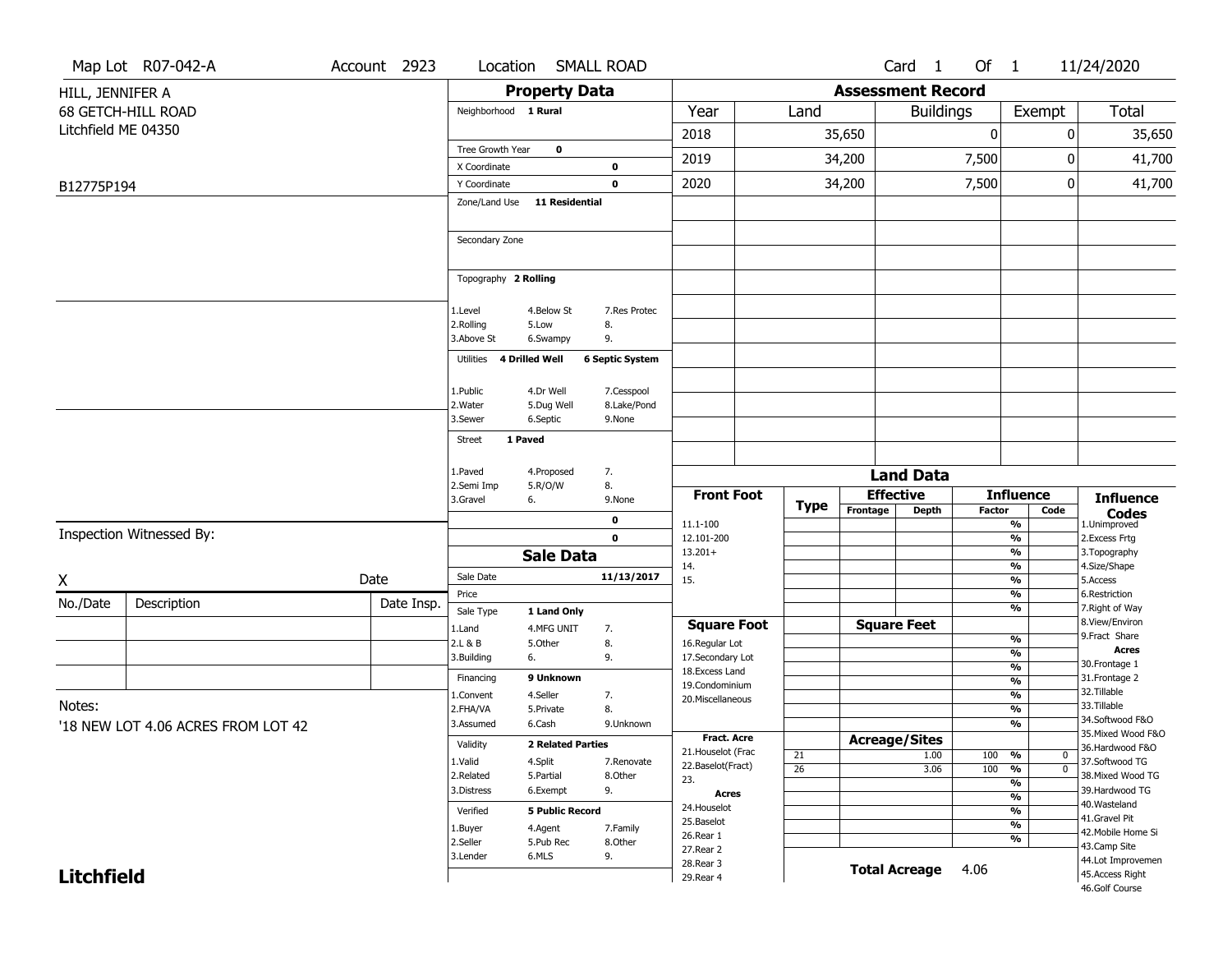|                     | Map Lot R07-042-A                  | Account 2923 | Location              |                          | <b>SMALL ROAD</b>      |                                     |                 |                          | Card 1               | Of 1          |                                                      | 11/24/2020                                     |
|---------------------|------------------------------------|--------------|-----------------------|--------------------------|------------------------|-------------------------------------|-----------------|--------------------------|----------------------|---------------|------------------------------------------------------|------------------------------------------------|
| HILL, JENNIFER A    |                                    |              |                       | <b>Property Data</b>     |                        |                                     |                 | <b>Assessment Record</b> |                      |               |                                                      |                                                |
|                     | 68 GETCH-HILL ROAD                 |              | Neighborhood 1 Rural  |                          |                        | Year                                | Land            |                          | <b>Buildings</b>     |               | Exempt                                               | Total                                          |
| Litchfield ME 04350 |                                    |              |                       |                          |                        | 2018                                |                 | 35,650                   |                      | $\mathbf 0$   |                                                      | 35,650<br>0                                    |
|                     |                                    |              | Tree Growth Year      | $\mathbf 0$              |                        | 2019                                |                 | 34,200                   |                      | 7,500         |                                                      | 41,700<br>0                                    |
|                     |                                    |              | X Coordinate          |                          | $\mathbf 0$            |                                     |                 |                          |                      |               |                                                      |                                                |
| B12775P194          |                                    |              | Y Coordinate          |                          | $\mathbf 0$            | 2020                                |                 | 34,200                   |                      | 7,500         |                                                      | 0<br>41,700                                    |
|                     |                                    |              | Zone/Land Use         | <b>11 Residential</b>    |                        |                                     |                 |                          |                      |               |                                                      |                                                |
|                     |                                    |              | Secondary Zone        |                          |                        |                                     |                 |                          |                      |               |                                                      |                                                |
|                     |                                    |              | Topography 2 Rolling  |                          |                        |                                     |                 |                          |                      |               |                                                      |                                                |
|                     |                                    |              | 1.Level               | 4.Below St               | 7.Res Protec           |                                     |                 |                          |                      |               |                                                      |                                                |
|                     |                                    |              | 2.Rolling             | 5.Low                    | 8.                     |                                     |                 |                          |                      |               |                                                      |                                                |
|                     |                                    |              | 3.Above St            | 6.Swampy                 | 9.                     |                                     |                 |                          |                      |               |                                                      |                                                |
|                     |                                    |              | Utilities             | <b>4 Drilled Well</b>    | <b>6 Septic System</b> |                                     |                 |                          |                      |               |                                                      |                                                |
|                     |                                    |              | 1.Public              | 4.Dr Well                | 7.Cesspool             |                                     |                 |                          |                      |               |                                                      |                                                |
|                     |                                    |              | 2. Water              | 5.Dug Well               | 8.Lake/Pond            |                                     |                 |                          |                      |               |                                                      |                                                |
|                     |                                    |              | 3.Sewer               | 6.Septic                 | 9.None                 |                                     |                 |                          |                      |               |                                                      |                                                |
|                     |                                    |              | 1 Paved<br>Street     |                          |                        |                                     |                 |                          |                      |               |                                                      |                                                |
|                     |                                    |              | 1.Paved               | 4.Proposed               | 7.                     |                                     |                 |                          | <b>Land Data</b>     |               |                                                      |                                                |
|                     |                                    |              | 2.Semi Imp            | 5.R/O/W                  | 8.                     | <b>Front Foot</b>                   |                 |                          | <b>Effective</b>     |               | <b>Influence</b>                                     | <b>Influence</b>                               |
|                     |                                    |              | 3.Gravel              | 6.                       | 9.None                 |                                     | <b>Type</b>     | Frontage                 | <b>Depth</b>         | <b>Factor</b> | Code                                                 | <b>Codes</b>                                   |
|                     | Inspection Witnessed By:           |              |                       |                          | 0<br>$\mathbf 0$       | 11.1-100<br>12.101-200              |                 |                          |                      |               | $\overline{\frac{9}{6}}$<br>$\overline{\frac{9}{6}}$ | 1.Unimproved<br>2.Excess Frtg                  |
|                     |                                    |              |                       | <b>Sale Data</b>         |                        | $13.201+$                           |                 |                          |                      |               | %                                                    | 3. Topography                                  |
|                     |                                    |              | Sale Date             |                          | 11/13/2017             | 14.                                 |                 |                          |                      |               | %                                                    | 4.Size/Shape                                   |
| X                   |                                    | Date         | Price                 |                          |                        | 15.                                 |                 |                          |                      |               | %<br>%                                               | 5.Access<br>6.Restriction                      |
| No./Date            | Description                        | Date Insp.   | Sale Type             | 1 Land Only              |                        |                                     |                 |                          |                      |               | %                                                    | 7. Right of Way                                |
|                     |                                    |              | 1.Land                | 4.MFG UNIT               | 7.                     | <b>Square Foot</b>                  |                 |                          | <b>Square Feet</b>   |               |                                                      | 8.View/Environ<br>9.Fract Share                |
|                     |                                    |              | 2.L & B               | 5.0ther                  | 8.                     | 16.Regular Lot                      |                 |                          |                      |               | $\frac{9}{6}$<br>%                                   | <b>Acres</b>                                   |
|                     |                                    |              | 3.Building            | 6.                       | 9.                     | 17.Secondary Lot<br>18. Excess Land |                 |                          |                      |               | $\frac{9}{6}$                                        | 30. Frontage 1                                 |
|                     |                                    |              | Financing             | 9 Unknown                |                        | 19.Condominium                      |                 |                          |                      |               | %                                                    | 31. Frontage 2<br>32.Tillable                  |
| Notes:              |                                    |              | 1.Convent<br>2.FHA/VA | 4.Seller<br>5.Private    | 7.<br>8.               | 20.Miscellaneous                    |                 |                          |                      |               | $\frac{9}{6}$<br>%                                   | 33.Tillable                                    |
|                     | '18 NEW LOT 4.06 ACRES FROM LOT 42 |              | 3.Assumed             | 6.Cash                   | 9.Unknown              |                                     |                 |                          |                      |               | %                                                    | 34.Softwood F&O                                |
|                     |                                    |              | Validity              | <b>2 Related Parties</b> |                        | <b>Fract. Acre</b>                  |                 |                          | <b>Acreage/Sites</b> |               |                                                      | 35. Mixed Wood F&O                             |
|                     |                                    |              | 1.Valid               | 4.Split                  | 7.Renovate             | 21. Houselot (Frac                  | 21              |                          | 1.00                 | 100           | %                                                    | 36.Hardwood F&O<br>0<br>37.Softwood TG         |
|                     |                                    |              | 2.Related             | 5.Partial                | 8.Other                | 22.Baselot(Fract)<br>23.            | $\overline{26}$ |                          | 3.06                 | 100           | %                                                    | $\overline{\mathfrak{o}}$<br>38. Mixed Wood TG |
|                     |                                    |              | 3.Distress            | 6.Exempt                 | 9.                     | Acres                               |                 |                          |                      |               | $\overline{\frac{9}{6}}$<br>$\frac{9}{6}$            | 39.Hardwood TG                                 |
|                     |                                    |              | Verified              | <b>5 Public Record</b>   |                        | 24. Houselot                        |                 |                          |                      |               | $\frac{9}{6}$                                        | 40. Wasteland<br>41.Gravel Pit                 |
|                     |                                    |              | 1.Buyer               | 4.Agent                  | 7.Family               | 25.Baselot                          |                 |                          |                      |               | $\overline{\frac{9}{6}}$                             | 42. Mobile Home Si                             |
|                     |                                    |              | 2.Seller              | 5.Pub Rec                | 8.Other                | 26.Rear 1<br>27. Rear 2             |                 |                          |                      |               | $\frac{9}{6}$                                        | 43.Camp Site                                   |
|                     |                                    |              | 3.Lender              | 6.MLS                    | 9.                     | 28. Rear 3                          |                 |                          | <b>Total Acreage</b> | 4.06          |                                                      | 44.Lot Improvemen                              |
| <b>Litchfield</b>   |                                    |              |                       |                          |                        | 29. Rear 4                          |                 |                          |                      |               |                                                      | 45.Access Right<br>46.Golf Course              |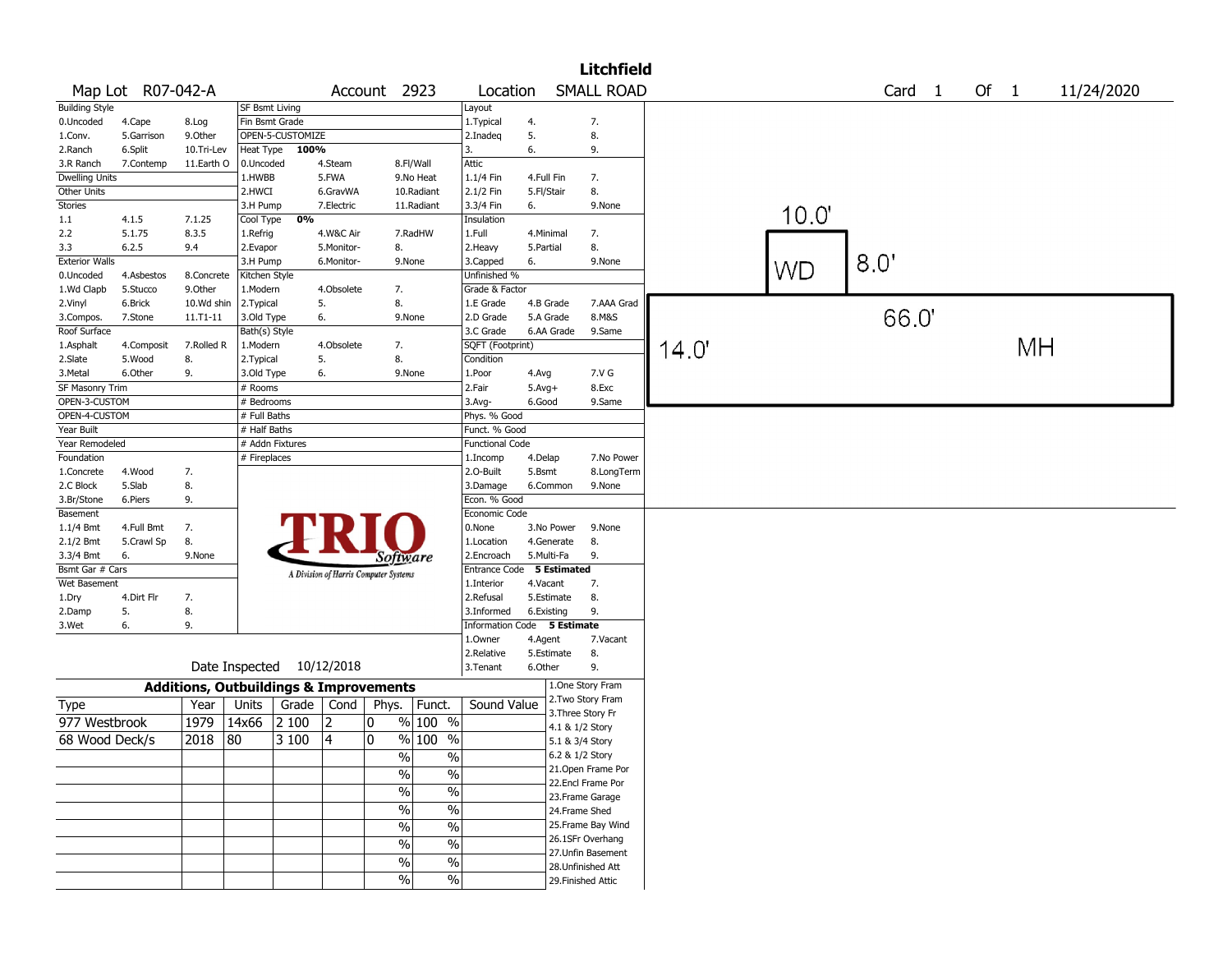|                        |                   |                                                   |                       |                           |            |                                       |               |                             |            |            | <b>Litchfield</b>                  |       |           |        |      |    |            |  |
|------------------------|-------------------|---------------------------------------------------|-----------------------|---------------------------|------------|---------------------------------------|---------------|-----------------------------|------------|------------|------------------------------------|-------|-----------|--------|------|----|------------|--|
|                        | Map Lot R07-042-A |                                                   |                       |                           |            | Account 2923                          |               | Location                    |            |            | <b>SMALL ROAD</b>                  |       |           | Card 1 | Of 1 |    | 11/24/2020 |  |
| <b>Building Style</b>  |                   |                                                   | <b>SF Bsmt Living</b> |                           |            |                                       |               | Layout                      |            |            |                                    |       |           |        |      |    |            |  |
| 0.Uncoded              | 4.Cape            | 8.Log                                             |                       | Fin Bsmt Grade            |            |                                       |               | 1. Typical                  | 4.         |            | 7.                                 |       |           |        |      |    |            |  |
| 1.Conv.                | 5.Garrison        | 9.0ther                                           |                       | OPEN-5-CUSTOMIZE          |            |                                       |               | 2.Inadeq                    | 5.         |            | 8.                                 |       |           |        |      |    |            |  |
| 2.Ranch                | 6.Split           | 10.Tri-Lev                                        | Heat Type             | 100%                      |            |                                       |               | 3.                          | 6.         |            | 9.                                 |       |           |        |      |    |            |  |
| 3.R Ranch              | 7.Contemp         | 11.Earth O                                        | 0.Uncoded             |                           | 4.Steam    |                                       | 8.Fl/Wall     | Attic                       |            |            |                                    |       |           |        |      |    |            |  |
| <b>Dwelling Units</b>  |                   |                                                   | 1.HWBB                |                           | 5.FWA      |                                       | 9.No Heat     | 1.1/4 Fin                   | 4.Full Fin |            | 7.                                 |       |           |        |      |    |            |  |
| Other Units            |                   |                                                   | 2.HWCI                |                           | 6.GravWA   |                                       | 10.Radiant    | 2.1/2 Fin                   | 5.Fl/Stair |            | 8.                                 |       |           |        |      |    |            |  |
| Stories                |                   |                                                   | 3.H Pump              |                           | 7.Electric |                                       | 11.Radiant    | 3.3/4 Fin                   | 6.         |            | 9.None                             |       |           |        |      |    |            |  |
| 1.1                    | 4.1.5             | 7.1.25                                            | Cool Type             | 0%                        |            |                                       |               | Insulation                  |            |            |                                    |       | 10.0"     |        |      |    |            |  |
| 2.2                    | 5.1.75            | 8.3.5                                             | 1.Refrig              |                           | 4.W&C Air  |                                       | 7.RadHW       | 1.Full                      | 4.Minimal  |            | 7.                                 |       |           |        |      |    |            |  |
| 3.3                    | 6.2.5             | 9.4                                               | 2.Evapor              |                           | 5.Monitor- | 8.                                    |               | 2.Heavy                     | 5.Partial  |            | 8.                                 |       |           |        |      |    |            |  |
| <b>Exterior Walls</b>  |                   |                                                   | 3.H Pump              |                           | 6.Monitor- |                                       | 9.None        | 3.Capped                    | 6.         |            | 9.None                             |       |           | 8.0'   |      |    |            |  |
| 0.Uncoded              | 4.Asbestos        | 8.Concrete                                        | Kitchen Style         |                           |            |                                       |               | Unfinished %                |            |            |                                    |       | <b>WD</b> |        |      |    |            |  |
| 1.Wd Clapb             | 5.Stucco          | 9.Other                                           | 1.Modern              |                           | 4.Obsolete | 7.                                    |               | Grade & Factor              |            |            |                                    |       |           |        |      |    |            |  |
| 2.Vinyl                | 6.Brick           | 10.Wd shin                                        | 2.Typical             |                           | 5.         | 8.                                    |               | 1.E Grade                   |            | 4.B Grade  | 7.AAA Grad                         |       |           |        |      |    |            |  |
| 3.Compos.              | 7.Stone           | $11.71 - 11$                                      | 3.Old Type            |                           | 6.         |                                       | 9.None        | 2.D Grade                   |            | 5.A Grade  | 8.M&S                              |       |           | 66.0   |      |    |            |  |
| Roof Surface           |                   |                                                   | Bath(s) Style         |                           |            |                                       |               | 3.C Grade                   |            | 6.AA Grade | 9.Same                             |       |           |        |      |    |            |  |
| 1.Asphalt              | 4.Composit        | 7.Rolled R                                        | 1.Modern              |                           | 4.Obsolete | 7.                                    |               | SQFT (Footprint)            |            |            |                                    | 14.0' |           |        |      | MН |            |  |
| 2.Slate                | 5.Wood            | 8.                                                | 2. Typical            |                           | 5.         | 8.                                    |               | Condition                   |            |            |                                    |       |           |        |      |    |            |  |
| 3.Metal                | 6.Other           | 9.                                                | 3.Old Type            |                           | 6.         |                                       | 9.None        | 1.Poor                      | 4.Avg      |            | 7.V G                              |       |           |        |      |    |            |  |
| <b>SF Masonry Trim</b> |                   |                                                   | # Rooms               |                           |            |                                       |               | 2.Fair                      | $5.Avg+$   |            | 8.Exc                              |       |           |        |      |    |            |  |
| OPEN-3-CUSTOM          |                   |                                                   | # Bedrooms            |                           |            |                                       |               | 3.Avg-                      | 6.Good     |            | 9.Same                             |       |           |        |      |    |            |  |
| OPEN-4-CUSTOM          |                   |                                                   | # Full Baths          |                           |            |                                       |               | Phys. % Good                |            |            |                                    |       |           |        |      |    |            |  |
| Year Built             |                   |                                                   | # Half Baths          |                           |            |                                       |               | Funct. % Good               |            |            |                                    |       |           |        |      |    |            |  |
| Year Remodeled         |                   |                                                   |                       | # Addn Fixtures           |            |                                       |               | <b>Functional Code</b>      |            |            |                                    |       |           |        |      |    |            |  |
| Foundation             |                   |                                                   | # Fireplaces          |                           |            |                                       |               | 1.Incomp                    | 4.Delap    |            | 7.No Power                         |       |           |        |      |    |            |  |
| 1.Concrete             | 4.Wood            | 7.                                                |                       |                           |            |                                       |               | 2.0-Built                   | 5.Bsmt     |            | 8.LongTerm                         |       |           |        |      |    |            |  |
| 2.C Block              | 5.Slab            | 8.                                                |                       |                           |            |                                       |               | 3.Damage                    |            | 6.Common   | 9.None                             |       |           |        |      |    |            |  |
| 3.Br/Stone             | 6.Piers           | 9.                                                |                       |                           |            |                                       |               | Econ. % Good                |            |            |                                    |       |           |        |      |    |            |  |
| Basement               |                   |                                                   |                       |                           |            |                                       |               | Economic Code               |            |            |                                    |       |           |        |      |    |            |  |
| $1.1/4$ Bmt            | 4.Full Bmt        | 7.                                                |                       |                           |            |                                       |               | 0.None                      |            | 3.No Power | 9.None                             |       |           |        |      |    |            |  |
| $2.1/2$ Bmt            | 5.Crawl Sp        | 8.                                                |                       |                           |            |                                       |               | 1.Location                  |            | 4.Generate | 8.                                 |       |           |        |      |    |            |  |
| 3.3/4 Bmt              | 6.                | 9.None                                            |                       |                           |            | Software                              |               | 2.Encroach                  |            | 5.Multi-Fa | 9.                                 |       |           |        |      |    |            |  |
| Bsmt Gar # Cars        |                   |                                                   |                       |                           |            | A Division of Harris Computer Systems |               | Entrance Code 5 Estimated   |            |            |                                    |       |           |        |      |    |            |  |
| Wet Basement           |                   |                                                   |                       |                           |            |                                       |               | 1.Interior                  | 4.Vacant   |            | 7.                                 |       |           |        |      |    |            |  |
| 1.Dry                  | 4.Dirt Flr        | 7.                                                |                       |                           |            |                                       |               | 2.Refusal                   |            | 5.Estimate | 8.                                 |       |           |        |      |    |            |  |
| 2.Damp                 | 5.                | 8.                                                |                       |                           |            |                                       |               | 3.Informed                  | 6.Existing |            | 9.                                 |       |           |        |      |    |            |  |
| 3.Wet                  | 6.                | 9.                                                |                       |                           |            |                                       |               | Information Code 5 Estimate |            |            |                                    |       |           |        |      |    |            |  |
|                        |                   |                                                   |                       |                           |            |                                       |               | 1.0wner                     | 4.Agent    |            | 7.Vacant                           |       |           |        |      |    |            |  |
|                        |                   |                                                   |                       |                           |            |                                       |               | 2.Relative                  |            | 5.Estimate | 8.                                 |       |           |        |      |    |            |  |
|                        |                   |                                                   |                       | Date Inspected 10/12/2018 |            |                                       |               | 3.Tenant                    | 6.Other    |            | 9.                                 |       |           |        |      |    |            |  |
|                        |                   | <b>Additions, Outbuildings &amp; Improvements</b> |                       |                           |            |                                       |               |                             |            |            | 1.One Story Fram                   |       |           |        |      |    |            |  |
| Type                   |                   | Year                                              | Units                 | Grade                     | Cond       | Phys.                                 | Funct.        | Sound Value                 |            |            | 2. Two Story Fram                  |       |           |        |      |    |            |  |
| 977 Westbrook          |                   | 1979                                              | 14x66                 | 2 100                     | 12         | 0                                     | $%100$ %      |                             |            |            | 3. Three Story Fr                  |       |           |        |      |    |            |  |
| 68 Wood Deck/s         |                   | 2018                                              | 80                    | 3 100                     | 4          | 0                                     | $%100$ %      |                             |            |            | 4.1 & 1/2 Story                    |       |           |        |      |    |            |  |
|                        |                   |                                                   |                       |                           |            |                                       |               |                             |            |            | 5.1 & 3/4 Story<br>6.2 & 1/2 Story |       |           |        |      |    |            |  |
|                        |                   |                                                   |                       |                           |            | %                                     | $\frac{0}{6}$ |                             |            |            |                                    |       |           |        |      |    |            |  |
|                        |                   |                                                   |                       |                           |            | $\sqrt{2}$                            | $\%$          |                             |            |            | 21. Open Frame Por                 |       |           |        |      |    |            |  |
|                        |                   |                                                   |                       |                           |            | $\sqrt{2}$                            | $\%$          |                             |            |            | 22.Encl Frame Por                  |       |           |        |      |    |            |  |
|                        |                   |                                                   |                       |                           |            |                                       |               |                             |            |            | 23. Frame Garage                   |       |           |        |      |    |            |  |
|                        |                   |                                                   |                       |                           |            | $\sqrt{6}$                            | $\%$          |                             |            |            | 24.Frame Shed                      |       |           |        |      |    |            |  |
|                        |                   |                                                   |                       |                           |            | $\%$                                  | $\frac{0}{0}$ |                             |            |            | 25. Frame Bay Wind                 |       |           |        |      |    |            |  |
|                        |                   |                                                   |                       |                           |            | %                                     | $\%$          |                             |            |            | 26.1SFr Overhang                   |       |           |        |      |    |            |  |
|                        |                   |                                                   |                       |                           |            | %                                     | $\frac{1}{2}$ |                             |            |            | 27.Unfin Basement                  |       |           |        |      |    |            |  |
|                        |                   |                                                   |                       |                           |            |                                       |               |                             |            |            | 28. Unfinished Att                 |       |           |        |      |    |            |  |
|                        |                   |                                                   |                       |                           |            | $\sqrt{6}$                            | $\%$          |                             |            |            | 29. Finished Attic                 |       |           |        |      |    |            |  |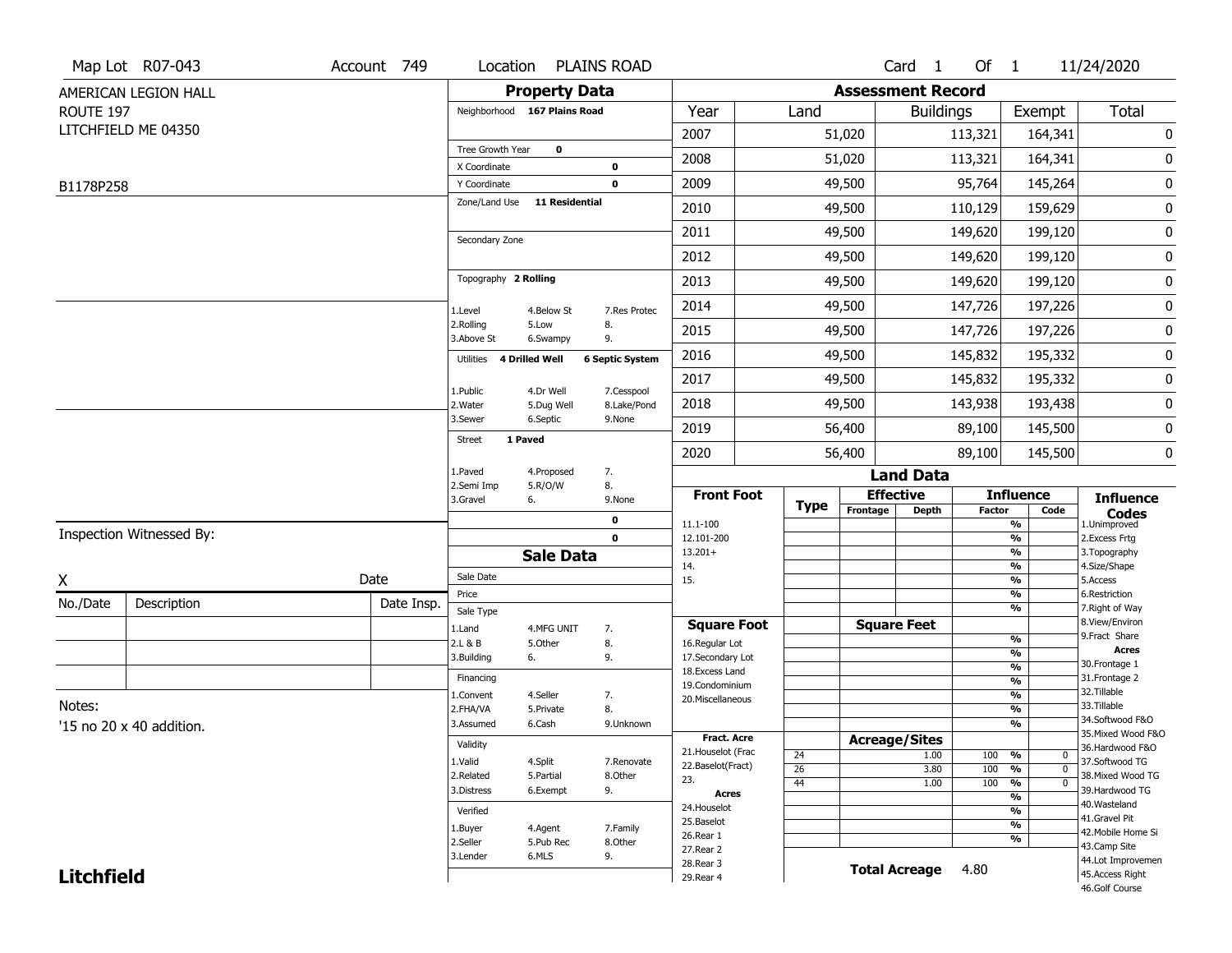|                   | Map Lot R07-043                 | Account 749 | Location                      |                         | <b>PLAINS ROAD</b>        |                                    |                 |          | Card <sub>1</sub>        | Of $1$        |                                           | 11/24/2020                           |
|-------------------|---------------------------------|-------------|-------------------------------|-------------------------|---------------------------|------------------------------------|-----------------|----------|--------------------------|---------------|-------------------------------------------|--------------------------------------|
|                   | AMERICAN LEGION HALL            |             |                               | <b>Property Data</b>    |                           |                                    |                 |          | <b>Assessment Record</b> |               |                                           |                                      |
| ROUTE 197         |                                 |             | Neighborhood 167 Plains Road  |                         |                           | Year                               | Land            |          | <b>Buildings</b>         |               | Exempt                                    | Total                                |
|                   | LITCHFIELD ME 04350             |             |                               |                         |                           | 2007                               |                 | 51,020   |                          | 113,321       | 164,341                                   | 0                                    |
|                   |                                 |             | Tree Growth Year              | 0                       |                           | 2008                               |                 | 51,020   |                          | 113,321       | 164,341                                   | 0                                    |
|                   |                                 |             | X Coordinate                  |                         | 0                         | 2009                               |                 | 49,500   |                          | 95,764        |                                           | 0                                    |
| B1178P258         |                                 |             | Y Coordinate<br>Zone/Land Use | <b>11 Residential</b>   | $\mathbf 0$               |                                    |                 |          |                          |               | 145,264                                   |                                      |
|                   |                                 |             |                               |                         |                           | 2010                               |                 | 49,500   |                          | 110,129       | 159,629                                   | 0                                    |
|                   |                                 |             | Secondary Zone                |                         |                           | 2011                               |                 | 49,500   |                          | 149,620       | 199,120                                   | 0                                    |
|                   |                                 |             |                               |                         |                           | 2012                               |                 | 49,500   |                          | 149,620       | 199,120                                   | 0                                    |
|                   |                                 |             | Topography 2 Rolling          |                         |                           | 2013                               |                 | 49,500   |                          | 149,620       | 199,120                                   | 0                                    |
|                   |                                 |             | 1.Level                       | 4.Below St              | 7.Res Protec              | 2014                               |                 | 49,500   |                          | 147,726       | 197,226                                   | 0                                    |
|                   |                                 |             | 2.Rolling<br>3.Above St       | 5.Low<br>6.Swampy       | 8.<br>9.                  | 2015                               |                 | 49,500   |                          | 147,726       | 197,226                                   | 0                                    |
|                   |                                 |             | 4 Drilled Well<br>Utilities   |                         | <b>6 Septic System</b>    | 2016                               |                 | 49,500   |                          | 145,832       | 195,332                                   | 0                                    |
|                   |                                 |             |                               |                         |                           | 2017                               |                 | 49,500   |                          | 145,832       | 195,332                                   | 0                                    |
|                   |                                 |             | 1.Public<br>2. Water          | 4.Dr Well<br>5.Dug Well | 7.Cesspool<br>8.Lake/Pond | 2018                               |                 | 49,500   |                          | 143,938       | 193,438                                   | 0                                    |
|                   |                                 |             | 3.Sewer                       | 6.Septic                | 9.None                    | 2019                               |                 | 56,400   |                          | 89,100        | 145,500                                   | 0                                    |
|                   |                                 |             | 1 Paved<br>Street             |                         |                           | 2020                               |                 | 56,400   |                          | 89,100        | 145,500                                   | 0                                    |
|                   |                                 |             | 1.Paved                       | 4.Proposed              | 7.                        |                                    |                 |          | <b>Land Data</b>         |               |                                           |                                      |
|                   |                                 |             | 2.Semi Imp<br>3.Gravel        | 5.R/O/W<br>6.           | 8.<br>9.None              | <b>Front Foot</b>                  |                 |          | <b>Effective</b>         |               | <b>Influence</b>                          | <b>Influence</b>                     |
|                   |                                 |             |                               |                         | 0                         | 11.1-100                           | <b>Type</b>     | Frontage | <b>Depth</b>             | <b>Factor</b> | Code<br>%                                 | <b>Codes</b><br>1.Unimproved         |
|                   | Inspection Witnessed By:        |             |                               |                         | $\mathbf 0$               | 12.101-200                         |                 |          |                          |               | %                                         | 2.Excess Frtg                        |
|                   |                                 |             |                               | <b>Sale Data</b>        |                           | $13.201+$<br>14.                   |                 |          |                          |               | %<br>%                                    | 3. Topography<br>4.Size/Shape        |
| X                 |                                 | Date        | Sale Date                     |                         |                           | 15.                                |                 |          |                          |               | %                                         | 5.Access                             |
| No./Date          | Description                     | Date Insp.  | Price<br>Sale Type            |                         |                           |                                    |                 |          |                          |               | $\frac{9}{6}$<br>%                        | 6.Restriction<br>7. Right of Way     |
|                   |                                 |             | 1.Land                        | 4.MFG UNIT              | 7.                        | <b>Square Foot</b>                 |                 |          | <b>Square Feet</b>       |               |                                           | 8.View/Environ                       |
|                   |                                 |             | 2.L & B                       | 5.Other                 | 8.                        | 16.Regular Lot                     |                 |          |                          |               | $\frac{9}{6}$                             | 9. Fract Share<br><b>Acres</b>       |
|                   |                                 |             | 3.Building                    | 6.                      | 9.                        | 17.Secondary Lot<br>18.Excess Land |                 |          |                          |               | %<br>$\frac{9}{6}$                        | 30. Frontage 1                       |
|                   |                                 |             | Financing                     |                         |                           | 19.Condominium                     |                 |          |                          |               | $\overline{\frac{9}{6}}$                  | 31. Frontage 2                       |
| Notes:            |                                 |             | 1.Convent                     | 4.Seller                | 7.                        | 20.Miscellaneous                   |                 |          |                          |               | $\frac{9}{6}$                             | 32. Tillable<br>33.Tillable          |
|                   |                                 |             | 2.FHA/VA<br>3.Assumed         | 5.Private<br>6.Cash     | 8.<br>9.Unknown           |                                    |                 |          |                          |               | $\frac{9}{6}$<br>%                        | 34.Softwood F&O                      |
|                   | '15 no 20 $\times$ 40 addition. |             |                               |                         |                           | Fract. Acre                        |                 |          | <b>Acreage/Sites</b>     |               |                                           | 35. Mixed Wood F&O                   |
|                   |                                 |             | Validity                      |                         |                           | 21. Houselot (Frac                 | 24              |          | 1.00                     | 100           | %<br>0                                    | 36.Hardwood F&O                      |
|                   |                                 |             | 1.Valid                       | 4.Split                 | 7.Renovate                | 22.Baselot(Fract)                  | $\overline{26}$ |          | 3.80                     | 100           | $\overline{0}$<br>%                       | 37.Softwood TG<br>38. Mixed Wood TG  |
|                   |                                 |             | 2.Related<br>3.Distress       | 5.Partial<br>6.Exempt   | 8.Other<br>9.             | 23.                                | 44              |          | 1.00                     | 100           | $\frac{1}{\sqrt{6}}$<br>$\overline{0}$    | 39.Hardwood TG                       |
|                   |                                 |             |                               |                         |                           | <b>Acres</b><br>24. Houselot       |                 |          |                          |               | $\frac{9}{6}$                             | 40. Wasteland                        |
|                   |                                 |             | Verified                      |                         |                           | 25.Baselot                         |                 |          |                          |               | $\overline{\frac{9}{6}}$<br>$\frac{9}{6}$ | 41.Gravel Pit                        |
|                   |                                 |             | 1.Buyer<br>2.Seller           | 4.Agent<br>5.Pub Rec    | 7.Family<br>8.Other       | 26.Rear 1                          |                 |          |                          |               | %                                         | 42. Mobile Home Si                   |
|                   |                                 |             |                               |                         |                           |                                    |                 |          |                          |               |                                           | 43.Camp Site                         |
|                   |                                 |             |                               |                         |                           | 27. Rear 2                         |                 |          |                          |               |                                           |                                      |
| <b>Litchfield</b> |                                 |             | 3.Lender                      | 6.MLS                   | 9.                        | 28. Rear 3<br>29. Rear 4           |                 |          | <b>Total Acreage</b>     | 4.80          |                                           | 44.Lot Improvemen<br>45.Access Right |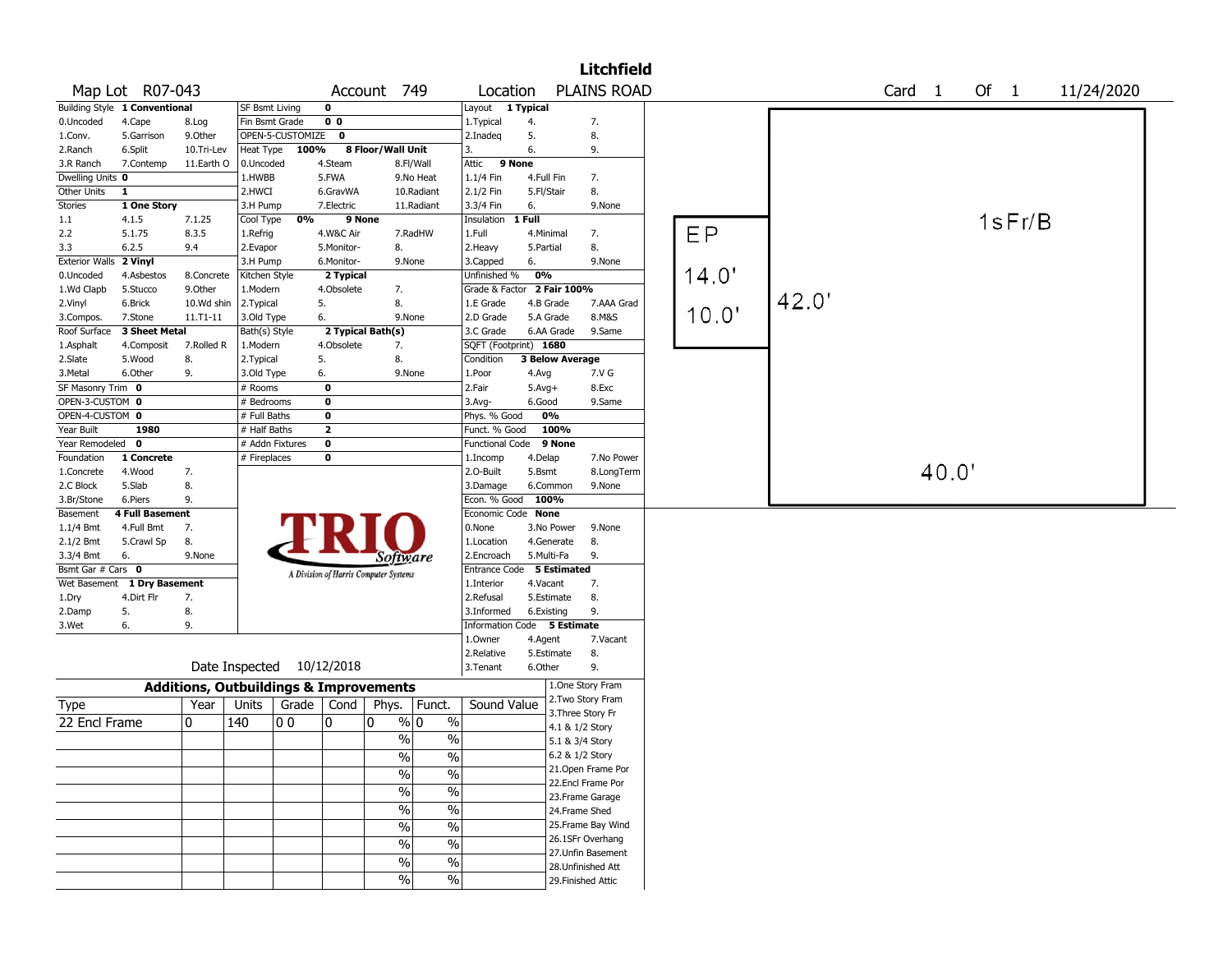|                              |                               |                                                   |                       |                  |                   |                                       |                          |                             |                        |                                    | <b>Litchfield</b>                      |       |       |        |        |            |  |
|------------------------------|-------------------------------|---------------------------------------------------|-----------------------|------------------|-------------------|---------------------------------------|--------------------------|-----------------------------|------------------------|------------------------------------|----------------------------------------|-------|-------|--------|--------|------------|--|
|                              | Map Lot R07-043               |                                                   |                       |                  |                   | Account 749                           |                          | Location                    |                        |                                    | <b>PLAINS ROAD</b>                     |       |       | Card 1 | Of $1$ | 11/24/2020 |  |
|                              | Building Style 1 Conventional |                                                   | <b>SF Bsmt Living</b> |                  | $\mathbf 0$       |                                       |                          | Layout 1 Typical            |                        |                                    |                                        |       |       |        |        |            |  |
| 0.Uncoded                    | 4.Cape                        | 8.Log                                             | Fin Bsmt Grade        |                  | 0 <sub>0</sub>    |                                       |                          | 1. Typical                  | 4.                     |                                    | 7.                                     |       |       |        |        |            |  |
| 1.Conv.                      | 5.Garrison                    | 9.0ther                                           |                       | OPEN-5-CUSTOMIZE | $\mathbf 0$       |                                       |                          | 2.Inadeg                    | 5.                     |                                    | 8.                                     |       |       |        |        |            |  |
| 2.Ranch                      | 6.Split                       | 10.Tri-Lev                                        | Heat Type             | 100%             |                   | 8 Floor/Wall Unit                     |                          | 3.                          | 6.                     |                                    | 9.                                     |       |       |        |        |            |  |
| 3.R Ranch                    | 7.Contemp                     | 11.Earth O                                        | 0.Uncoded             |                  | 4.Steam           |                                       | 8.Fl/Wall                | 9 None<br>Attic             |                        |                                    |                                        |       |       |        |        |            |  |
| Dwelling Units 0             |                               |                                                   | 1.HWBB                |                  | 5.FWA             |                                       | 9.No Heat                | 1.1/4 Fin                   | 4.Full Fin             |                                    | 7.                                     |       |       |        |        |            |  |
| Other Units                  | $\mathbf{1}$                  |                                                   | 2.HWCI                |                  | 6.GravWA          |                                       | 10.Radiant               | 2.1/2 Fin                   | 5.Fl/Stair             |                                    | 8.                                     |       |       |        |        |            |  |
| Stories                      | 1 One Story                   |                                                   | 3.H Pump              |                  | 7.Electric        |                                       | 11.Radiant               | 3.3/4 Fin                   | 6.                     |                                    | 9.None                                 |       |       |        |        |            |  |
| 1.1                          | 4.1.5                         | 7.1.25                                            | Cool Type             | 0%               |                   | 9 None                                |                          | Insulation                  | $1$ Full               |                                    |                                        |       |       |        | 1sFr/B |            |  |
| 2.2                          | 5.1.75                        | 8.3.5                                             | 1.Refrig              |                  | 4.W&C Air         |                                       | 7.RadHW                  | 1.Full                      | 4.Minimal              |                                    | 7.                                     | EP    |       |        |        |            |  |
| 3.3                          | 6.2.5                         | 9.4                                               | 2.Evapor              |                  | 5.Monitor-        | 8.                                    |                          | 2.Heavy                     | 5.Partial              |                                    | 8.                                     |       |       |        |        |            |  |
| <b>Exterior Walls</b>        | 2 Vinyl                       |                                                   | 3.H Pump              |                  | 6.Monitor-        | 9.None                                |                          | 3.Capped                    | 6.                     |                                    | 9.None                                 |       |       |        |        |            |  |
| 0.Uncoded                    | 4.Asbestos                    | 8.Concrete                                        | Kitchen Style         |                  | 2 Typical         |                                       |                          | Unfinished %                | 0%                     |                                    |                                        | 14.0' |       |        |        |            |  |
| 1.Wd Clapb                   | 5.Stucco                      | 9.0ther                                           | 1.Modern              |                  | 4.Obsolete        | 7.                                    |                          | Grade & Factor              |                        | 2 Fair 100%                        |                                        |       | 42.0' |        |        |            |  |
| 2.Vinyl                      | 6.Brick                       | 10.Wd shin                                        | 2. Typical            |                  | 5.                | 8.                                    |                          | 1.E Grade                   | 4.B Grade              |                                    | 7.AAA Grad                             | 10.0' |       |        |        |            |  |
| 3.Compos.                    | 7.Stone                       | 11.T1-11                                          | 3.Old Type            |                  | 6.                | 9.None                                |                          | 2.D Grade                   | 5.A Grade              |                                    | 8.M&S                                  |       |       |        |        |            |  |
| Roof Surface                 | 3 Sheet Metal                 |                                                   | Bath(s) Style         |                  |                   | 2 Typical Bath(s)                     |                          | 3.C Grade                   | 6.AA Grade             |                                    | 9.Same                                 |       |       |        |        |            |  |
| 1.Asphalt                    | 4.Composit                    | 7.Rolled R                                        | 1.Modern              |                  | 4.Obsolete        | 7.                                    |                          | SQFT (Footprint) 1680       |                        |                                    |                                        |       |       |        |        |            |  |
| 2.Slate                      | 5.Wood                        | 8.                                                | 2. Typical            |                  | 5.                | 8.                                    |                          | Condition                   | <b>3 Below Average</b> |                                    |                                        |       |       |        |        |            |  |
| 3.Metal<br>SF Masonry Trim 0 | 6.Other                       | 9.                                                | 3.Old Type<br># Rooms |                  | 6.<br>$\mathbf 0$ | 9.None                                |                          | 1.Poor<br>2.Fair            | 4.Avg                  |                                    | 7.V G<br>8.Exc                         |       |       |        |        |            |  |
| OPEN-3-CUSTOM 0              |                               |                                                   | # Bedrooms            |                  | 0                 |                                       |                          | $3.$ Avg-                   | $5.Avg+$<br>6.Good     |                                    | 9.Same                                 |       |       |        |        |            |  |
| OPEN-4-CUSTOM 0              |                               |                                                   | # Full Baths          |                  | $\mathbf 0$       |                                       |                          | Phys. % Good                | 0%                     |                                    |                                        |       |       |        |        |            |  |
| Year Built                   | 1980                          |                                                   | # Half Baths          |                  | $\overline{2}$    |                                       |                          | Funct. % Good               |                        | 100%                               |                                        |       |       |        |        |            |  |
| Year Remodeled               | $\mathbf 0$                   |                                                   | # Addn Fixtures       |                  | $\mathbf 0$       |                                       |                          | <b>Functional Code</b>      |                        | 9 None                             |                                        |       |       |        |        |            |  |
| Foundation                   | 1 Concrete                    |                                                   | # Fireplaces          |                  | 0                 |                                       |                          | 1.Incomp                    | 4.Delap                |                                    | 7.No Power                             |       |       |        |        |            |  |
| 1.Concrete                   | 4.Wood                        | 7.                                                |                       |                  |                   |                                       |                          | 2.O-Built                   | 5.Bsmt                 |                                    | 8.LongTerm                             |       |       | 40.0'  |        |            |  |
| 2.C Block                    | 5.Slab                        | 8.                                                |                       |                  |                   |                                       |                          | 3.Damage                    | 6.Common               |                                    | 9.None                                 |       |       |        |        |            |  |
| 3.Br/Stone                   | 6.Piers                       | 9.                                                |                       |                  |                   |                                       |                          | Econ. % Good                | 100%                   |                                    |                                        |       |       |        |        |            |  |
| Basement                     | <b>4 Full Basement</b>        |                                                   |                       |                  |                   |                                       |                          | Economic Code None          |                        |                                    |                                        |       |       |        |        |            |  |
| 1.1/4 Bmt                    | 4.Full Bmt                    | 7.                                                |                       |                  |                   |                                       |                          | 0.None                      | 3.No Power             |                                    | 9.None                                 |       |       |        |        |            |  |
| 2.1/2 Bmt                    | 5.Crawl Sp                    | 8.                                                |                       |                  |                   |                                       |                          | 1.Location                  | 4.Generate             |                                    | 8.                                     |       |       |        |        |            |  |
| 3.3/4 Bmt                    | 6.                            | 9.None                                            |                       |                  |                   | Software                              |                          | 2.Encroach                  | 5.Multi-Fa             |                                    | 9.                                     |       |       |        |        |            |  |
| Bsmt Gar # Cars 0            |                               |                                                   |                       |                  |                   | A Division of Harris Computer Systems |                          | Entrance Code               |                        | 5 Estimated                        |                                        |       |       |        |        |            |  |
|                              | Wet Basement 1 Dry Basement   |                                                   |                       |                  |                   |                                       |                          | 1.Interior                  | 4.Vacant               |                                    | 7.                                     |       |       |        |        |            |  |
| 1.Dry                        | 4.Dirt Flr                    | 7.                                                |                       |                  |                   |                                       |                          | 2.Refusal                   | 5.Estimate             |                                    | 8.                                     |       |       |        |        |            |  |
| 2.Damp                       | 5.                            | 8.                                                |                       |                  |                   |                                       |                          | 3.Informed                  | 6.Existing             |                                    | 9.                                     |       |       |        |        |            |  |
| 3.Wet                        | 6.                            | 9.                                                |                       |                  |                   |                                       |                          | Information Code 5 Estimate |                        |                                    |                                        |       |       |        |        |            |  |
|                              |                               |                                                   |                       |                  |                   |                                       |                          | 1.0wner                     | 4.Agent                |                                    | 7.Vacant                               |       |       |        |        |            |  |
|                              |                               |                                                   |                       |                  |                   |                                       |                          | 2.Relative                  | 5.Estimate             |                                    | 8.                                     |       |       |        |        |            |  |
|                              |                               | Date Inspected 10/12/2018                         |                       |                  |                   |                                       |                          | 3. Tenant                   | 6.Other                |                                    | 9.                                     |       |       |        |        |            |  |
|                              |                               | <b>Additions, Outbuildings &amp; Improvements</b> |                       |                  |                   |                                       |                          |                             |                        |                                    | 1.One Story Fram                       |       |       |        |        |            |  |
| Type                         |                               | Year                                              | Units                 | Grade   Cond     |                   | Phys.                                 | Funct.                   | Sound Value                 |                        |                                    | 2. Two Story Fram<br>3. Three Story Fr |       |       |        |        |            |  |
| 22 Encl Frame                |                               | 10                                                | 140                   | 00               | 10                | 0                                     | % 0<br>$\%$              |                             |                        |                                    |                                        |       |       |        |        |            |  |
|                              |                               |                                                   |                       |                  |                   | $\frac{0}{0}$                         | $\%$                     |                             |                        | 4.1 & 1/2 Story<br>5.1 & 3/4 Story |                                        |       |       |        |        |            |  |
|                              |                               |                                                   |                       |                  |                   |                                       |                          |                             |                        | 6.2 & 1/2 Story                    |                                        |       |       |        |        |            |  |
|                              |                               |                                                   |                       |                  |                   | %                                     | %                        |                             |                        |                                    | 21. Open Frame Por                     |       |       |        |        |            |  |
|                              |                               |                                                   |                       |                  |                   | $\frac{0}{6}$                         | $\overline{\frac{0}{0}}$ |                             |                        |                                    | 22.Encl Frame Por                      |       |       |        |        |            |  |
|                              |                               |                                                   |                       |                  |                   | $\frac{1}{2}$                         | $\overline{\frac{0}{0}}$ |                             |                        |                                    | 23. Frame Garage                       |       |       |        |        |            |  |
|                              |                               |                                                   |                       |                  |                   | %                                     | $\overline{\frac{0}{0}}$ |                             |                        | 24.Frame Shed                      |                                        |       |       |        |        |            |  |
|                              |                               |                                                   |                       |                  |                   | $\frac{1}{2}$                         | $\overline{\frac{0}{0}}$ |                             |                        |                                    | 25. Frame Bay Wind                     |       |       |        |        |            |  |
|                              |                               |                                                   |                       |                  |                   |                                       |                          |                             |                        |                                    | 26.1SFr Overhang                       |       |       |        |        |            |  |
|                              |                               |                                                   |                       |                  |                   | $\frac{0}{0}$                         | $\frac{0}{0}$            |                             |                        |                                    | 27. Unfin Basement                     |       |       |        |        |            |  |
|                              |                               |                                                   |                       |                  |                   | $\%$                                  | $\%$                     |                             |                        |                                    | 28. Unfinished Att                     |       |       |        |        |            |  |
|                              |                               |                                                   |                       |                  |                   | $\frac{9}{6}$                         | $\frac{9}{6}$            |                             |                        |                                    | 29. Finished Attic                     |       |       |        |        |            |  |
|                              |                               |                                                   |                       |                  |                   |                                       |                          |                             |                        |                                    |                                        |       |       |        |        |            |  |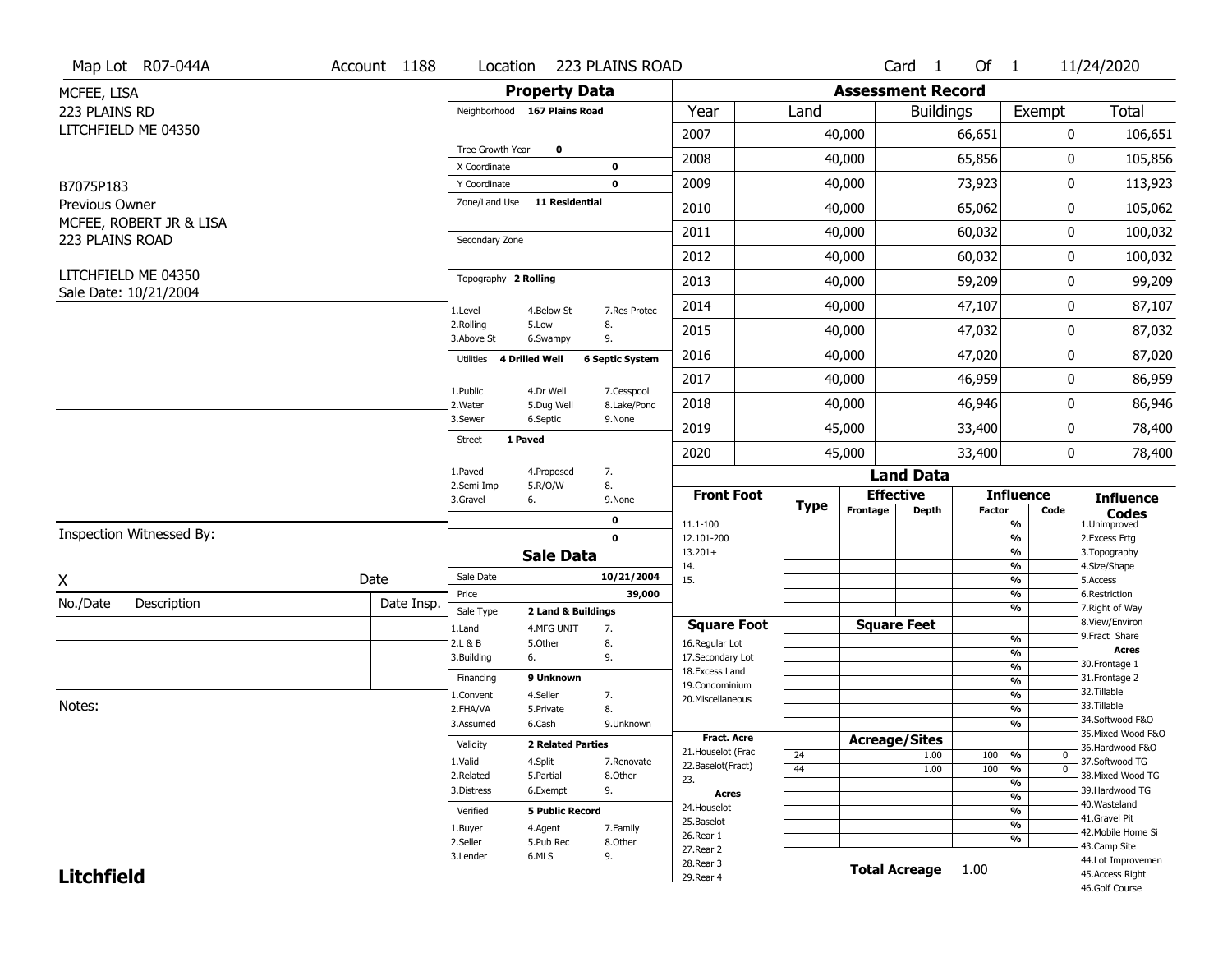|                   | Map Lot R07-044A         | Account 1188 | Location                     |                                  | 223 PLAINS ROAD        |                                          |             |                          | Card <sub>1</sub>    | Of $1$        |                                      | 11/24/2020                            |
|-------------------|--------------------------|--------------|------------------------------|----------------------------------|------------------------|------------------------------------------|-------------|--------------------------|----------------------|---------------|--------------------------------------|---------------------------------------|
| MCFEE, LISA       |                          |              |                              | <b>Property Data</b>             |                        |                                          |             | <b>Assessment Record</b> |                      |               |                                      |                                       |
| 223 PLAINS RD     |                          |              | Neighborhood 167 Plains Road |                                  |                        | Year                                     | Land        |                          | <b>Buildings</b>     |               | Exempt                               | <b>Total</b>                          |
|                   | LITCHFIELD ME 04350      |              |                              |                                  |                        | 2007                                     |             | 40,000                   |                      | 66,651        | 0                                    | 106,651                               |
|                   |                          |              | Tree Growth Year             | $\mathbf 0$                      |                        | 2008                                     |             | 40,000                   |                      | 65,856        | 0                                    | 105,856                               |
|                   |                          |              | X Coordinate                 |                                  | $\bf{0}$               |                                          |             |                          |                      |               |                                      |                                       |
| B7075P183         |                          |              | Y Coordinate                 | 11 Residential                   | $\mathbf 0$            | 2009                                     |             | 40,000                   |                      | 73,923        | 0                                    | 113,923                               |
| Previous Owner    | MCFEE, ROBERT JR & LISA  |              | Zone/Land Use                |                                  |                        | 2010                                     |             | 40,000                   |                      | 65,062        | 0                                    | 105,062                               |
| 223 PLAINS ROAD   |                          |              | Secondary Zone               |                                  |                        | 2011                                     |             | 40,000                   |                      | 60,032        | 0                                    | 100,032                               |
|                   |                          |              |                              |                                  |                        | 2012                                     |             | 40,000                   |                      | 60,032        | 0                                    | 100,032                               |
|                   | LITCHFIELD ME 04350      |              | Topography 2 Rolling         |                                  |                        | 2013                                     |             | 40,000                   |                      | 59,209        | 0                                    | 99,209                                |
|                   | Sale Date: 10/21/2004    |              | 1.Level                      | 4.Below St                       | 7.Res Protec           | 2014                                     |             | 40,000                   |                      | 47,107        | 0                                    | 87,107                                |
|                   |                          |              | 2.Rolling<br>3.Above St      | 5.Low<br>6.Swampy                | 8.<br>9.               | 2015                                     |             | 40,000                   |                      | 47,032        | 0                                    | 87,032                                |
|                   |                          |              | 4 Drilled Well<br>Utilities  |                                  | <b>6 Septic System</b> | 2016                                     |             | 40,000                   |                      | 47,020        | 0                                    | 87,020                                |
|                   |                          |              | 1.Public                     | 4.Dr Well                        | 7.Cesspool             | 2017                                     |             | 40,000                   |                      | 46,959        | 0                                    | 86,959                                |
|                   |                          |              | 2. Water                     | 5.Dug Well                       | 8.Lake/Pond            | 2018                                     |             | 40,000                   |                      | 46,946        | 0                                    | 86,946                                |
|                   |                          |              | 3.Sewer<br>1 Paved           | 6.Septic                         | 9.None                 | 2019                                     |             | 45,000                   |                      | 33,400        | 0                                    | 78,400                                |
|                   |                          |              | Street                       |                                  |                        | 2020                                     |             | 45,000                   |                      | 33,400        | 0                                    | 78,400                                |
|                   |                          |              | 1.Paved                      | 4.Proposed                       | 7.                     |                                          |             |                          | <b>Land Data</b>     |               |                                      |                                       |
|                   |                          |              | 2.Semi Imp<br>3.Gravel<br>6. | 5.R/O/W                          | 8.<br>9.None           | <b>Front Foot</b>                        | <b>Type</b> |                          | <b>Effective</b>     |               | <b>Influence</b>                     | <b>Influence</b>                      |
|                   |                          |              |                              |                                  | 0                      | 11.1-100                                 |             | Frontage                 | <b>Depth</b>         | <b>Factor</b> | Code<br>%                            | <b>Codes</b><br>1.Unimproved          |
|                   | Inspection Witnessed By: |              |                              |                                  | $\mathbf 0$            | 12.101-200                               |             |                          |                      |               | $\frac{9}{6}$                        | 2.Excess Frtg                         |
|                   |                          |              |                              | <b>Sale Data</b>                 |                        | $13.201+$<br>14.                         |             |                          |                      |               | %<br>%                               | 3. Topography<br>4.Size/Shape         |
| X                 |                          | Date         | Sale Date                    |                                  | 10/21/2004             | 15.                                      |             |                          |                      |               | $\frac{9}{6}$                        | 5.Access                              |
| No./Date          | Description              | Date Insp.   | Price                        |                                  | 39,000                 |                                          |             |                          |                      |               | $\frac{9}{6}$<br>%                   | 6.Restriction<br>7. Right of Way      |
|                   |                          |              | Sale Type<br>1.Land          | 2 Land & Buildings<br>4.MFG UNIT | 7.                     | <b>Square Foot</b>                       |             |                          | <b>Square Feet</b>   |               |                                      | 8.View/Environ                        |
|                   |                          |              | 2.L & B                      | 5.Other                          | 8.                     | 16.Regular Lot                           |             |                          |                      |               | $\frac{9}{6}$                        | 9. Fract Share                        |
|                   |                          |              | 3.Building<br>6.             |                                  | 9.                     | 17.Secondary Lot                         |             |                          |                      |               | $\frac{9}{6}$<br>$\frac{9}{6}$       | <b>Acres</b><br>30. Frontage 1        |
|                   |                          |              | Financing                    | 9 Unknown                        |                        | 18.Excess Land<br>19.Condominium         |             |                          |                      |               | $\frac{9}{6}$                        | 31. Frontage 2                        |
|                   |                          |              | 1.Convent                    | 4.Seller                         | 7.                     | 20.Miscellaneous                         |             |                          |                      |               | $\frac{9}{6}$                        | 32. Tillable                          |
| Notes:            |                          |              | 2.FHA/VA                     | 5.Private                        | 8.                     |                                          |             |                          |                      |               | $\frac{9}{6}$                        | 33.Tillable                           |
|                   |                          |              | 3.Assumed                    | 6.Cash                           | 9.Unknown              |                                          |             |                          |                      |               | $\overline{\frac{9}{6}}$             | 34.Softwood F&O<br>35. Mixed Wood F&O |
|                   |                          |              | Validity                     | <b>2 Related Parties</b>         |                        | <b>Fract. Acre</b><br>21. Houselot (Frac |             | <b>Acreage/Sites</b>     |                      |               |                                      | 36.Hardwood F&O                       |
|                   |                          |              | 1.Valid                      | 4.Split                          | 7.Renovate             | 22.Baselot(Fract)                        | 24          |                          | 1.00                 | 100           | %<br>0                               | 37.Softwood TG                        |
|                   |                          |              | 2.Related                    | 5.Partial                        | 8.Other                | 23.                                      | 44          |                          | 1.00                 | 100           | $\overline{0}$<br>%<br>$\frac{9}{6}$ | 38. Mixed Wood TG                     |
|                   |                          |              | 3.Distress                   | 6.Exempt                         | 9.                     | <b>Acres</b>                             |             |                          |                      |               | $\frac{9}{6}$                        | 39.Hardwood TG                        |
|                   |                          |              | Verified                     | <b>5 Public Record</b>           |                        | 24. Houselot                             |             |                          |                      |               | $\frac{9}{6}$                        | 40. Wasteland                         |
|                   |                          |              | 1.Buyer                      | 4.Agent                          | 7.Family               | 25.Baselot                               |             |                          |                      |               | $\frac{9}{6}$                        | 41.Gravel Pit                         |
|                   |                          |              |                              |                                  |                        |                                          |             |                          |                      |               |                                      | 42. Mobile Home Si                    |
|                   |                          |              |                              |                                  |                        | 26.Rear 1                                |             |                          |                      |               | $\frac{9}{6}$                        |                                       |
|                   |                          |              | 2.Seller<br>3.Lender         | 5.Pub Rec<br>6.MLS               | 8.Other                | 27.Rear 2                                |             |                          |                      |               |                                      | 43.Camp Site                          |
| <b>Litchfield</b> |                          |              |                              |                                  | 9.                     | 28. Rear 3<br>29. Rear 4                 |             |                          | <b>Total Acreage</b> | 1.00          |                                      | 44.Lot Improvemen<br>45.Access Right  |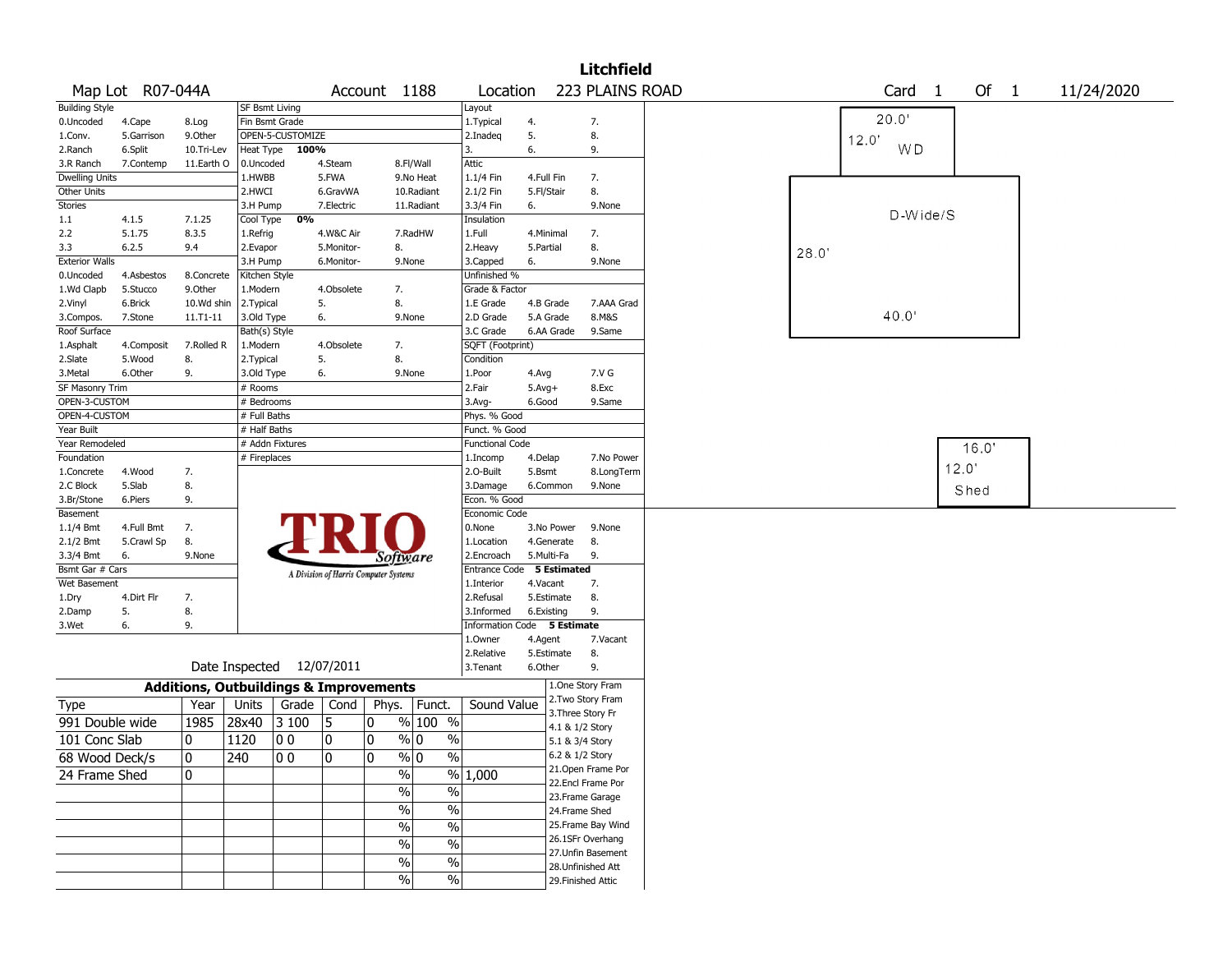|                       |                  |                                                   |                |                           |                                       |               |                       |                             |            |                 | <b>Litchfield</b>  |                                         |
|-----------------------|------------------|---------------------------------------------------|----------------|---------------------------|---------------------------------------|---------------|-----------------------|-----------------------------|------------|-----------------|--------------------|-----------------------------------------|
|                       | Map Lot R07-044A |                                                   |                |                           |                                       | Account 1188  |                       | Location                    |            |                 | 223 PLAINS ROAD    | Of 1<br>Card <sub>1</sub><br>11/24/2020 |
| <b>Building Style</b> |                  |                                                   | SF Bsmt Living |                           |                                       |               |                       | Layout                      |            |                 |                    |                                         |
| 0.Uncoded             | 4.Cape           | 8.Log                                             | Fin Bsmt Grade |                           |                                       |               |                       | 1.Typical                   | 4.         |                 | 7.                 | 20.0'                                   |
| 1.Conv.               | 5.Garrison       | 9.0ther                                           |                | OPEN-5-CUSTOMIZE          |                                       |               |                       | 2.Inadeg                    | 5.         |                 | 8.                 | 12.0'                                   |
| 2.Ranch               | 6.Split          | 10.Tri-Lev                                        | Heat Type      | 100%                      |                                       |               |                       | 3.                          | 6.         |                 | 9.                 | <b>WD</b>                               |
| 3.R Ranch             | 7.Contemp        | 11.Earth O                                        | 0.Uncoded      |                           | 4.Steam                               |               | 8.Fl/Wall             | Attic                       |            |                 |                    |                                         |
| <b>Dwelling Units</b> |                  |                                                   | 1.HWBB         |                           | 5.FWA                                 |               | 9.No Heat             | 1.1/4 Fin                   | 4.Full Fin |                 | 7.                 |                                         |
| Other Units           |                  |                                                   | 2.HWCI         |                           | 6.GravWA                              |               | 10.Radiant            | 2.1/2 Fin                   | 5.Fl/Stair |                 | 8.                 |                                         |
| Stories               |                  |                                                   | 3.H Pump       |                           | 7.Electric                            |               | 11.Radiant            | 3.3/4 Fin                   | 6.         |                 | 9.None             |                                         |
| 1.1                   | 4.1.5            | 7.1.25                                            | Cool Type      | 0%                        |                                       |               |                       | Insulation                  |            |                 |                    | D-Wide/S                                |
| 2.2                   | 5.1.75           | 8.3.5                                             | 1.Refrig       |                           | 4.W&C Air                             |               | 7.RadHW               | 1.Full                      | 4.Minimal  |                 | 7.                 |                                         |
| 3.3                   | 6.2.5            | 9.4                                               | 2.Evapor       |                           | 5.Monitor-                            | 8.            |                       | 2.Heavy                     | 5.Partial  |                 | 8.                 | 28.0                                    |
| <b>Exterior Walls</b> |                  |                                                   | 3.H Pump       |                           | 6.Monitor-                            |               | 9.None                | 3.Capped                    | 6.         |                 | 9.None             |                                         |
| 0.Uncoded             | 4.Asbestos       | 8.Concrete                                        | Kitchen Style  |                           |                                       |               |                       | Unfinished %                |            |                 |                    |                                         |
| 1.Wd Clapb            | 5.Stucco         | 9.0ther                                           | 1.Modern       |                           | 4.Obsolete                            | 7.            |                       | Grade & Factor              |            |                 |                    |                                         |
| 2.Vinyl               | 6.Brick          | 10.Wd shin                                        | 2. Typical     |                           | 5.                                    | 8.            |                       | 1.E Grade                   |            | 4.B Grade       | 7.AAA Grad         |                                         |
| 3.Compos.             | 7.Stone          | 11.T1-11                                          | 3.Old Type     |                           | 6.                                    |               | 9.None                | 2.D Grade                   |            | 5.A Grade       | 8.M&S              | 40.0                                    |
| Roof Surface          |                  |                                                   | Bath(s) Style  |                           |                                       |               |                       | 3.C Grade                   |            | 6.AA Grade      | 9.Same             |                                         |
| 1.Asphalt             | 4.Composit       | 7.Rolled R                                        | 1.Modern       |                           | 4.Obsolete                            | 7.            |                       | SQFT (Footprint)            |            |                 |                    |                                         |
| 2.Slate               | 5.Wood           | 8.                                                | 2. Typical     |                           | 5.                                    | 8.            |                       | Condition                   |            |                 |                    |                                         |
| 3.Metal               | 6.Other          | 9.                                                | 3.Old Type     |                           | 6.                                    |               | 9.None                | 1.Poor                      | 4.Avg      |                 | 7.V G              |                                         |
| SF Masonry Trim       |                  |                                                   | # Rooms        |                           |                                       |               |                       | 2.Fair                      | $5.Avg+$   |                 | 8.Exc              |                                         |
| OPEN-3-CUSTOM         |                  |                                                   | # Bedrooms     |                           |                                       |               |                       | $3.$ Avg-                   | 6.Good     |                 | 9.Same             |                                         |
| OPEN-4-CUSTOM         |                  |                                                   | # Full Baths   |                           |                                       |               |                       | Phys. % Good                |            |                 |                    |                                         |
| Year Built            |                  |                                                   | # Half Baths   |                           |                                       |               |                       | Funct. % Good               |            |                 |                    |                                         |
| Year Remodeled        |                  |                                                   |                | # Addn Fixtures           |                                       |               |                       | <b>Functional Code</b>      |            |                 |                    | 16.0'                                   |
| Foundation            |                  |                                                   | # Fireplaces   |                           |                                       |               |                       | 1.Incomp                    | 4.Delap    |                 | 7.No Power         |                                         |
| 1.Concrete            | 4.Wood           | 7.                                                |                |                           |                                       |               |                       | 2.O-Built                   | 5.Bsmt     |                 | 8.LongTerm         | 12.0'                                   |
| 2.C Block             | 5.Slab           | 8.                                                |                |                           |                                       |               |                       | 3.Damage                    |            | 6.Common        | 9.None             | Shed                                    |
| 3.Br/Stone            | 6.Piers          | 9.                                                |                |                           |                                       |               |                       | Econ. % Good                |            |                 |                    |                                         |
| Basement              |                  |                                                   |                |                           |                                       |               |                       | Economic Code               |            |                 |                    |                                         |
| $1.1/4$ Bmt           | 4.Full Bmt       | 7.                                                |                |                           |                                       |               |                       | 0.None                      |            | 3.No Power      | 9.None             |                                         |
| 2.1/2 Bmt             | 5.Crawl Sp       | 8.                                                |                |                           |                                       |               |                       | 1.Location                  |            | 4.Generate      | 8.                 |                                         |
| 3.3/4 Bmt             | 6.               | 9.None                                            |                |                           |                                       | Software      |                       | 2.Encroach                  |            | 5.Multi-Fa      | 9.                 |                                         |
| Bsmt Gar # Cars       |                  |                                                   |                |                           | A Division of Harris Computer Systems |               |                       | Entrance Code 5 Estimated   |            |                 |                    |                                         |
| Wet Basement          |                  |                                                   |                |                           |                                       |               |                       | 1.Interior                  | 4.Vacant   |                 | 7.                 |                                         |
| 1.Dry                 | 4.Dirt Flr       | 7.                                                |                |                           |                                       |               |                       | 2.Refusal                   |            | 5.Estimate      | 8.                 |                                         |
| 2.Damp                | 5.               | 8.                                                |                |                           |                                       |               |                       | 3.Informed                  | 6.Existing |                 | 9.                 |                                         |
| 3.Wet                 | 6.               | 9.                                                |                |                           |                                       |               |                       | Information Code 5 Estimate |            |                 |                    |                                         |
|                       |                  |                                                   |                |                           |                                       |               |                       | 1.Owner                     | 4.Agent    |                 | 7.Vacant           |                                         |
|                       |                  |                                                   |                |                           |                                       |               |                       | 2.Relative                  |            | 5.Estimate      | 8.                 |                                         |
|                       |                  |                                                   |                | Date Inspected 12/07/2011 |                                       |               |                       | 3. Tenant                   | 6.Other    |                 | 9.                 |                                         |
|                       |                  | <b>Additions, Outbuildings &amp; Improvements</b> |                |                           |                                       |               |                       |                             |            |                 | 1.One Story Fram   |                                         |
| <b>Type</b>           |                  | Year                                              | Units          | Grade                     | Cond                                  | Phys.         | Funct.                | Sound Value                 |            |                 | 2. Two Story Fram  |                                         |
| 991 Double wide       |                  | 1985                                              | 28x40          | 3 100                     | 5                                     | 0             | % 100 %               |                             |            |                 | 3. Three Story Fr  |                                         |
|                       |                  |                                                   |                |                           |                                       |               |                       |                             |            | 4.1 & 1/2 Story |                    |                                         |
| 101 Conc Slab         |                  | 0                                                 | 1120           | 00                        | 10                                    | 0             | $\sqrt[6]{0}$<br>$\%$ |                             |            | 5.1 & 3/4 Story |                    |                                         |
| 68 Wood Deck/s        |                  | 10                                                | 240            | 00                        | 10                                    | 10            | % 0<br>%              |                             |            |                 | 6.2 & 1/2 Story    |                                         |
| 24 Frame Shed         |                  | 10                                                |                |                           |                                       | $\frac{1}{2}$ |                       | % 1,000                     |            |                 | 21. Open Frame Por |                                         |
|                       |                  |                                                   |                |                           |                                       | $\sqrt{6}$    | $\%$                  |                             |            |                 | 22.Encl Frame Por  |                                         |
|                       |                  |                                                   |                |                           |                                       |               |                       |                             |            |                 | 23. Frame Garage   |                                         |
|                       |                  |                                                   |                |                           |                                       | $\sqrt{6}$    | $\%$                  |                             |            | 24.Frame Shed   |                    |                                         |
|                       |                  |                                                   |                |                           |                                       | $\sqrt{6}$    | $\%$                  |                             |            |                 | 25. Frame Bay Wind |                                         |
|                       |                  |                                                   |                |                           |                                       | $\%$          | $\%$                  |                             |            |                 | 26.1SFr Overhang   |                                         |
|                       |                  |                                                   |                |                           |                                       |               |                       |                             |            |                 | 27.Unfin Basement  |                                         |
|                       |                  |                                                   |                |                           |                                       | $\%$          | $\%$                  |                             |            |                 | 28. Unfinished Att |                                         |
|                       |                  |                                                   |                |                           |                                       | $\sqrt{6}$    | $\%$                  |                             |            |                 | 29. Finished Attic |                                         |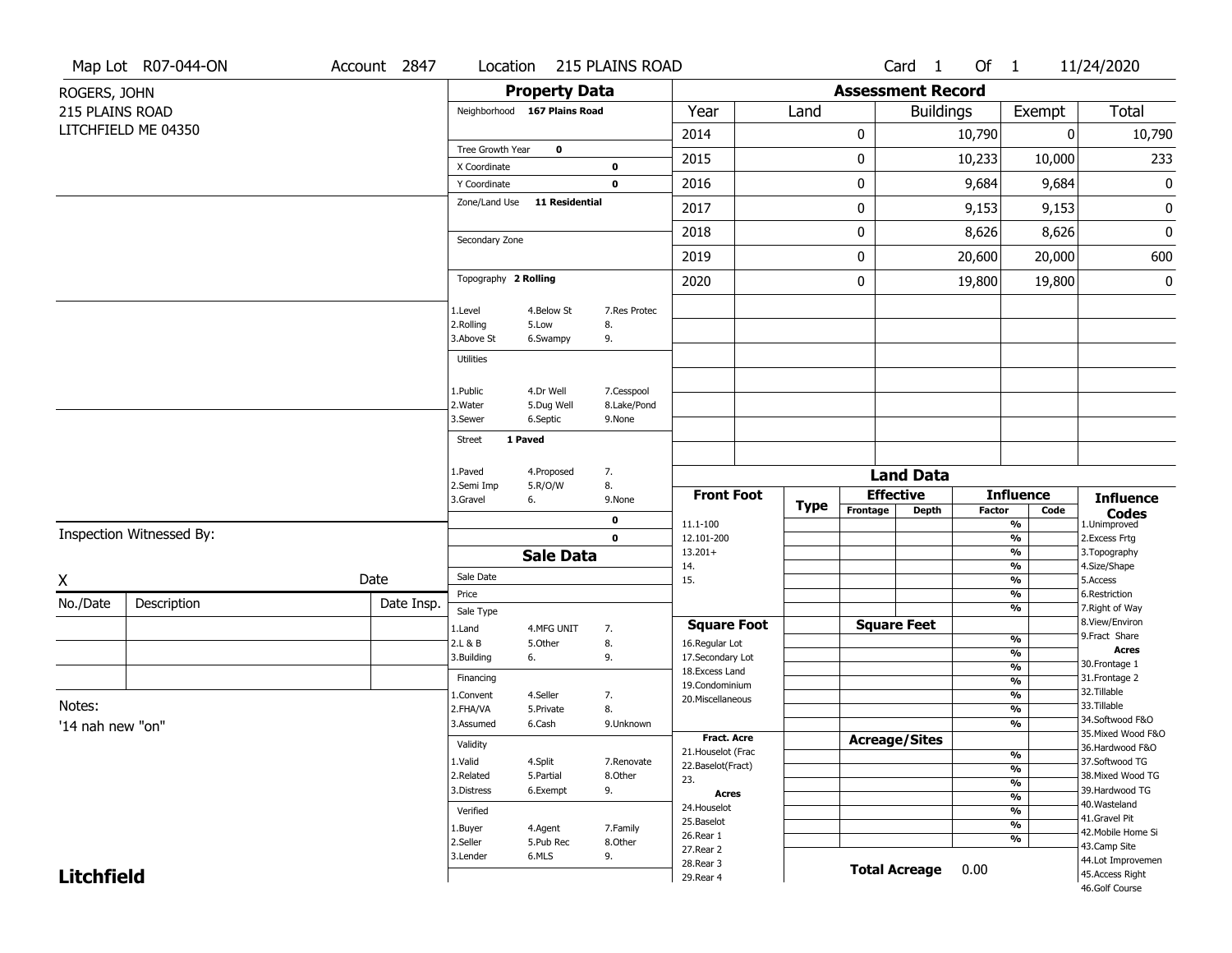|                   | Map Lot R07-044-ON       | Account 2847 |                              |                       | Location 215 PLAINS ROAD |                                     |             |           | Card <sub>1</sub>        | Of $1$        |                                | 11/24/2020                          |
|-------------------|--------------------------|--------------|------------------------------|-----------------------|--------------------------|-------------------------------------|-------------|-----------|--------------------------|---------------|--------------------------------|-------------------------------------|
| ROGERS, JOHN      |                          |              |                              | <b>Property Data</b>  |                          |                                     |             |           | <b>Assessment Record</b> |               |                                |                                     |
| 215 PLAINS ROAD   |                          |              | Neighborhood 167 Plains Road |                       |                          | Year                                | Land        |           | <b>Buildings</b>         |               | Exempt                         | Total                               |
|                   | LITCHFIELD ME 04350      |              |                              |                       |                          | 2014                                |             | 0         |                          | 10,790        |                                | 10,790<br>0                         |
|                   |                          |              | Tree Growth Year             | $\mathbf 0$           |                          | 2015                                |             |           |                          |               |                                | 233                                 |
|                   |                          |              | X Coordinate                 |                       | $\bf o$                  |                                     |             | 0         |                          | 10,233        | 10,000                         |                                     |
|                   |                          |              | Y Coordinate                 |                       | $\mathbf 0$              | 2016                                |             | $\pmb{0}$ |                          | 9,684         | 9,684                          | $\pmb{0}$                           |
|                   |                          |              | Zone/Land Use                | <b>11 Residential</b> |                          | 2017                                |             | 0         |                          | 9,153         | 9,153                          | $\pmb{0}$                           |
|                   |                          |              | Secondary Zone               |                       |                          | 2018                                |             | 0         |                          | 8,626         | 8,626                          | 0                                   |
|                   |                          |              |                              |                       |                          | 2019                                |             | $\pmb{0}$ |                          | 20,600        | 20,000                         | 600                                 |
|                   |                          |              | Topography 2 Rolling         |                       |                          | 2020                                |             | 0         |                          | 19,800        | 19,800                         | 0                                   |
|                   |                          |              | 1.Level                      | 4.Below St            | 7.Res Protec             |                                     |             |           |                          |               |                                |                                     |
|                   |                          |              | 2.Rolling                    | 5.Low                 | 8.                       |                                     |             |           |                          |               |                                |                                     |
|                   |                          |              | 3.Above St                   | 6.Swampy              | 9.                       |                                     |             |           |                          |               |                                |                                     |
|                   |                          |              | Utilities                    |                       |                          |                                     |             |           |                          |               |                                |                                     |
|                   |                          |              | 1.Public                     | 4.Dr Well             | 7.Cesspool               |                                     |             |           |                          |               |                                |                                     |
|                   |                          |              | 2. Water                     | 5.Dug Well            | 8.Lake/Pond              |                                     |             |           |                          |               |                                |                                     |
|                   |                          |              | 3.Sewer                      | 6.Septic              | 9.None                   |                                     |             |           |                          |               |                                |                                     |
|                   |                          |              | Street                       | 1 Paved               |                          |                                     |             |           |                          |               |                                |                                     |
|                   |                          |              | 1.Paved                      | 4.Proposed            | 7.                       |                                     |             |           | <b>Land Data</b>         |               |                                |                                     |
|                   |                          |              | 2.Semi Imp                   | 5.R/O/W               | 8.                       | <b>Front Foot</b>                   |             |           | <b>Effective</b>         |               | <b>Influence</b>               |                                     |
|                   |                          |              | 3.Gravel                     | 6.                    | 9.None                   |                                     | <b>Type</b> | Frontage  | <b>Depth</b>             | <b>Factor</b> | Code                           | <b>Influence</b>                    |
|                   | Inspection Witnessed By: |              |                              |                       | 0                        | 11.1-100                            |             |           |                          |               | %                              | <b>Codes</b><br>1.Unimproved        |
|                   |                          |              |                              | <b>Sale Data</b>      | $\mathbf 0$              | 12.101-200<br>$13.201+$             |             |           |                          |               | %<br>%                         | 2.Excess Frtg<br>3. Topography      |
|                   |                          |              |                              |                       |                          | 14.                                 |             |           |                          |               | %                              | 4.Size/Shape                        |
| X                 |                          | Date         | Sale Date<br>Price           |                       |                          | 15.                                 |             |           |                          |               | %<br>%                         | 5.Access<br>6.Restriction           |
| No./Date          | Description              | Date Insp.   | Sale Type                    |                       |                          |                                     |             |           |                          |               | %                              | 7. Right of Way                     |
|                   |                          |              | 1.Land                       | 4.MFG UNIT            | 7.                       | <b>Square Foot</b>                  |             |           | <b>Square Feet</b>       |               |                                | 8.View/Environ                      |
|                   |                          |              | 2.L & B                      | 5.Other               | 8.                       | 16.Regular Lot                      |             |           |                          |               | $\frac{9}{6}$                  | 9.Fract Share<br><b>Acres</b>       |
|                   |                          |              | 3.Building                   | 6.                    | 9.                       | 17.Secondary Lot<br>18. Excess Land |             |           |                          |               | %<br>$\frac{9}{6}$             | 30.Frontage 1                       |
|                   |                          |              | Financing                    |                       |                          | 19.Condominium                      |             |           |                          |               | $\frac{9}{6}$                  | 31. Frontage 2                      |
| Notes:            |                          |              | L.Convent                    | 4.Seller              | 7.                       | 20.Miscellaneous                    |             |           |                          |               | $\frac{9}{6}$                  | 32.Tillable<br>33.Tillable          |
|                   |                          |              | 2.FHA/VA<br>3.Assumed        | 5.Private<br>6.Cash   | 8.<br>9.Unknown          |                                     |             |           |                          |               | $\frac{9}{6}$<br>$\frac{9}{6}$ | 34.Softwood F&O                     |
| '14 nah new "on"  |                          |              |                              |                       |                          | <b>Fract. Acre</b>                  |             |           | <b>Acreage/Sites</b>     |               |                                | 35. Mixed Wood F&O                  |
|                   |                          |              | Validity                     |                       |                          | 21. Houselot (Frac                  |             |           |                          |               | %                              | 36.Hardwood F&O                     |
|                   |                          |              | 1.Valid<br>2.Related         | 4.Split<br>5.Partial  | 7.Renovate<br>8.Other    | 22.Baselot(Fract)                   |             |           |                          |               | $\frac{9}{6}$                  | 37.Softwood TG<br>38. Mixed Wood TG |
|                   |                          |              | 3.Distress                   | 6.Exempt              | 9.                       | 23.<br><b>Acres</b>                 |             |           |                          |               | $\frac{9}{6}$                  | 39.Hardwood TG                      |
|                   |                          |              | Verified                     |                       |                          | 24. Houselot                        |             |           |                          |               | $\frac{9}{6}$<br>$\frac{9}{6}$ | 40. Wasteland                       |
|                   |                          |              | 1.Buyer                      | 4.Agent               | 7.Family                 | 25.Baselot                          |             |           |                          |               | $\frac{9}{6}$                  | 41.Gravel Pit                       |
|                   |                          |              | 2.Seller                     | 5.Pub Rec             | 8.Other                  | 26.Rear 1                           |             |           |                          |               | $\frac{9}{6}$                  | 42. Mobile Home Si<br>43.Camp Site  |
|                   |                          |              | 3.Lender                     | 6.MLS                 | 9.                       | 27.Rear 2<br>28. Rear 3             |             |           |                          |               |                                | 44.Lot Improvemen                   |
| <b>Litchfield</b> |                          |              |                              |                       |                          | 29. Rear 4                          |             |           | <b>Total Acreage</b>     | 0.00          |                                | 45.Access Right                     |
|                   |                          |              |                              |                       |                          |                                     |             |           |                          |               |                                | 46.Golf Course                      |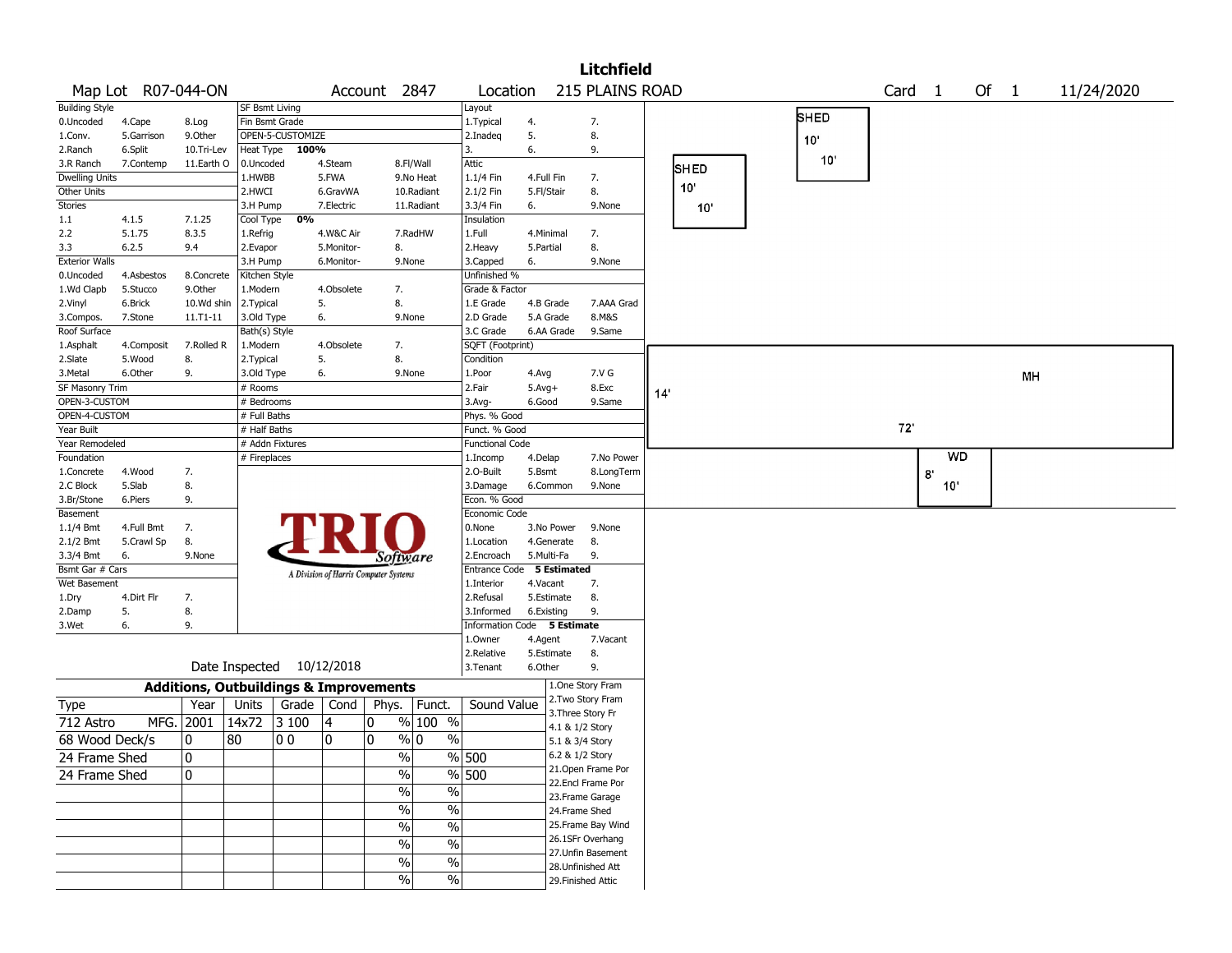|                                |                    |                                                   |                            |                           |            |                                       |                      |                             |              |                                      | <b>Litchfield</b>  |    |             |      |                   |           |      |    |            |
|--------------------------------|--------------------|---------------------------------------------------|----------------------------|---------------------------|------------|---------------------------------------|----------------------|-----------------------------|--------------|--------------------------------------|--------------------|----|-------------|------|-------------------|-----------|------|----|------------|
|                                | Map Lot R07-044-ON |                                                   |                            |                           |            | Account 2847                          |                      | Location                    |              |                                      | 215 PLAINS ROAD    |    |             |      | Card <sub>1</sub> |           | Of 1 |    | 11/24/2020 |
| <b>Building Style</b>          |                    |                                                   | SF Bsmt Living             |                           |            |                                       |                      | Layout                      |              |                                      |                    |    |             |      |                   |           |      |    |            |
| 0.Uncoded                      | 4.Cape             | 8.Log                                             | Fin Bsmt Grade             |                           |            |                                       |                      | 1. Typical                  | 4.           |                                      | 7.                 |    |             | SHED |                   |           |      |    |            |
| 1.Conv.                        | 5.Garrison         | 9.0ther                                           |                            | OPEN-5-CUSTOMIZE          |            |                                       |                      | 2.Inadeg                    | 5.           |                                      | 8.                 |    |             | 10'  |                   |           |      |    |            |
| 2.Ranch                        | 6.Split            | 10.Tri-Lev                                        | Heat Type                  | 100%                      |            |                                       |                      | 3.                          | 6.           |                                      | 9.                 |    |             |      |                   |           |      |    |            |
| 3.R Ranch                      | 7.Contemp          | 11.Earth O                                        | 0.Uncoded                  |                           | 4.Steam    |                                       | 8.Fl/Wall            | Attic                       |              |                                      |                    |    | <b>SHED</b> | 10'  |                   |           |      |    |            |
| <b>Dwelling Units</b>          |                    |                                                   | 1.HWBB                     |                           | 5.FWA      |                                       | 9.No Heat            | 1.1/4 Fin                   | 4.Full Fin   |                                      | 7.                 |    | 10'         |      |                   |           |      |    |            |
| Other Units                    |                    |                                                   | 2.HWCI                     |                           | 6.GravWA   |                                       | 10.Radiant           | 2.1/2 Fin                   | 5.Fl/Stair   |                                      | 8.                 |    |             |      |                   |           |      |    |            |
| <b>Stories</b>                 |                    |                                                   | 3.H Pump                   |                           | 7.Electric |                                       | 11.Radiant           | 3.3/4 Fin                   | 6.           |                                      | 9.None             |    | 10'         |      |                   |           |      |    |            |
| 1.1                            | 4.1.5              | 7.1.25                                            | Cool Type                  | 0%                        |            |                                       |                      | Insulation                  |              |                                      |                    |    |             |      |                   |           |      |    |            |
| 2.2                            | 5.1.75             | 8.3.5                                             | 1.Refrig                   |                           | 4.W&C Air  |                                       | 7.RadHW              | 1.Full                      | 4.Minimal    |                                      | 7.                 |    |             |      |                   |           |      |    |            |
| 3.3                            | 6.2.5              | 9.4                                               | 2.Evapor                   |                           | 5.Monitor- | 8.                                    |                      | 2. Heavy                    | 5.Partial    |                                      | 8.                 |    |             |      |                   |           |      |    |            |
| <b>Exterior Walls</b>          |                    |                                                   | 3.H Pump                   |                           | 6.Monitor- | 9.None                                |                      | 3.Capped                    | 6.           |                                      | 9.None             |    |             |      |                   |           |      |    |            |
| 0.Uncoded                      | 4.Asbestos         | 8.Concrete                                        | Kitchen Style              |                           |            |                                       |                      | Unfinished %                |              |                                      |                    |    |             |      |                   |           |      |    |            |
| 1.Wd Clapb                     | 5.Stucco           | 9.0ther                                           | 1.Modern                   |                           | 4.Obsolete | 7.                                    |                      | Grade & Factor              |              |                                      |                    |    |             |      |                   |           |      |    |            |
| 2.Vinyl                        | 6.Brick            | 10.Wd shin                                        | 2. Typical                 |                           | 5.         | 8.                                    |                      | 1.E Grade                   | 4.B Grade    |                                      | 7.AAA Grad         |    |             |      |                   |           |      |    |            |
| 3.Compos.                      | 7.Stone            | $11.71 - 11$                                      | 3.Old Type                 |                           | 6.         | 9.None                                |                      | 2.D Grade                   | 5.A Grade    |                                      | 8.M&S              |    |             |      |                   |           |      |    |            |
| Roof Surface                   |                    |                                                   | Bath(s) Style              |                           |            |                                       |                      | 3.C Grade                   |              | 6.AA Grade                           | 9.Same             |    |             |      |                   |           |      |    |            |
| 1.Asphalt                      | 4.Composit         | 7.Rolled R                                        | 1.Modern                   |                           | 4.Obsolete | 7.                                    |                      | SQFT (Footprint)            |              |                                      |                    |    |             |      |                   |           |      |    |            |
| 2.Slate                        | 5.Wood             | 8.                                                | 2. Typical                 |                           | 5.         | 8.                                    |                      | Condition                   |              |                                      |                    |    |             |      |                   |           |      |    |            |
| 3.Metal<br>SF Masonry Trim     | 6.Other            | 9.                                                | 3.Old Type                 |                           | 6.         | 9.None                                |                      | 1.Poor                      | 4.Avg        |                                      | 7.V G              |    |             |      |                   |           |      | MH |            |
|                                |                    |                                                   | # Rooms                    |                           |            |                                       |                      | 2.Fair                      | $5.$ Avg $+$ |                                      | 8.Exc              | 14 |             |      |                   |           |      |    |            |
| OPEN-3-CUSTOM<br>OPEN-4-CUSTOM |                    |                                                   | # Bedrooms<br># Full Baths |                           |            |                                       |                      | $3.$ Avg-<br>Phys. % Good   | 6.Good       |                                      | 9.Same             |    |             |      |                   |           |      |    |            |
| Year Built                     |                    |                                                   | # Half Baths               |                           |            |                                       |                      | Funct. % Good               |              |                                      |                    |    |             |      | 72                |           |      |    |            |
| Year Remodeled                 |                    |                                                   |                            | # Addn Fixtures           |            |                                       |                      | <b>Functional Code</b>      |              |                                      |                    |    |             |      |                   |           |      |    |            |
| Foundation                     |                    |                                                   | # Fireplaces               |                           |            |                                       |                      | 1.Incomp                    | 4.Delap      |                                      | 7.No Power         |    |             |      |                   | <b>WD</b> |      |    |            |
| 1.Concrete                     | 4.Wood             | 7.                                                |                            |                           |            |                                       |                      | 2.0-Built                   | 5.Bsmt       |                                      | 8.LongTerm         |    |             |      |                   |           |      |    |            |
| 2.C Block                      | 5.Slab             | 8.                                                |                            |                           |            |                                       |                      | 3.Damage                    |              | 6.Common                             | 9.None             |    |             |      |                   | 8<br>10'  |      |    |            |
| 3.Br/Stone                     | 6.Piers            | 9.                                                |                            |                           |            |                                       |                      | Econ. % Good                |              |                                      |                    |    |             |      |                   |           |      |    |            |
| Basement                       |                    |                                                   |                            |                           |            |                                       |                      | Economic Code               |              |                                      |                    |    |             |      |                   |           |      |    |            |
| $1.1/4$ Bmt                    | 4.Full Bmt         | 7.                                                |                            |                           |            |                                       |                      | 0.None                      |              | 3.No Power                           | 9.None             |    |             |      |                   |           |      |    |            |
| 2.1/2 Bmt                      | 5.Crawl Sp         | 8.                                                |                            |                           |            |                                       |                      | 1.Location                  |              | 4.Generate                           | 8.                 |    |             |      |                   |           |      |    |            |
| 3.3/4 Bmt                      | 6.                 | 9.None                                            |                            |                           |            | <i>Software</i>                       |                      | 2.Encroach                  | 5.Multi-Fa   |                                      | 9.                 |    |             |      |                   |           |      |    |            |
| Bsmt Gar # Cars                |                    |                                                   |                            |                           |            |                                       |                      | Entrance Code               |              | 5 Estimated                          |                    |    |             |      |                   |           |      |    |            |
| Wet Basement                   |                    |                                                   |                            |                           |            | A Division of Harris Computer Systems |                      | 1.Interior                  | 4.Vacant     |                                      | 7.                 |    |             |      |                   |           |      |    |            |
| 1.Dry                          | 4.Dirt Flr         | 7.                                                |                            |                           |            |                                       |                      | 2.Refusal                   |              | 5.Estimate                           | 8.                 |    |             |      |                   |           |      |    |            |
| 2.Damp                         | 5.                 | 8.                                                |                            |                           |            |                                       |                      | 3.Informed                  | 6.Existing   |                                      | 9.                 |    |             |      |                   |           |      |    |            |
| 3.Wet                          | 6.                 | 9.                                                |                            |                           |            |                                       |                      | Information Code 5 Estimate |              |                                      |                    |    |             |      |                   |           |      |    |            |
|                                |                    |                                                   |                            |                           |            |                                       |                      | 1.0wner                     | 4.Agent      |                                      | 7.Vacant           |    |             |      |                   |           |      |    |            |
|                                |                    |                                                   |                            |                           |            |                                       |                      | 2.Relative                  |              | 5.Estimate                           | 8.                 |    |             |      |                   |           |      |    |            |
|                                |                    |                                                   |                            | Date Inspected 10/12/2018 |            |                                       |                      | 3. Tenant                   | 6.Other      |                                      | 9.                 |    |             |      |                   |           |      |    |            |
|                                |                    | <b>Additions, Outbuildings &amp; Improvements</b> |                            |                           |            |                                       |                      |                             |              |                                      | 1.One Story Fram   |    |             |      |                   |           |      |    |            |
| Type                           |                    | Year                                              | Units                      | Grade                     | Cond       | Phys.                                 | Funct.               | Sound Value                 |              |                                      | 2. Two Story Fram  |    |             |      |                   |           |      |    |            |
| 712 Astro                      |                    | MFG. 2001                                         | 14x72                      | 3 100                     | 4          | 0                                     | % 100 %              |                             |              | 3. Three Story Fr<br>4.1 & 1/2 Story |                    |    |             |      |                   |           |      |    |            |
| 68 Wood Deck/s                 |                    | $\mathbf{0}$                                      | 80                         | 00                        | 0          | 0                                     | % 0<br>$\frac{0}{0}$ |                             |              | 5.1 & 3/4 Story                      |                    |    |             |      |                   |           |      |    |            |
|                                |                    | 10                                                |                            |                           |            | %                                     |                      | $\frac{9}{6}$ 500           |              | 6.2 & 1/2 Story                      |                    |    |             |      |                   |           |      |    |            |
| 24 Frame Shed                  |                    |                                                   |                            |                           |            |                                       |                      |                             |              |                                      | 21. Open Frame Por |    |             |      |                   |           |      |    |            |
| 24 Frame Shed                  |                    | 10                                                |                            |                           |            | $\%$                                  |                      | $\frac{9}{6}$ 500           |              |                                      | 22.Encl Frame Por  |    |             |      |                   |           |      |    |            |
|                                |                    |                                                   |                            |                           |            | $\frac{9}{6}$                         | $\frac{0}{6}$        |                             |              |                                      | 23. Frame Garage   |    |             |      |                   |           |      |    |            |
|                                |                    |                                                   |                            |                           |            | $\sqrt{6}$                            | $\%$                 |                             |              | 24.Frame Shed                        |                    |    |             |      |                   |           |      |    |            |
|                                |                    |                                                   |                            |                           |            | $\%$                                  | $\%$                 |                             |              |                                      | 25. Frame Bay Wind |    |             |      |                   |           |      |    |            |
|                                |                    |                                                   |                            |                           |            | $\%$                                  | $\%$                 |                             |              |                                      | 26.1SFr Overhang   |    |             |      |                   |           |      |    |            |
|                                |                    |                                                   |                            |                           |            |                                       |                      |                             |              |                                      | 27. Unfin Basement |    |             |      |                   |           |      |    |            |
|                                |                    |                                                   |                            |                           |            | $\%$                                  | $\sqrt{6}$           |                             |              |                                      | 28. Unfinished Att |    |             |      |                   |           |      |    |            |
|                                |                    |                                                   |                            |                           |            | $\sqrt{6}$                            | $\sqrt{6}$           |                             |              |                                      | 29. Finished Attic |    |             |      |                   |           |      |    |            |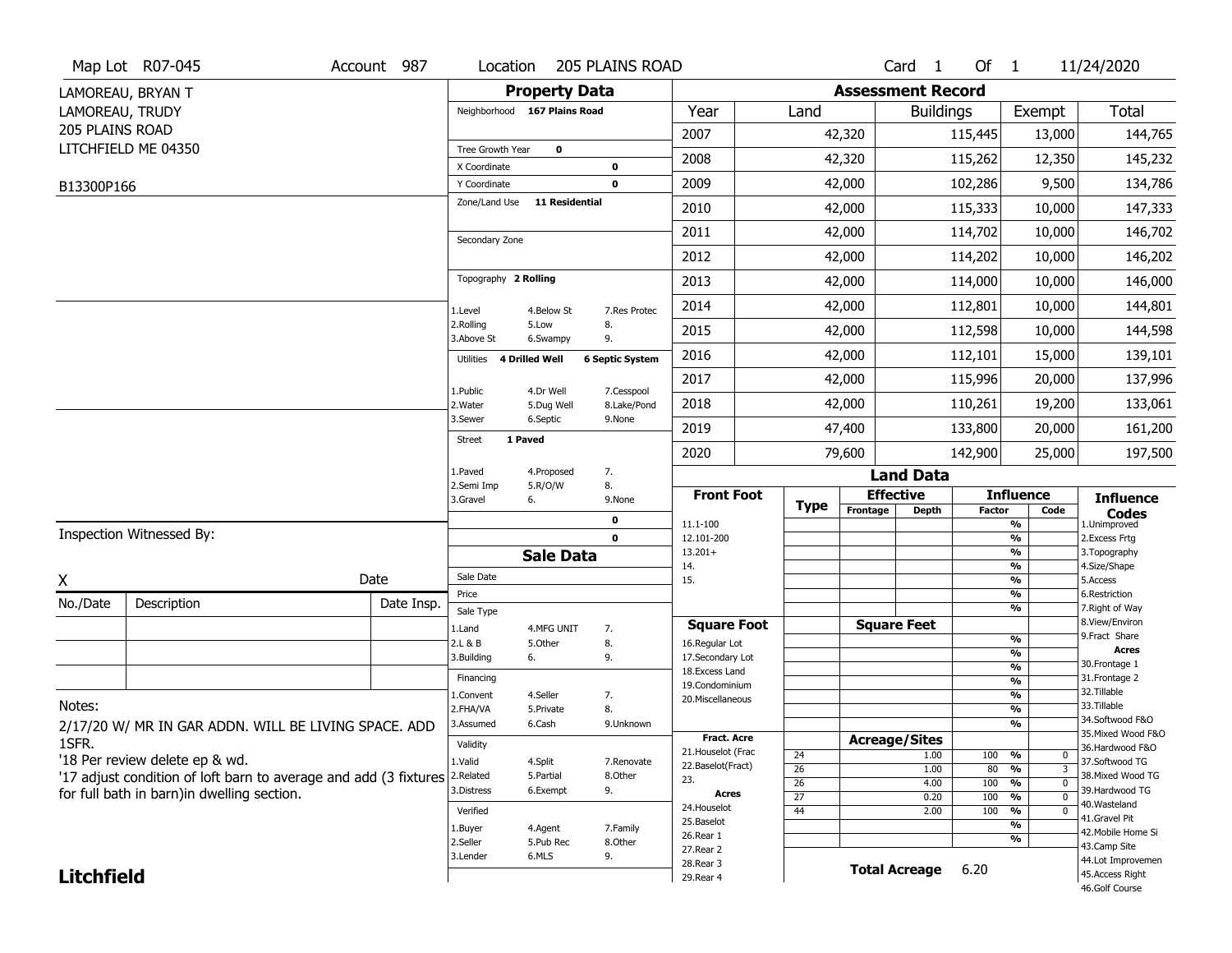|                   | Map Lot R07-045                                                  | Account 987 | Location                |                              | <b>205 PLAINS ROAD</b> |                                    |                       |                          | Card <sub>1</sub>    | Of 1       |                                           | 11/24/2020                            |
|-------------------|------------------------------------------------------------------|-------------|-------------------------|------------------------------|------------------------|------------------------------------|-----------------------|--------------------------|----------------------|------------|-------------------------------------------|---------------------------------------|
|                   | LAMOREAU, BRYAN T                                                |             |                         | <b>Property Data</b>         |                        |                                    |                       | <b>Assessment Record</b> |                      |            |                                           |                                       |
| LAMOREAU, TRUDY   |                                                                  |             |                         | Neighborhood 167 Plains Road |                        | Year                               | Land                  |                          | <b>Buildings</b>     |            | Exempt                                    | <b>Total</b>                          |
| 205 PLAINS ROAD   |                                                                  |             |                         |                              |                        | 2007                               |                       | 42,320                   |                      | 115,445    | 13,000                                    | 144,765                               |
|                   | LITCHFIELD ME 04350                                              |             | Tree Growth Year        | 0                            |                        |                                    |                       |                          |                      |            |                                           |                                       |
|                   |                                                                  |             | X Coordinate            |                              | $\bf{0}$               | 2008                               |                       | 42,320                   |                      | 115,262    | 12,350                                    | 145,232                               |
| B13300P166        |                                                                  |             | Y Coordinate            |                              | 0                      | 2009                               |                       | 42,000                   |                      | 102,286    | 9,500                                     | 134,786                               |
|                   |                                                                  |             | Zone/Land Use           | <b>11 Residential</b>        |                        | 2010                               |                       | 42,000                   |                      | 115,333    | 10,000                                    | 147,333                               |
|                   |                                                                  |             | Secondary Zone          |                              |                        | 2011                               |                       | 42,000                   |                      | 114,702    | 10,000                                    | 146,702                               |
|                   |                                                                  |             |                         |                              |                        | 2012                               |                       | 42,000                   |                      | 114,202    | 10,000                                    | 146,202                               |
|                   |                                                                  |             | Topography 2 Rolling    |                              |                        | 2013                               |                       | 42,000                   |                      | 114,000    | 10,000                                    | 146,000                               |
|                   |                                                                  |             | 1.Level                 | 4.Below St                   | 7.Res Protec           | 2014                               |                       | 42,000                   |                      | 112,801    | 10,000                                    | 144,801                               |
|                   |                                                                  |             | 2.Rolling<br>3.Above St | 5.Low<br>6.Swampy            | 8.<br>9.               | 2015                               |                       | 42,000                   |                      | 112,598    | 10,000                                    | 144,598                               |
|                   |                                                                  |             | Utilities               | <b>4 Drilled Well</b>        | <b>6 Septic System</b> | 2016                               |                       | 42,000                   |                      | 112,101    | 15,000                                    | 139,101                               |
|                   |                                                                  |             | 1.Public                | 4.Dr Well                    | 7.Cesspool             | 2017                               |                       | 42,000                   |                      | 115,996    | 20,000                                    | 137,996                               |
|                   |                                                                  |             | 2. Water                | 5.Dug Well                   | 8.Lake/Pond            | 2018                               |                       | 42,000                   |                      | 110,261    | 19,200                                    | 133,061                               |
|                   |                                                                  |             | 3.Sewer                 | 6.Septic                     | 9.None                 | 2019                               |                       | 47,400                   |                      | 133,800    | 20,000                                    | 161,200                               |
|                   |                                                                  |             | <b>Street</b>           | 1 Paved                      |                        | 2020                               |                       | 79,600                   |                      | 142,900    | 25,000                                    | 197,500                               |
|                   |                                                                  |             | 1.Paved                 | 4.Proposed                   | 7.                     |                                    |                       |                          | <b>Land Data</b>     |            |                                           |                                       |
|                   |                                                                  |             | 2.Semi Imp<br>3.Gravel  | 5.R/O/W<br>6.                | 8.<br>9.None           | <b>Front Foot</b>                  | <b>Type</b>           |                          | <b>Effective</b>     |            | <b>Influence</b>                          | <b>Influence</b>                      |
|                   |                                                                  |             |                         |                              | 0                      | 11.1-100                           |                       | Frontage                 | <b>Depth</b>         | Factor     | Code<br>%                                 | <b>Codes</b><br>1.Unimproved          |
|                   | Inspection Witnessed By:                                         |             |                         |                              | $\mathbf 0$            | 12.101-200                         |                       |                          |                      |            | %                                         | 2.Excess Frtg                         |
|                   |                                                                  |             |                         | <b>Sale Data</b>             |                        | $13.201+$<br>14.                   |                       |                          |                      |            | %<br>%                                    | 3. Topography<br>4.Size/Shape         |
| X                 |                                                                  | Date        | Sale Date               |                              |                        | 15.                                |                       |                          |                      |            | %                                         | 5.Access                              |
| No./Date          | Description                                                      | Date Insp.  | Price                   |                              |                        |                                    |                       |                          |                      |            | %<br>%                                    | 6.Restriction<br>7. Right of Way      |
|                   |                                                                  |             | Sale Type<br>1.Land     | 4.MFG UNIT                   | 7.                     | <b>Square Foot</b>                 |                       |                          | <b>Square Feet</b>   |            |                                           | 8.View/Environ                        |
|                   |                                                                  |             | 2.L & B                 | 5.Other                      | 8.                     | 16.Regular Lot                     |                       |                          |                      |            | %                                         | 9.Fract Share                         |
|                   |                                                                  |             | 3.Building              | 6.                           | 9.                     | 17.Secondary Lot                   |                       |                          |                      |            | %                                         | <b>Acres</b><br>30. Frontage 1        |
|                   |                                                                  |             | Financing               |                              |                        | 18.Excess Land                     |                       |                          |                      |            | $\frac{9}{6}$<br>$\overline{\frac{9}{6}}$ | 31. Frontage 2                        |
|                   |                                                                  |             | 1.Convent               | 4.Seller                     | 7.                     | 19.Condominium<br>20.Miscellaneous |                       |                          |                      |            | $\frac{9}{6}$                             | 32. Tillable                          |
| Notes:            |                                                                  |             | 2.FHA/VA                | 5.Private                    | 8.                     |                                    |                       |                          |                      |            | $\overline{\frac{9}{6}}$                  | 33.Tillable                           |
|                   | 2/17/20 W/ MR IN GAR ADDN. WILL BE LIVING SPACE. ADD             |             | 3.Assumed               | 6.Cash                       | 9.Unknown              |                                    |                       |                          |                      |            | %                                         | 34.Softwood F&O<br>35. Mixed Wood F&O |
| 1SFR.             |                                                                  |             | Validity                |                              |                        | Fract. Acre<br>21. Houselot (Frac  |                       | <b>Acreage/Sites</b>     |                      |            |                                           | 36.Hardwood F&O                       |
|                   |                                                                  |             |                         |                              |                        |                                    | 24                    |                          | 1.00                 | 100        | %<br>0                                    | 37.Softwood TG                        |
|                   | '18 Per review delete ep & wd.                                   |             | 1.Valid                 | 4.Split                      | 7.Renovate             |                                    |                       |                          |                      |            |                                           |                                       |
|                   | '17 adjust condition of loft barn to average and add (3 fixtures |             | 2.Related               | 5.Partial                    | 8.Other                | 22.Baselot(Fract)<br>23.           | $\overline{26}$       |                          | 1.00                 | 80         | %<br>3                                    | 38. Mixed Wood TG                     |
|                   | for full bath in barn)in dwelling section.                       |             | 3.Distress              | 6.Exempt                     | 9.                     | Acres                              | 26<br>$\overline{27}$ |                          | 4.00<br>0.20         | 100<br>100 | %<br>$\mathbf 0$<br>%<br>$\mathbf 0$      | 39.Hardwood TG                        |
|                   |                                                                  |             | Verified                |                              |                        | 24. Houselot                       | 44                    |                          | 2.00                 | 100        | %<br>$\mathbf 0$                          | 40. Wasteland                         |
|                   |                                                                  |             | 1.Buyer                 | 4.Agent                      | 7.Family               | 25.Baselot                         |                       |                          |                      |            | %                                         | 41.Gravel Pit                         |
|                   |                                                                  |             | 2.Seller                | 5.Pub Rec                    | 8.Other                | 26.Rear 1                          |                       |                          |                      |            | %                                         | 42. Mobile Home Si<br>43.Camp Site    |
|                   |                                                                  |             | 3.Lender                | 6.MLS                        | 9.                     | 27.Rear 2                          |                       |                          |                      |            |                                           | 44.Lot Improvemen                     |
| <b>Litchfield</b> |                                                                  |             |                         |                              |                        | 28. Rear 3<br>29. Rear 4           |                       |                          | <b>Total Acreage</b> | 6.20       |                                           | 45.Access Right<br>46.Golf Course     |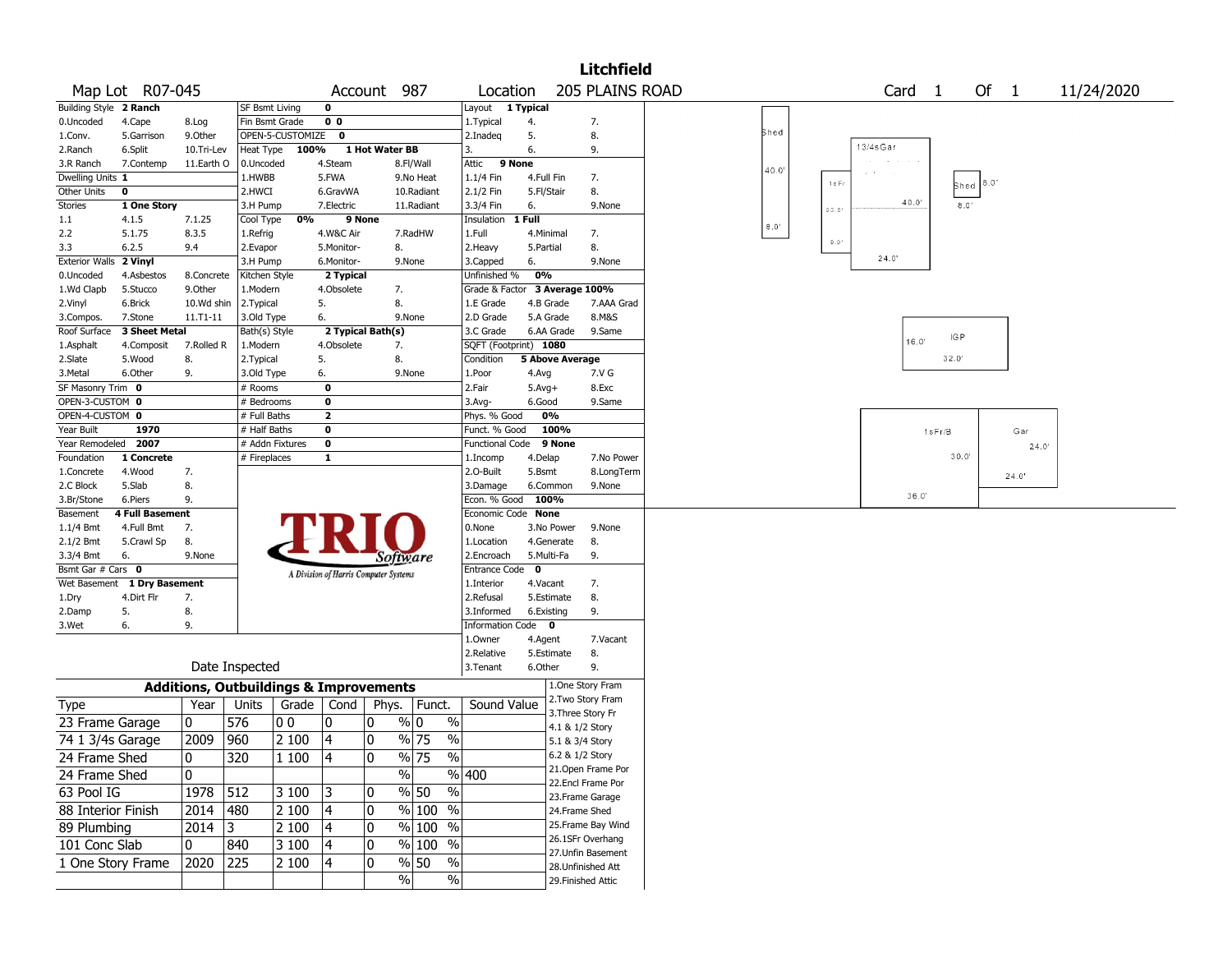|                        |                             |            |                       |                                                   |                |                                       |                                              |                               |                |                        | <b>Litchfield</b>  |               |                         |                |        |               |       |            |
|------------------------|-----------------------------|------------|-----------------------|---------------------------------------------------|----------------|---------------------------------------|----------------------------------------------|-------------------------------|----------------|------------------------|--------------------|---------------|-------------------------|----------------|--------|---------------|-------|------------|
|                        | Map Lot R07-045             |            |                       |                                                   |                | Account                               | 987                                          | Location                      |                |                        | 205 PLAINS ROAD    |               |                         | Card           | 1      | Of 1          |       | 11/24/2020 |
| Building Style 2 Ranch |                             |            | <b>SF Bsmt Living</b> |                                                   | 0              |                                       |                                              | Layout 1 Typical              |                |                        |                    |               |                         |                |        |               |       |            |
| 0.Uncoded              | 4.Cape                      | 8.Log      |                       | Fin Bsmt Grade                                    | 0 <sub>0</sub> |                                       |                                              | 1. Typical                    | 4.             |                        | 7.                 |               |                         |                |        |               |       |            |
| 1.Conv.                | 5.Garrison                  | 9.Other    |                       | OPEN-5-CUSTOMIZE 0                                |                |                                       |                                              | 2.Inadeq                      | 5.             |                        | 8.                 | Shed          |                         |                |        |               |       |            |
| 2.Ranch                | 6.Split                     | 10.Tri-Lev | Heat Type             | 100%                                              |                | 1 Hot Water BB                        |                                              | 3.                            | 6.             |                        | 9.                 |               |                         | $13/4s$ Gar    |        |               |       |            |
| 3.R Ranch              | 7.Contemp                   | 11.Earth O | 0.Uncoded             |                                                   | 4.Steam        |                                       | 8.Fl/Wall                                    | Attic                         | 9 None         |                        |                    | 40.0'         |                         |                |        |               |       |            |
| Dwelling Units 1       |                             |            | 1.HWBB                |                                                   | 5.FWA          |                                       | 9.No Heat                                    | 1.1/4 Fin                     | 4.Full Fin     |                        | 7.                 |               | $1 \text{ s Fr}$        |                |        | 8.0'          |       |            |
| Other Units            | 0                           |            | 2.HWCI                |                                                   | 6.GravWA       |                                       | 10.Radiant                                   | 2.1/2 Fin                     | 5.Fl/Stair     |                        | 8.                 |               |                         |                |        | Shed          |       |            |
| <b>Stories</b>         | 1 One Story                 |            | 3.H Pump              |                                                   | 7.Electric     |                                       | 11.Radiant                                   | 3.3/4 Fin                     | 6.             |                        | 9.None             |               | $2.5^{\circ}.0^{\circ}$ | 40.0           |        | $8.0^{\circ}$ |       |            |
| 1.1                    | 4.1.5                       | 7.1.25     | Cool Type             | 0%                                                |                | 9 None                                |                                              | Insulation                    | 1 Full         |                        |                    | $8.0^{\circ}$ |                         |                |        |               |       |            |
| 2.2                    | 5.1.75                      | 8.3.5      | 1.Refrig              |                                                   | 4.W&C Air      |                                       | 7.RadHW                                      | 1.Full                        |                | 4.Minimal              | 7.                 |               | $0.01$                  |                |        |               |       |            |
| 3.3                    | 6.2.5                       | 9.4        | 2.Evapor              |                                                   | 5.Monitor-     | 8.                                    |                                              | 2.Heavy                       | 5.Partial      |                        | 8.                 |               |                         |                |        |               |       |            |
| Exterior Walls 2 Vinyl |                             |            | 3.H Pump              |                                                   | 6.Monitor-     |                                       | 9.None                                       | 3.Capped                      | 6.             |                        | 9.None             |               |                         | 24.0'          |        |               |       |            |
| 0.Uncoded              | 4.Asbestos                  | 8.Concrete | Kitchen Style         |                                                   | 2 Typical      |                                       |                                              | Unfinished %                  | 0%             |                        |                    |               |                         |                |        |               |       |            |
| 1.Wd Clapb             | 5.Stucco                    | 9.Other    | 1.Modern              |                                                   | 4.Obsolete     | 7.                                    |                                              | Grade & Factor 3 Average 100% |                |                        |                    |               |                         |                |        |               |       |            |
| 2.Vinyl                | 6.Brick                     | 10.Wd shin | 2.Typical             |                                                   | 5.             | 8.                                    |                                              | 1.E Grade                     |                | 4.B Grade              | 7.AAA Grad         |               |                         |                |        |               |       |            |
| 3.Compos.              | 7.Stone                     | 11.T1-11   | 3.Old Type            |                                                   | 6.             |                                       | 9.None                                       | 2.D Grade                     |                | 5.A Grade              | 8.M&S              |               |                         |                |        |               |       |            |
| Roof Surface           | 3 Sheet Metal               |            | Bath(s) Style         |                                                   |                | 2 Typical Bath(s)                     |                                              | 3.C Grade                     |                | 6.AA Grade             | 9.Same             |               |                         |                | IG P   |               |       |            |
| 1.Asphalt              | 4.Composit                  | 7.Rolled R | 1.Modern              |                                                   | 4.Obsolete     | 7.                                    |                                              | SQFT (Footprint) 1080         |                |                        |                    |               |                         | $16.0^{\circ}$ |        |               |       |            |
| 2.Slate                | 5.Wood                      | 8.         | 2.Typical             |                                                   | 5.             | 8.                                    |                                              | Condition                     |                | <b>5 Above Average</b> |                    |               |                         |                | 32.0'  |               |       |            |
| 3.Metal                | 6.Other                     | 9.         | 3.Old Type            |                                                   | 6.             |                                       | 9.None                                       | 1.Poor                        | 4.Avg          |                        | 7.V G              |               |                         |                |        |               |       |            |
| SF Masonry Trim 0      |                             |            | # Rooms               |                                                   | 0              |                                       |                                              | 2.Fair                        | $5.Avg+$       |                        | 8.Exc              |               |                         |                |        |               |       |            |
| OPEN-3-CUSTOM 0        |                             |            | # Bedrooms            |                                                   | 0              |                                       |                                              | 3.Avg-                        | 6.Good         |                        | 9.Same             |               |                         |                |        |               |       |            |
| OPEN-4-CUSTOM 0        |                             |            | # Full Baths          |                                                   | 2              |                                       |                                              | Phys. % Good                  |                | 0%                     |                    |               |                         |                |        |               |       |            |
| Year Built             | 1970                        |            | # Half Baths          |                                                   | 0              |                                       |                                              | Funct. % Good                 |                | 100%                   |                    |               |                         |                | 1sFr/B |               | Gar   |            |
| Year Remodeled 2007    |                             |            |                       | # Addn Fixtures                                   | 0              |                                       |                                              | Functional Code 9 None        |                |                        |                    |               |                         |                |        |               | 24.0' |            |
| Foundation             | 1 Concrete                  |            | # Fireplaces          |                                                   | 1              |                                       |                                              | 1.Incomp                      | 4.Delap        |                        | 7.No Power         |               |                         |                | 30.0'  |               |       |            |
| 1.Concrete             | 4.Wood                      | 7.         |                       |                                                   |                |                                       |                                              | 2.0-Built                     | 5.Bsmt         |                        | 8.LongTerm         |               |                         |                |        |               | 24.0' |            |
| 2.C Block              | 5.Slab                      | 8.         |                       |                                                   |                |                                       |                                              | 3.Damage                      |                | 6.Common               | 9.None             |               |                         |                |        |               |       |            |
| 3.Br/Stone             | 6.Piers                     | 9.         |                       |                                                   |                |                                       |                                              | Econ. % Good                  |                | 100%                   |                    |               |                         | 36.0'          |        |               |       |            |
| Basement               | <b>4 Full Basement</b>      |            |                       |                                                   |                |                                       |                                              | Economic Code None            |                |                        |                    |               |                         |                |        |               |       |            |
| $1.1/4$ Bmt            | 4.Full Bmt                  | 7.         |                       |                                                   |                |                                       |                                              | 0.None                        |                | 3.No Power             | 9.None             |               |                         |                |        |               |       |            |
| $2.1/2$ Bmt            | 5.Crawl Sp                  | 8.         |                       |                                                   |                |                                       |                                              | 1.Location                    |                | 4.Generate             | 8.                 |               |                         |                |        |               |       |            |
| 3.3/4 Bmt              | 6.                          | 9.None     |                       |                                                   |                | Software                              |                                              | 2.Encroach                    |                | 5.Multi-Fa             | 9.                 |               |                         |                |        |               |       |            |
| Bsmt Gar # Cars 0      |                             |            |                       |                                                   |                | A Division of Harris Computer Systems |                                              | Entrance Code                 | 0              |                        |                    |               |                         |                |        |               |       |            |
|                        | Wet Basement 1 Dry Basement |            |                       |                                                   |                |                                       |                                              | 1.Interior                    | 4.Vacant       |                        | 7.                 |               |                         |                |        |               |       |            |
| 1.Dry                  | 4.Dirt Flr                  | 7.         |                       |                                                   |                |                                       |                                              | 2.Refusal                     |                | 5.Estimate             | 8.                 |               |                         |                |        |               |       |            |
| 2.Damp                 | 5.                          | 8.         |                       |                                                   |                |                                       |                                              | 3.Informed                    |                | 6.Existing             | 9.                 |               |                         |                |        |               |       |            |
| 3.Wet                  | 6.                          | 9.         |                       |                                                   |                |                                       |                                              | Information                   | Code $\bullet$ |                        |                    |               |                         |                |        |               |       |            |
|                        |                             |            |                       |                                                   |                |                                       |                                              | 1.Owner                       | 4.Agent        |                        | 7.Vacant           |               |                         |                |        |               |       |            |
|                        |                             |            |                       |                                                   |                |                                       |                                              | 2.Relative                    |                | 5.Estimate             | 8.                 |               |                         |                |        |               |       |            |
|                        |                             |            | Date Inspected        |                                                   |                |                                       |                                              | 3.Tenant                      | 6.Other        |                        | 9.                 |               |                         |                |        |               |       |            |
|                        |                             |            |                       | <b>Additions, Outbuildings &amp; Improvements</b> |                |                                       |                                              |                               |                |                        | 1.One Story Fram   |               |                         |                |        |               |       |            |
| Type                   |                             | Year       | Units                 | Grade                                             | Cond           | Phys.                                 | Funct.                                       | Sound Value                   |                |                        | 2. Two Story Fram  |               |                         |                |        |               |       |            |
| 23 Frame Garage        |                             | 0          | 576                   | 0 <sub>0</sub>                                    | n              | 0                                     | % 0<br>$\%$                                  |                               |                |                        | 3. Three Story Fr  |               |                         |                |        |               |       |            |
|                        |                             |            |                       |                                                   |                |                                       |                                              |                               |                | 4.1 & 1/2 Story        |                    |               |                         |                |        |               |       |            |
| 74 1 3/4s Garage       |                             | 2009       | 960                   | 2 100                                             | 4              | 0                                     | $\frac{9}{6}$ 75<br>$\overline{\frac{0}{0}}$ |                               |                | 5.1 & 3/4 Story        |                    |               |                         |                |        |               |       |            |
| 24 Frame Shed          |                             | 0          | 320                   | 1 100                                             | 4              | $ 0\rangle$                           | $\frac{9}{6}$ 75<br>$\frac{9}{6}$            |                               |                | 6.2 & 1/2 Story        |                    |               |                         |                |        |               |       |            |
| 24 Frame Shed          |                             | 0          |                       |                                                   |                |                                       | $\frac{9}{6}$                                | $\sqrt{6}$ 400                |                |                        | 21. Open Frame Por |               |                         |                |        |               |       |            |
| 63 Pool IG             |                             | 1978       | 512                   | 3 100                                             | 3              | 10                                    | $\frac{1}{2}$<br>% 50                        |                               |                |                        | 22.Encl Frame Por  |               |                         |                |        |               |       |            |
|                        |                             |            |                       |                                                   |                |                                       |                                              |                               |                |                        | 23.Frame Garage    |               |                         |                |        |               |       |            |
| 88 Interior Finish     |                             | 2014       | 480                   | 2 100                                             | 4              | 0                                     | $\%$ 100 %                                   |                               |                | 24.Frame Shed          |                    |               |                         |                |        |               |       |            |
| 89 Plumbing            |                             | 2014       | $ 3\rangle$           | 2 100                                             | 4              | 0                                     | % 100 %                                      |                               |                |                        | 25. Frame Bay Wind |               |                         |                |        |               |       |            |
| 101 Conc Slab          |                             | 0          | 840                   | 3 100                                             | 4              | 0                                     | % 100 %                                      |                               |                |                        | 26.1SFr Overhang   |               |                         |                |        |               |       |            |
| 1 One Story Frame      |                             | 2020       | 225                   | 2 100                                             | 4              | 0                                     | % 50<br>$\%$                                 |                               |                |                        | 27. Unfin Basement |               |                         |                |        |               |       |            |
|                        |                             |            |                       |                                                   |                |                                       | $\frac{1}{2}$<br>$\frac{9}{6}$               |                               |                |                        | 28. Unfinished Att |               |                         |                |        |               |       |            |
|                        |                             |            |                       |                                                   |                |                                       |                                              |                               |                |                        | 29. Finished Attic |               |                         |                |        |               |       |            |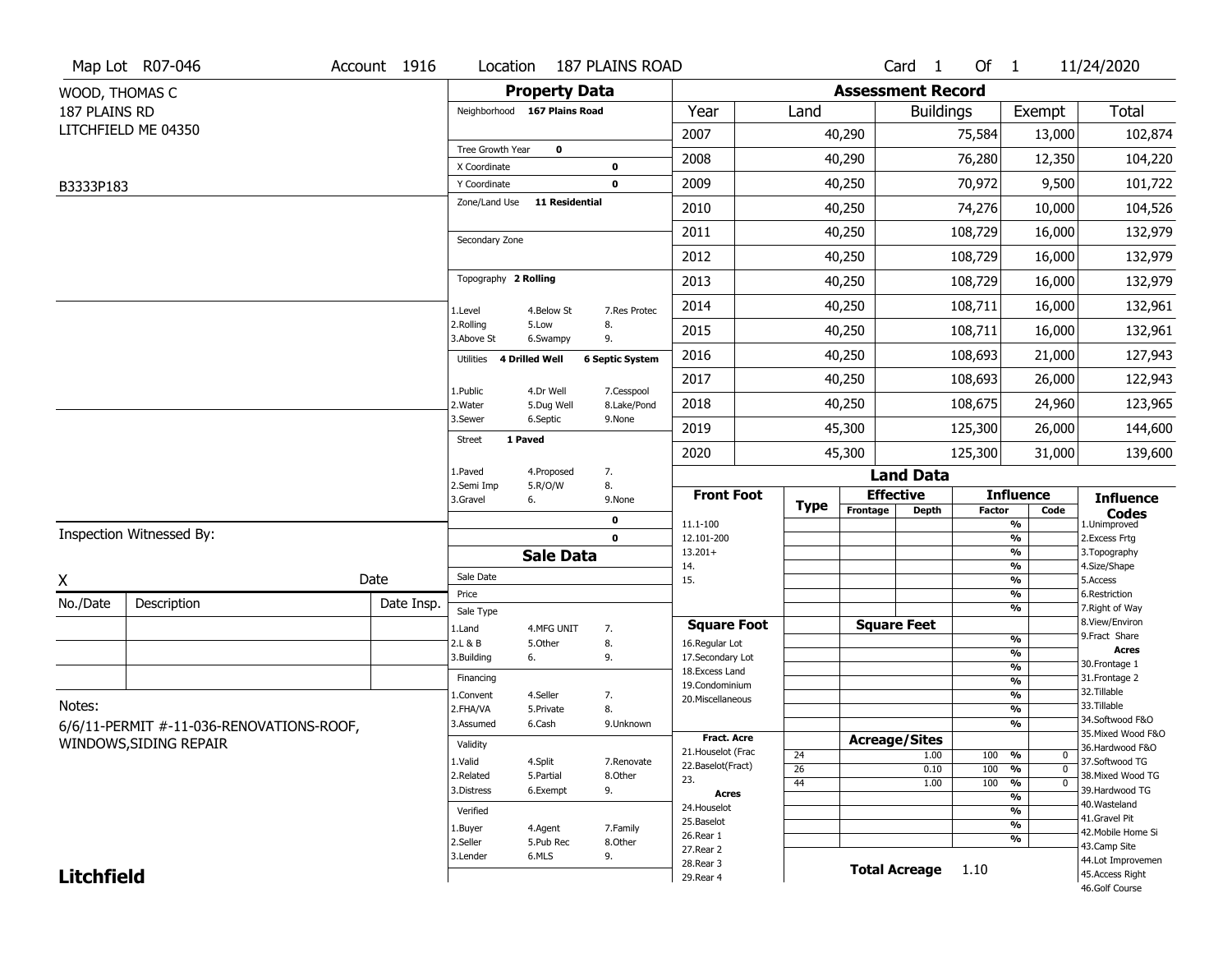|                   | Map Lot R07-046                          | Account 1916 | Location                     |                         | <b>187 PLAINS ROAD</b>    |                                         |                       |                          | Card <sub>1</sub>    | Of $1$        |                                            | 11/24/2020                            |
|-------------------|------------------------------------------|--------------|------------------------------|-------------------------|---------------------------|-----------------------------------------|-----------------------|--------------------------|----------------------|---------------|--------------------------------------------|---------------------------------------|
| WOOD, THOMAS C    |                                          |              |                              | <b>Property Data</b>    |                           |                                         |                       | <b>Assessment Record</b> |                      |               |                                            |                                       |
| 187 PLAINS RD     |                                          |              | Neighborhood 167 Plains Road |                         |                           | Year                                    | Land                  |                          | <b>Buildings</b>     |               | Exempt                                     | <b>Total</b>                          |
|                   | LITCHFIELD ME 04350                      |              |                              |                         |                           | 2007                                    |                       | 40,290                   |                      | 75,584        | 13,000                                     | 102,874                               |
|                   |                                          |              | Tree Growth Year             | $\mathbf 0$             |                           | 2008                                    |                       | 40,290                   |                      | 76,280        | 12,350                                     | 104,220                               |
|                   |                                          |              | X Coordinate<br>Y Coordinate |                         | 0<br>0                    | 2009                                    |                       | 40,250                   |                      | 70,972        | 9,500                                      | 101,722                               |
| B3333P183         |                                          |              | Zone/Land Use                | <b>11 Residential</b>   |                           |                                         |                       |                          |                      |               |                                            |                                       |
|                   |                                          |              |                              |                         |                           | 2010                                    |                       | 40,250                   |                      | 74,276        | 10,000                                     | 104,526                               |
|                   |                                          |              | Secondary Zone               |                         |                           | 2011                                    |                       | 40,250                   |                      | 108,729       | 16,000                                     | 132,979                               |
|                   |                                          |              |                              |                         |                           | 2012                                    |                       | 40,250                   |                      | 108,729       | 16,000                                     | 132,979                               |
|                   |                                          |              | Topography 2 Rolling         |                         |                           | 2013                                    |                       | 40,250                   |                      | 108,729       | 16,000                                     | 132,979                               |
|                   |                                          |              | 1.Level                      | 4.Below St              | 7.Res Protec              | 2014                                    |                       | 40,250                   |                      | 108,711       | 16,000                                     | 132,961                               |
|                   |                                          |              | 2.Rolling<br>3.Above St      | 5.Low<br>6.Swampy       | 8.<br>9.                  | 2015                                    |                       | 40,250                   |                      | 108,711       | 16,000                                     | 132,961                               |
|                   |                                          |              | Utilities                    | 4 Drilled Well          | <b>6 Septic System</b>    | 2016                                    |                       | 40,250                   |                      | 108,693       | 21,000                                     | 127,943                               |
|                   |                                          |              |                              |                         |                           | 2017                                    |                       | 40,250                   |                      | 108,693       | 26,000                                     | 122,943                               |
|                   |                                          |              | 1.Public<br>2. Water         | 4.Dr Well<br>5.Dug Well | 7.Cesspool<br>8.Lake/Pond | 2018                                    |                       | 40,250                   |                      | 108,675       | 24,960                                     | 123,965                               |
|                   |                                          |              | 3.Sewer                      | 6.Septic                | 9.None                    | 2019                                    |                       | 45,300                   |                      | 125,300       | 26,000                                     | 144,600                               |
|                   |                                          |              | Street                       | 1 Paved                 |                           | 2020                                    |                       | 45,300                   |                      | 125,300       | 31,000                                     | 139,600                               |
|                   |                                          |              | 1.Paved                      | 4.Proposed              | 7.                        |                                         |                       |                          | <b>Land Data</b>     |               |                                            |                                       |
|                   |                                          |              | 2.Semi Imp<br>3.Gravel       | 5.R/O/W<br>6.           | 8.<br>9.None              | <b>Front Foot</b>                       |                       |                          | <b>Effective</b>     |               | <b>Influence</b>                           | <b>Influence</b>                      |
|                   |                                          |              |                              |                         | 0                         | 11.1-100                                | <b>Type</b>           | Frontage                 | Depth                | <b>Factor</b> | Code<br>%                                  | <b>Codes</b><br>1.Unimproved          |
|                   | Inspection Witnessed By:                 |              |                              |                         | $\mathbf 0$               | 12.101-200                              |                       |                          |                      |               | $\frac{9}{6}$                              | 2. Excess Frtg                        |
|                   |                                          |              |                              | <b>Sale Data</b>        |                           | $13.201+$<br>14.                        |                       |                          |                      |               | %<br>$\frac{9}{6}$                         | 3. Topography<br>4.Size/Shape         |
| X                 |                                          | Date         | Sale Date                    |                         |                           | 15.                                     |                       |                          |                      |               | %                                          | 5.Access                              |
| No./Date          | Description                              | Date Insp.   | Price                        |                         |                           |                                         |                       |                          |                      |               | %<br>%                                     | 6.Restriction<br>7. Right of Way      |
|                   |                                          |              | Sale Type<br>1.Land          | 4.MFG UNIT              | 7.                        | <b>Square Foot</b>                      |                       |                          | <b>Square Feet</b>   |               |                                            | 8.View/Environ                        |
|                   |                                          |              | 2.L & B                      | 5.Other                 | 8.                        | 16.Regular Lot                          |                       |                          |                      |               | $\frac{9}{6}$                              | 9.Fract Share                         |
|                   |                                          |              | 3.Building                   | 6.                      | 9.                        | 17.Secondary Lot                        |                       |                          |                      |               | %<br>$\frac{9}{6}$                         | <b>Acres</b><br>30. Frontage 1        |
|                   |                                          |              | Financing                    |                         |                           | 18. Excess Land<br>19.Condominium       |                       |                          |                      |               | $\overline{\frac{9}{6}}$                   | 31. Frontage 2                        |
|                   |                                          |              | 1.Convent                    | 4.Seller                | 7.                        | 20.Miscellaneous                        |                       |                          |                      |               | $\frac{9}{6}$                              | 32. Tillable                          |
| Notes:            |                                          |              | 2.FHA/VA                     | 5.Private               | 8.                        |                                         |                       |                          |                      |               | $\overline{\frac{9}{6}}$                   | 33.Tillable                           |
|                   | 6/6/11-PERMIT #-11-036-RENOVATIONS-ROOF, |              | 3.Assumed                    | 6.Cash                  | 9.Unknown                 |                                         |                       |                          |                      |               | %                                          | 34.Softwood F&O<br>35. Mixed Wood F&O |
|                   | WINDOWS, SIDING REPAIR                   |              | Validity                     |                         |                           | <b>Fract. Acre</b>                      |                       | <b>Acreage/Sites</b>     |                      |               |                                            | 36.Hardwood F&O                       |
|                   |                                          |              | 1.Valid                      | 4.Split                 | 7.Renovate                | 21. Houselot (Frac<br>22.Baselot(Fract) | 24                    |                          | 1.00                 | 100           | %<br>0                                     | 37.Softwood TG                        |
|                   |                                          |              | 2.Related                    | 5.Partial               | 8.Other                   | 23.                                     | $\overline{26}$<br>44 |                          | 0.10<br>1.00         | 100<br>100    | $\overline{0}$<br>%<br>$\overline{0}$<br>% | 38. Mixed Wood TG                     |
|                   |                                          |              | 3.Distress                   | 6.Exempt                | 9.                        | <b>Acres</b>                            |                       |                          |                      |               | $\frac{9}{6}$                              | 39.Hardwood TG                        |
|                   |                                          |              | Verified                     |                         |                           | 24. Houselot                            |                       |                          |                      |               | %                                          | 40. Wasteland                         |
|                   |                                          |              | 1.Buyer                      | 4.Agent                 | 7.Family                  | 25.Baselot                              |                       |                          |                      |               | $\frac{9}{6}$                              | 41.Gravel Pit<br>42. Mobile Home Si   |
|                   |                                          |              | 2.Seller                     | 5.Pub Rec               | 8.Other                   | 26.Rear 1                               |                       |                          |                      |               | %                                          | 43.Camp Site                          |
|                   |                                          |              | 3.Lender                     | 6.MLS                   | 9.                        | 27.Rear 2<br>28.Rear 3                  |                       |                          |                      |               |                                            | 44.Lot Improvemen                     |
| <b>Litchfield</b> |                                          |              |                              |                         |                           | 29. Rear 4                              |                       |                          | <b>Total Acreage</b> | 1.10          |                                            | 45.Access Right                       |
|                   |                                          |              |                              |                         |                           |                                         |                       |                          |                      |               |                                            | 46.Golf Course                        |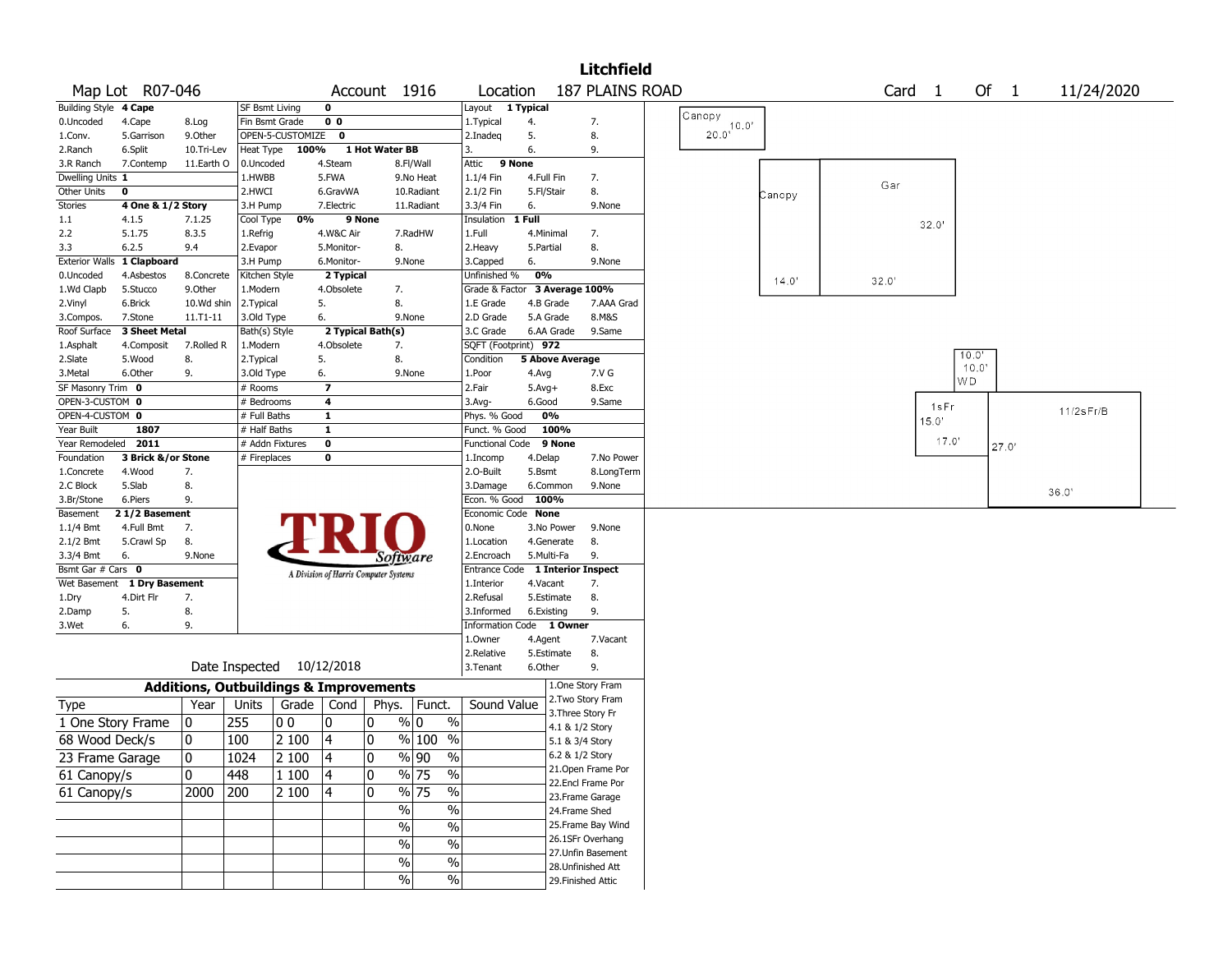|                       |                            |                                                   |                           |                    |                          |                                       |                                 |                               |                        |                           | <b>Litchfield</b>  |                |        |       |        |       |       |              |  |
|-----------------------|----------------------------|---------------------------------------------------|---------------------------|--------------------|--------------------------|---------------------------------------|---------------------------------|-------------------------------|------------------------|---------------------------|--------------------|----------------|--------|-------|--------|-------|-------|--------------|--|
|                       | Map Lot R07-046            |                                                   |                           |                    |                          | Account 1916                          |                                 | Location                      |                        |                           | 187 PLAINS ROAD    |                |        |       | Card 1 |       | Of 1  | 11/24/2020   |  |
| Building Style 4 Cape |                            |                                                   | <b>SF Bsmt Living</b>     |                    | 0                        |                                       |                                 | Layout                        | 1 Typical              |                           |                    |                |        |       |        |       |       |              |  |
| 0.Uncoded             | 4.Cape                     | 8.Log                                             | Fin Bsmt Grade            |                    | 0 <sub>0</sub>           |                                       |                                 | 1.Typical                     | 4.                     |                           | 7.                 | Canopy         |        |       |        |       |       |              |  |
| 1.Conv.               | 5.Garrison                 | 9.0ther                                           |                           | OPEN-5-CUSTOMIZE 0 |                          |                                       |                                 | 2.Inadeg                      | 5.                     |                           | 8.                 | $20.0^{10.0'}$ |        |       |        |       |       |              |  |
| 2.Ranch               | 6.Split                    | 10.Tri-Lev                                        | Heat Type                 | 100%               |                          | 1 Hot Water BB                        |                                 | 3.                            | 6.                     |                           | 9.                 |                |        |       |        |       |       |              |  |
| 3.R Ranch             | 7.Contemp                  | 11.Earth O                                        | 0.Uncoded                 |                    | 4.Steam                  |                                       | 8.Fl/Wall                       | 9 None<br>Attic               |                        |                           |                    |                |        |       |        |       |       |              |  |
| Dwelling Units 1      |                            |                                                   | 1.HWBB                    |                    | 5.FWA                    |                                       | 9.No Heat                       | 1.1/4 Fin                     | 4.Full Fin             |                           | 7.                 |                |        | Gar   |        |       |       |              |  |
| Other Units           | 0                          |                                                   | 2.HWCI                    |                    | 6.GravWA                 |                                       | 10.Radiant                      | 2.1/2 Fin                     | 5.Fl/Stair             |                           | 8.                 |                | Canopy |       |        |       |       |              |  |
| Stories               | 4 One & 1/2 Story          |                                                   | 3.H Pump                  |                    | 7.Electric               |                                       | 11.Radiant                      | 3.3/4 Fin                     | 6.                     |                           | 9.None             |                |        |       |        |       |       |              |  |
| $1.1\,$               | 4.1.5                      | 7.1.25                                            | Cool Type                 | 0%                 |                          | 9 None                                |                                 | Insulation                    | 1 Full                 |                           |                    |                |        |       |        | 32.0' |       |              |  |
| 2.2                   | 5.1.75                     | 8.3.5                                             | 1.Refrig                  |                    | 4.W&C Air                |                                       | 7.RadHW                         | 1.Full                        | 4.Minimal              |                           | 7.                 |                |        |       |        |       |       |              |  |
| 3.3                   | 6.2.5                      | 9.4                                               | 2.Evapor                  |                    | 5.Monitor-               | 8.                                    |                                 | 2.Heavy                       | 5.Partial              |                           | 8.                 |                |        |       |        |       |       |              |  |
|                       | Exterior Walls 1 Clapboard |                                                   | 3.H Pump                  |                    | 6.Monitor-               | 9.None                                |                                 | 3.Capped                      | 6.                     |                           | 9.None             |                |        |       |        |       |       |              |  |
| 0.Uncoded             | 4.Asbestos                 | 8.Concrete                                        | Kitchen Style             |                    | 2 Typical                |                                       |                                 | Unfinished %                  | 0%                     |                           |                    |                | 14.0'  | 32.0' |        |       |       |              |  |
| 1.Wd Clapb            | 5.Stucco                   | 9.0ther                                           | 1.Modern                  |                    | 4.Obsolete               | 7.                                    |                                 | Grade & Factor 3 Average 100% |                        |                           |                    |                |        |       |        |       |       |              |  |
| 2.Vinyl               | 6.Brick                    | 10.Wd shin                                        | 2.Typical                 |                    | 5.                       | 8.                                    |                                 | 1.E Grade                     | 4.B Grade              |                           | 7.AAA Grad         |                |        |       |        |       |       |              |  |
| 3.Compos.             | 7.Stone                    | $11. T1 - 11$                                     | 3.Old Type                |                    | 6.                       | 9.None                                |                                 | 2.D Grade                     | 5.A Grade              |                           | 8.M&S              |                |        |       |        |       |       |              |  |
| Roof Surface          | 3 Sheet Metal              |                                                   | Bath(s) Style             |                    |                          | 2 Typical Bath(s)                     |                                 | 3.C Grade                     | 6.AA Grade             |                           | 9.Same             |                |        |       |        |       |       |              |  |
| 1.Asphalt             | 4.Composit                 | 7.Rolled R                                        | 1.Modern                  |                    | 4.Obsolete               | 7.                                    |                                 | SQFT (Footprint) 972          |                        |                           |                    |                |        |       |        |       |       |              |  |
| 2.Slate               | 5.Wood                     | 8.                                                | 2.Typical                 |                    | 5.                       | 8.                                    |                                 | Condition                     | <b>5 Above Average</b> |                           |                    |                |        |       |        |       | 10.0" |              |  |
| 3. Metal              | 6.Other                    | 9.                                                | 3.Old Type                |                    | 6.                       | 9.None                                |                                 | 1.Poor                        | 4.Avg                  |                           | 7.V G              |                |        |       |        |       | 10.0  |              |  |
| SF Masonry Trim 0     |                            |                                                   | # Rooms                   |                    | $\overline{\phantom{a}}$ |                                       |                                 | 2.Fair                        | $5.$ Avg $+$           |                           | 8.Exc              |                |        |       |        |       | WD    |              |  |
| OPEN-3-CUSTOM 0       |                            |                                                   | # Bedrooms                |                    | 4                        |                                       |                                 | 3.Avg-                        | 6.Good                 |                           | 9.Same             |                |        |       |        | 1sFr  |       |              |  |
| OPEN-4-CUSTOM 0       |                            |                                                   | # Full Baths              |                    | $\mathbf{1}$             |                                       |                                 | Phys. % Good                  | 0%                     |                           |                    |                |        |       |        | 15.0' |       | $11/2s$ Fr/B |  |
| Year Built            | 1807                       |                                                   | # Half Baths              |                    | $\mathbf{1}$             |                                       |                                 | Funct. % Good                 |                        | 100%                      |                    |                |        |       |        |       |       |              |  |
| Year Remodeled        | 2011                       |                                                   | # Addn Fixtures           |                    | 0                        |                                       |                                 | <b>Functional Code</b>        |                        | 9 None                    |                    |                |        |       |        | 17.0' | 27.0  |              |  |
| Foundation            | 3 Brick &/or Stone         |                                                   | # Fireplaces              |                    | 0                        |                                       |                                 | 1.Incomp                      | 4.Delap                |                           | 7.No Power         |                |        |       |        |       |       |              |  |
| 1.Concrete            | 4.Wood                     | 7.                                                |                           |                    |                          |                                       |                                 | 2.O-Built                     | 5.Bsmt                 |                           | 8.LongTerm         |                |        |       |        |       |       |              |  |
| 2.C Block             | 5.Slab                     | 8.                                                |                           |                    |                          |                                       |                                 | 3.Damage                      | 6.Common               |                           | 9.None             |                |        |       |        |       |       |              |  |
| 3.Br/Stone            | 6.Piers                    | 9.                                                |                           |                    |                          |                                       |                                 | Econ. % Good                  | 100%                   |                           |                    |                |        |       |        |       |       | 36.0'        |  |
| Basement              | 21/2 Basement              |                                                   |                           |                    |                          |                                       |                                 | Economic Code None            |                        |                           |                    |                |        |       |        |       |       |              |  |
| 1.1/4 Bmt             | 4.Full Bmt                 | 7.                                                |                           |                    |                          |                                       |                                 | 0.None                        | 3.No Power             |                           | 9.None             |                |        |       |        |       |       |              |  |
| 2.1/2 Bmt             | 5.Crawl Sp                 | 8.                                                |                           |                    |                          |                                       |                                 | 1.Location                    | 4.Generate             |                           | 8.                 |                |        |       |        |       |       |              |  |
| 3.3/4 Bmt             | 6.                         | 9.None                                            |                           |                    |                          | Software                              |                                 | 2.Encroach                    | 5.Multi-Fa             |                           | 9.                 |                |        |       |        |       |       |              |  |
| Bsmt Gar # Cars 0     |                            |                                                   |                           |                    |                          | A Division of Harris Computer Systems |                                 | <b>Entrance Code</b>          |                        | <b>1 Interior Inspect</b> |                    |                |        |       |        |       |       |              |  |
| Wet Basement          | 1 Dry Basement             |                                                   |                           |                    |                          |                                       |                                 | 1.Interior                    | 4.Vacant               |                           | 7.                 |                |        |       |        |       |       |              |  |
| 1.Dry                 | 4.Dirt Flr                 | 7.                                                |                           |                    |                          |                                       |                                 | 2.Refusal                     | 5.Estimate             |                           | 8.                 |                |        |       |        |       |       |              |  |
| 2.Damp                | 5.                         | 8.                                                |                           |                    |                          |                                       |                                 | 3.Informed                    | 6.Existing             |                           | 9.                 |                |        |       |        |       |       |              |  |
| 3.Wet                 | 6.                         | 9.                                                |                           |                    |                          |                                       |                                 | Information Code 1 Owner      |                        |                           |                    |                |        |       |        |       |       |              |  |
|                       |                            |                                                   |                           |                    |                          |                                       |                                 | 1.Owner                       | 4.Agent                |                           | 7.Vacant           |                |        |       |        |       |       |              |  |
|                       |                            |                                                   |                           |                    |                          |                                       |                                 | 2.Relative                    | 5.Estimate             |                           | 8.                 |                |        |       |        |       |       |              |  |
|                       |                            |                                                   | Date Inspected 10/12/2018 |                    |                          |                                       |                                 | 3.Tenant                      | 6.Other                |                           | 9.                 |                |        |       |        |       |       |              |  |
|                       |                            | <b>Additions, Outbuildings &amp; Improvements</b> |                           |                    |                          |                                       |                                 |                               |                        |                           | 1.One Story Fram   |                |        |       |        |       |       |              |  |
| Type                  |                            | Year                                              | Units                     | Grade              | Cond                     | Phys.                                 | Funct.                          | Sound Value                   |                        |                           | 2. Two Story Fram  |                |        |       |        |       |       |              |  |
|                       |                            |                                                   |                           |                    |                          |                                       |                                 |                               |                        | 3. Three Story Fr         |                    |                |        |       |        |       |       |              |  |
| 1 One Story Frame     |                            | 0                                                 | 255                       | O O                | 0                        | 0                                     | $\%$ 0<br>$\frac{0}{0}$         |                               |                        | 4.1 & 1/2 Story           |                    |                |        |       |        |       |       |              |  |
| 68 Wood Deck/s        |                            | 10                                                | 100                       | 2 100              | 4                        | 10                                    | $%100$ %                        |                               |                        | 5.1 & 3/4 Story           |                    |                |        |       |        |       |       |              |  |
| 23 Frame Garage       |                            | 0                                                 | 1024                      | $ 2100\rangle$     | 4                        | 0                                     | $\sqrt[6]{90}$<br>$\frac{9}{6}$ |                               |                        | 6.2 & 1/2 Story           |                    |                |        |       |        |       |       |              |  |
|                       |                            |                                                   |                           |                    |                          |                                       |                                 |                               |                        |                           | 21.Open Frame Por  |                |        |       |        |       |       |              |  |
| 61 Canopy/s           |                            | 0                                                 | 448                       | 1100               | 4                        | 10                                    | $\sqrt{96}$ 75<br>$\frac{0}{0}$ |                               |                        |                           | 22.Encl Frame Por  |                |        |       |        |       |       |              |  |
| 61 Canopy/s           |                            | 2000                                              | 200                       | 2 100              | 14                       | 10                                    | $\sqrt{96}$ 75<br>$\%$          |                               |                        |                           | 23. Frame Garage   |                |        |       |        |       |       |              |  |
|                       |                            |                                                   |                           |                    |                          | $\%$                                  | $\%$                            |                               |                        | 24.Frame Shed             |                    |                |        |       |        |       |       |              |  |
|                       |                            |                                                   |                           |                    |                          | $\frac{0}{0}$                         | $\frac{0}{6}$                   |                               |                        |                           | 25. Frame Bay Wind |                |        |       |        |       |       |              |  |
|                       |                            |                                                   |                           |                    |                          |                                       |                                 |                               |                        |                           | 26.1SFr Overhang   |                |        |       |        |       |       |              |  |
|                       |                            |                                                   |                           |                    |                          | $\sqrt{6}$                            | $\frac{0}{6}$                   |                               |                        |                           | 27.Unfin Basement  |                |        |       |        |       |       |              |  |
|                       |                            |                                                   |                           |                    |                          | $\%$                                  | $\%$                            |                               |                        |                           | 28.Unfinished Att  |                |        |       |        |       |       |              |  |
|                       |                            |                                                   |                           |                    |                          | $\sqrt{6}$                            | $\sqrt{6}$                      |                               |                        | 29. Finished Attic        |                    |                |        |       |        |       |       |              |  |
|                       |                            |                                                   |                           |                    |                          |                                       |                                 |                               |                        |                           |                    |                |        |       |        |       |       |              |  |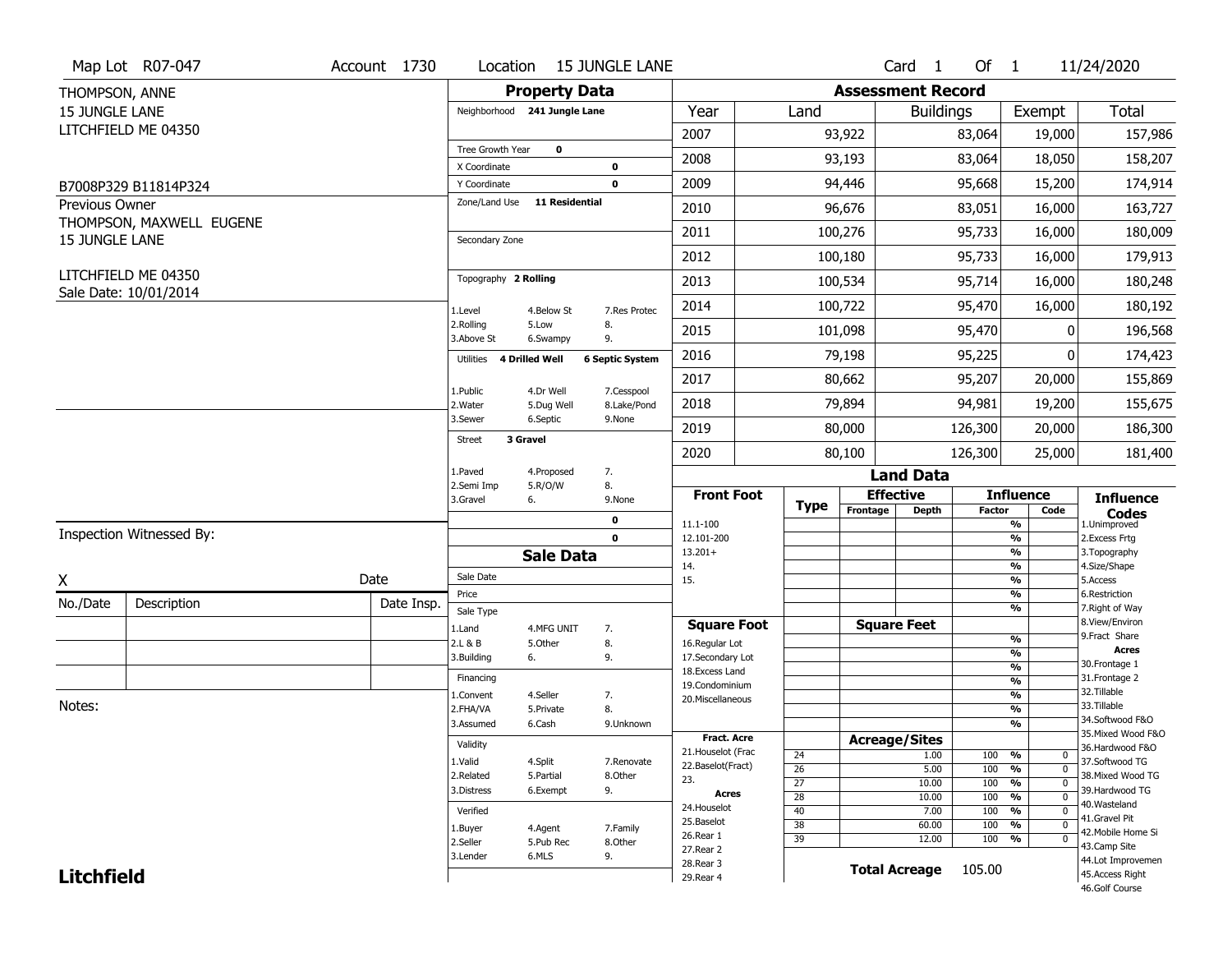|                       | Map Lot R07-047                              | Account 1730 | Location                             | <b>15 JUNGLE LANE</b>                       |              |                                    |                       |                          | Card 1                           | Of 1       |                                                | 11/24/2020                          |
|-----------------------|----------------------------------------------|--------------|--------------------------------------|---------------------------------------------|--------------|------------------------------------|-----------------------|--------------------------|----------------------------------|------------|------------------------------------------------|-------------------------------------|
| THOMPSON, ANNE        |                                              |              |                                      | <b>Property Data</b>                        |              |                                    |                       | <b>Assessment Record</b> |                                  |            |                                                |                                     |
| <b>15 JUNGLE LANE</b> |                                              |              |                                      | Neighborhood 241 Jungle Lane                |              | Year                               | Land                  |                          | <b>Buildings</b>                 |            | Exempt                                         | <b>Total</b>                        |
|                       | LITCHFIELD ME 04350                          |              |                                      |                                             |              | 2007                               |                       | 93,922                   |                                  | 83,064     | 19,000                                         | 157,986                             |
|                       |                                              |              | Tree Growth Year                     | $\mathbf 0$                                 |              | 2008                               |                       | 93,193                   |                                  | 83,064     | 18,050                                         | 158,207                             |
|                       |                                              |              | X Coordinate                         | 0                                           |              |                                    |                       |                          |                                  |            |                                                |                                     |
|                       | B7008P329 B11814P324                         |              | Y Coordinate<br>Zone/Land Use        | 0<br><b>11 Residential</b>                  |              | 2009                               |                       | 94,446                   |                                  | 95,668     | 15,200                                         | 174,914                             |
| <b>Previous Owner</b> | THOMPSON, MAXWELL EUGENE                     |              |                                      |                                             |              | 2010                               |                       | 96,676                   |                                  | 83,051     | 16,000                                         | 163,727                             |
| <b>15 JUNGLE LANE</b> |                                              |              | Secondary Zone                       |                                             |              | 2011                               |                       | 100,276                  |                                  | 95,733     | 16,000                                         | 180,009                             |
|                       |                                              |              |                                      |                                             |              | 2012                               |                       | 100,180                  |                                  | 95,733     | 16,000                                         | 179,913                             |
|                       | LITCHFIELD ME 04350<br>Sale Date: 10/01/2014 |              | Topography 2 Rolling                 |                                             |              | 2013                               |                       | 100,534                  |                                  | 95,714     | 16,000                                         | 180,248                             |
|                       |                                              |              | 1.Level                              | 4.Below St                                  | 7.Res Protec | 2014                               |                       | 100,722                  |                                  | 95,470     | 16,000                                         | 180,192                             |
|                       |                                              |              | 2.Rolling<br>3.Above St              | 5.Low<br>8.<br>9.<br>6.Swampy               |              | 2015                               |                       | 101,098                  |                                  | 95,470     | 0                                              | 196,568                             |
|                       |                                              |              | Utilities                            | 4 Drilled Well<br><b>6 Septic System</b>    |              | 2016                               |                       | 79,198                   |                                  | 95,225     | 0                                              | 174,423                             |
|                       |                                              |              | 1.Public                             | 4.Dr Well                                   | 7.Cesspool   | 2017                               |                       | 80,662                   |                                  | 95,207     | 20,000                                         | 155,869                             |
|                       |                                              |              | 2. Water                             | 5.Dug Well                                  | 8.Lake/Pond  | 2018                               |                       | 79,894                   |                                  | 94,981     | 19,200                                         | 155,675                             |
|                       |                                              |              | 3.Sewer<br>3 Gravel<br><b>Street</b> | 6.Septic<br>9.None                          |              | 2019                               |                       | 80,000                   |                                  | 126,300    | 20,000                                         | 186,300                             |
|                       |                                              |              |                                      |                                             |              | 2020                               |                       | 80,100                   |                                  | 126,300    | 25,000                                         | 181,400                             |
|                       |                                              |              | 1.Paved<br>2.Semi Imp                | 7.<br>4.Proposed<br>8.<br>5.R/O/W           |              |                                    |                       |                          | <b>Land Data</b>                 |            |                                                |                                     |
|                       |                                              |              | 3.Gravel                             | 6.<br>9.None                                |              | <b>Front Foot</b>                  | <b>Type</b>           |                          | <b>Effective</b><br><b>Depth</b> |            | <b>Influence</b>                               | <b>Influence</b>                    |
|                       |                                              |              |                                      |                                             |              |                                    |                       |                          |                                  |            |                                                |                                     |
|                       |                                              |              |                                      | 0                                           |              | 11.1-100                           |                       | Frontage                 |                                  | Factor     | Code<br>%                                      | <b>Codes</b><br>1.Unimproved        |
|                       | Inspection Witnessed By:                     |              |                                      | $\mathbf 0$                                 |              | 12.101-200                         |                       |                          |                                  |            | $\frac{9}{6}$                                  | 2.Excess Frtg                       |
|                       |                                              |              |                                      | <b>Sale Data</b>                            |              | $13.201+$<br>14.                   |                       |                          |                                  |            | %<br>%                                         | 3. Topography<br>4.Size/Shape       |
| X                     |                                              | Date         | Sale Date                            |                                             |              | 15.                                |                       |                          |                                  |            | %                                              | 5.Access                            |
| No./Date              | Description                                  | Date Insp.   | Price                                |                                             |              |                                    |                       |                          |                                  |            | %<br>%                                         | 6.Restriction<br>7. Right of Way    |
|                       |                                              |              | Sale Type<br>1.Land                  | 4.MFG UNIT<br>7.                            |              | <b>Square Foot</b>                 |                       |                          | <b>Square Feet</b>               |            |                                                | 8.View/Environ                      |
|                       |                                              |              | 2.L & B                              | 8.<br>5.Other                               |              | 16.Regular Lot                     |                       |                          |                                  |            | $\frac{9}{6}$                                  | 9. Fract Share<br>Acres             |
|                       |                                              |              | 3.Building                           | 9.<br>6.                                    |              | 17.Secondary Lot<br>18.Excess Land |                       |                          |                                  |            | %<br>$\frac{9}{6}$                             | 30. Frontage 1                      |
|                       |                                              |              | Financing                            |                                             |              | 19.Condominium                     |                       |                          |                                  |            | $\frac{9}{6}$                                  | 31. Frontage 2                      |
| Notes:                |                                              |              | 1.Convent                            | 4.Seller<br>7.                              |              | 20.Miscellaneous                   |                       |                          |                                  |            | $\frac{9}{6}$                                  | 32.Tillable<br>33.Tillable          |
|                       |                                              |              | 2.FHA/VA<br>3.Assumed                | 8.<br>5.Private<br>6.Cash                   | 9.Unknown    |                                    |                       |                          |                                  |            | $\frac{9}{6}$<br>%                             | 34.Softwood F&O                     |
|                       |                                              |              |                                      |                                             |              | <b>Fract, Acre</b>                 |                       |                          |                                  |            |                                                | 35. Mixed Wood F&O                  |
|                       |                                              |              | Validity                             |                                             |              | 21. Houselot (Frac                 | 24                    |                          | <b>Acreage/Sites</b><br>1.00     | 100        | %<br>0                                         | 36.Hardwood F&O                     |
|                       |                                              |              | 1.Valid<br>2.Related                 | 4.Split<br>5.Partial<br>8.Other             | 7.Renovate   | 22.Baselot(Fract)                  | $\overline{26}$       |                          | 5.00                             | 100        | $\overline{0}$<br>%                            | 37.Softwood TG<br>38. Mixed Wood TG |
|                       |                                              |              | 3.Distress                           | 9.<br>6.Exempt                              |              | 23.<br>Acres                       | $\overline{27}$       |                          | 10.00                            | 100        | $\overline{0}$<br>%                            | 39.Hardwood TG                      |
|                       |                                              |              |                                      |                                             |              | 24. Houselot                       | $\overline{28}$       |                          | 10.00                            | 100        | $\frac{9}{6}$<br>$\overline{0}$<br>$\mathbf 0$ | 40. Wasteland                       |
|                       |                                              |              | Verified                             |                                             |              | 25.Baselot                         | 40<br>$\overline{38}$ |                          | 7.00<br>60.00                    | 100<br>100 | %<br>$\frac{9}{6}$<br>$\mathbf 0$              | 41.Gravel Pit                       |
|                       |                                              |              | 1.Buyer<br>2.Seller                  | 4.Agent<br>7.Family<br>5.Pub Rec<br>8.Other |              | 26.Rear 1                          | $\overline{39}$       |                          | 12.00                            | 100        | %<br>$\mathbf 0$                               | 42. Mobile Home Si                  |
|                       |                                              |              | 3.Lender                             | 6.MLS<br>9.                                 |              | 27.Rear 2                          |                       |                          |                                  |            |                                                | 43.Camp Site<br>44.Lot Improvemen   |
| <b>Litchfield</b>     |                                              |              |                                      |                                             |              | 28. Rear 3<br>29. Rear 4           |                       |                          | <b>Total Acreage</b>             | 105.00     |                                                | 45.Access Right<br>46.Golf Course   |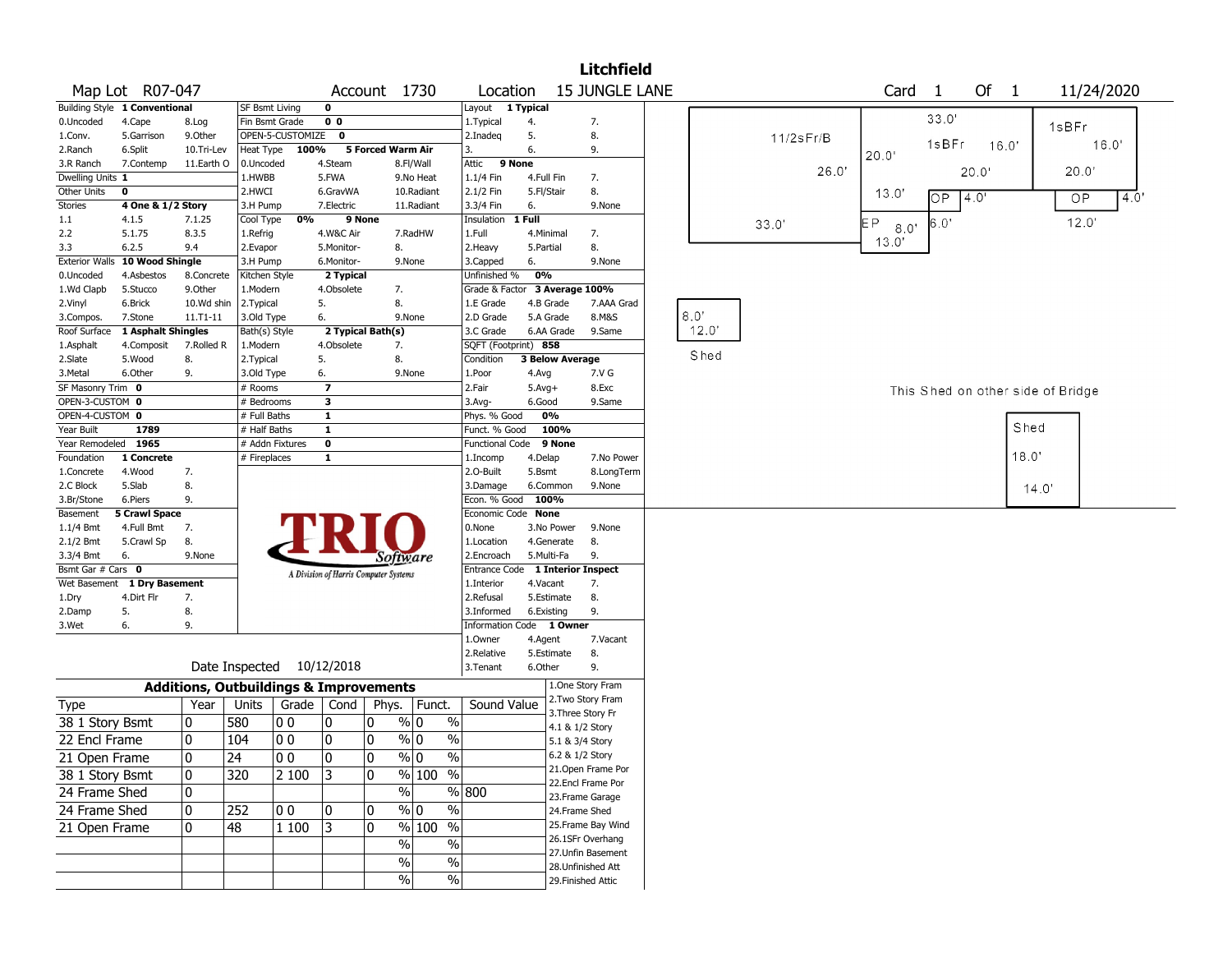|                        |                               |                                                   |                 |                           |                                       |                   |                 |                          |                               |            |                        | <b>Litchfield</b>                       |      |       |                 |       |            |       |       |                                   |            |     |
|------------------------|-------------------------------|---------------------------------------------------|-----------------|---------------------------|---------------------------------------|-------------------|-----------------|--------------------------|-------------------------------|------------|------------------------|-----------------------------------------|------|-------|-----------------|-------|------------|-------|-------|-----------------------------------|------------|-----|
|                        | Map Lot R07-047               |                                                   |                 |                           |                                       | Account 1730      |                 |                          | Location                      |            |                        | 15 JUNGLE LANE                          |      |       |                 |       | Card       | -1    | Of 1  |                                   | 11/24/2020 |     |
|                        | Building Style 1 Conventional |                                                   |                 | Layout 1 Typical          |                                       |                   |                 |                          |                               |            |                        |                                         |      |       |                 |       |            |       |       |                                   |            |     |
| 0.Uncoded              | 4.Cape                        | 8.Log                                             | Fin Bsmt Grade  |                           | 0 <sub>0</sub>                        |                   |                 |                          | 1. Typical                    | 4.         |                        | 7.                                      |      |       |                 |       |            | 33.0' |       |                                   | 1sBFr      |     |
| 1.Conv.                | 5.Garrison                    | 9.0ther                                           |                 | OPEN-5-CUSTOMIZE 0        |                                       |                   |                 |                          | 2.Inadeq                      | 5.         |                        | 8.                                      |      |       | $11/2$ s $Fr/B$ |       |            | 1sBFr |       |                                   | 16.0'      |     |
| 2.Ranch                | 6.Split                       | 10.Tri-Lev                                        | Heat Type       | 100%                      |                                       | 5 Forced Warm Air |                 |                          | 3.                            | 6.         |                        | 9.                                      |      |       |                 |       | 20.0"      |       | 16.0' |                                   |            |     |
| 3.R Ranch              | 7.Contemp                     | 11.Earth O                                        | 0.Uncoded       |                           | 4.Steam                               |                   | 8.Fl/Wall       |                          | Attic<br>9 None               |            |                        |                                         |      |       |                 | 26.0' |            |       | 20.0  |                                   | 20.0'      |     |
| Dwelling Units 1       |                               |                                                   | 1.HWBB          |                           | 5.FWA                                 |                   | 9.No Heat       |                          | 1.1/4 Fin                     | 4.Full Fin |                        | 7.                                      |      |       |                 |       |            |       |       |                                   |            |     |
| Other Units            | 0                             |                                                   | 2.HWCI          |                           | 6.GravWA                              |                   | 10.Radiant      |                          | 2.1/2 Fin                     | 5.Fl/Stair |                        | 8.                                      |      |       |                 |       | 13.0'      | OP.   | 4.0'  |                                   | OP         | 4.0 |
| Stories                | 4 One & 1/2 Story             |                                                   | 3.H Pump        |                           | 7.Electric                            |                   | 11.Radiant      |                          | 3.3/4 Fin                     | 6.         |                        | 9.None                                  |      |       |                 |       |            |       |       |                                   |            |     |
| 1.1                    | 4.1.5                         | 7.1.25                                            | Cool Type       | 0%                        |                                       | 9 None            |                 |                          | Insulation                    | 1 Full     |                        |                                         |      |       | 33.0'           |       | ΕP<br>8.0' | 6.0'  |       |                                   | 12.0'      |     |
| 2.2                    | 5.1.75                        | 8.3.5                                             | 1.Refrig        |                           | 4.W&C Air                             |                   | 7.RadHW         |                          | 1.Full                        | 4.Minimal  |                        | 7.                                      |      |       |                 |       | 13.0'      |       |       |                                   |            |     |
| 3.3                    | 6.2.5                         | 9.4                                               | 2.Evapor        |                           | 5.Monitor-                            |                   | 8.              |                          | 2.Heavy                       | 5.Partial  |                        | 8.                                      |      |       |                 |       |            |       |       |                                   |            |     |
| <b>Exterior Walls</b>  | 10 Wood Shingle               |                                                   | 3.H Pump        |                           | 6.Monitor-                            |                   | 9.None          |                          | 3.Capped                      | 6.         |                        | 9.None                                  |      |       |                 |       |            |       |       |                                   |            |     |
| 0.Uncoded              | 4.Asbestos                    | 8.Concrete                                        | Kitchen Style   |                           | 2 Typical                             |                   |                 |                          | Unfinished %                  | 0%         |                        |                                         |      |       |                 |       |            |       |       |                                   |            |     |
| 1.Wd Clapb             | 5.Stucco                      | 9.Other                                           | 1.Modern        |                           | 4.Obsolete                            | 7.                |                 |                          | Grade & Factor 3 Average 100% |            |                        |                                         |      |       |                 |       |            |       |       |                                   |            |     |
| 2.Vinyl                | 6.Brick                       | 10.Wd shin                                        | 2. Typical      |                           | 5.                                    | 8.                |                 |                          | 1.E Grade                     |            | 4.B Grade              | 7.AAA Grad                              |      |       |                 |       |            |       |       |                                   |            |     |
| 3.Compos.              | 7.Stone                       | $11. T1 - 11$                                     | 3.Old Type      |                           | 6.                                    |                   | 9.None          |                          | 2.D Grade                     |            | 5.A Grade              | 8.M&S                                   | 8.0' |       |                 |       |            |       |       |                                   |            |     |
| Roof Surface           | 1 Asphalt Shingles            |                                                   | Bath(s) Style   |                           | 2 Typical Bath(s)                     |                   |                 |                          | 3.C Grade                     |            | 6.AA Grade             | 9.Same                                  |      | 12.0" |                 |       |            |       |       |                                   |            |     |
| 1.Asphalt              | 4.Composit                    | 7.Rolled R                                        | 1.Modern        |                           | 4.Obsolete                            | 7.                |                 |                          | SQFT (Footprint) 858          |            |                        |                                         |      | Shed  |                 |       |            |       |       |                                   |            |     |
| 2.Slate                | 5.Wood                        | 8.                                                | 2. Typical      |                           | 5.                                    | 8.                |                 |                          | Condition                     |            | <b>3 Below Average</b> |                                         |      |       |                 |       |            |       |       |                                   |            |     |
| 3.Metal                | 6.Other                       | 9.                                                | 3.Old Type      |                           | 6.                                    |                   | 9.None          |                          | 1.Poor                        | 4.Avg      |                        | 7.V G                                   |      |       |                 |       |            |       |       |                                   |            |     |
| SF Masonry Trim 0      |                               |                                                   | # Rooms         |                           | $\overline{\phantom{a}}$              |                   |                 |                          | 2.Fair                        | $5.Avg+$   |                        | 8.Exc                                   |      |       |                 |       |            |       |       | This Shed on other side of Bridge |            |     |
| OPEN-3-CUSTOM 0        |                               |                                                   | # Bedrooms      |                           | 3                                     |                   |                 |                          | 3.Avg-                        | 6.Good     |                        | 9.Same                                  |      |       |                 |       |            |       |       |                                   |            |     |
| OPEN-4-CUSTOM 0        |                               |                                                   | # Full Baths    |                           | $\mathbf{1}$                          |                   |                 |                          | Phys. % Good                  |            | 0%                     |                                         |      |       |                 |       |            |       |       | Shed                              |            |     |
| Year Built             | 1789                          |                                                   | # Half Baths    |                           | $\mathbf{1}$                          |                   |                 |                          | Funct. % Good                 |            | 100%                   |                                         |      |       |                 |       |            |       |       |                                   |            |     |
| Year Remodeled 1965    |                               |                                                   |                 | # Addn Fixtures           | $\pmb{0}$                             |                   |                 |                          | Functional Code               |            | 9 None                 |                                         |      |       |                 |       |            |       |       | 18.0"                             |            |     |
| Foundation             | 1 Concrete                    |                                                   | # Fireplaces    |                           | 1                                     |                   |                 |                          | 1.Incomp                      | 4.Delap    |                        | 7.No Power                              |      |       |                 |       |            |       |       |                                   |            |     |
| 1.Concrete             | 4.Wood<br>5.Slab              | 7.                                                |                 |                           |                                       |                   |                 |                          | 2.O-Built                     | 5.Bsmt     |                        | 8.LongTerm                              |      |       |                 |       |            |       |       |                                   |            |     |
| 2.C Block              | 6.Piers                       | 8.<br>9.                                          |                 |                           |                                       |                   |                 |                          | 3.Damage<br>Econ. % Good 100% |            | 6.Common               | 9.None                                  |      |       |                 |       |            |       |       | 14.0'                             |            |     |
| 3.Br/Stone<br>Basement | <b>5 Crawl Space</b>          |                                                   |                 |                           |                                       |                   |                 |                          | Economic Code None            |            |                        |                                         |      |       |                 |       |            |       |       |                                   |            |     |
| $1.1/4$ Bmt            | 4.Full Bmt                    | 7.                                                |                 |                           |                                       |                   |                 |                          | 0.None                        |            | 3.No Power             | 9.None                                  |      |       |                 |       |            |       |       |                                   |            |     |
| 2.1/2 Bmt              | 5.Crawl Sp                    | 8.                                                |                 |                           |                                       |                   |                 |                          | 1.Location                    |            | 4.Generate             | 8.                                      |      |       |                 |       |            |       |       |                                   |            |     |
| 3.3/4 Bmt              | 6.                            | 9.None                                            |                 |                           |                                       |                   |                 |                          | 2.Encroach                    |            | 5.Multi-Fa             | 9.                                      |      |       |                 |       |            |       |       |                                   |            |     |
| Bsmt Gar # Cars 0      |                               |                                                   |                 |                           |                                       |                   | Software        |                          | <b>Entrance Code</b>          |            |                        | <b>1 Interior Inspect</b>               |      |       |                 |       |            |       |       |                                   |            |     |
|                        | Wet Basement 1 Dry Basement   |                                                   |                 |                           | A Division of Harris Computer Systems |                   |                 |                          | 1.Interior                    | 4.Vacant   |                        | 7.                                      |      |       |                 |       |            |       |       |                                   |            |     |
| 1.Dry                  | 4.Dirt Flr                    | 7.                                                |                 |                           |                                       |                   |                 |                          | 2.Refusal                     |            | 5.Estimate             | 8.                                      |      |       |                 |       |            |       |       |                                   |            |     |
| 2.Damp                 | 5.                            | 8.                                                |                 |                           |                                       |                   |                 |                          | 3.Informed                    | 6.Existing |                        | 9.                                      |      |       |                 |       |            |       |       |                                   |            |     |
| 3.Wet                  | 6.                            | 9.                                                |                 |                           |                                       |                   |                 |                          | <b>Information Code</b>       |            | 1 Owner                |                                         |      |       |                 |       |            |       |       |                                   |            |     |
|                        |                               |                                                   |                 |                           |                                       |                   |                 |                          | 1.Owner                       | 4.Agent    |                        | 7.Vacant                                |      |       |                 |       |            |       |       |                                   |            |     |
|                        |                               |                                                   |                 |                           |                                       |                   |                 |                          | 2.Relative                    |            | 5.Estimate             | 8.                                      |      |       |                 |       |            |       |       |                                   |            |     |
|                        |                               |                                                   |                 | Date Inspected 10/12/2018 |                                       |                   |                 |                          | 3. Tenant                     | 6.Other    |                        | 9.                                      |      |       |                 |       |            |       |       |                                   |            |     |
|                        |                               |                                                   |                 |                           |                                       |                   |                 |                          |                               |            |                        | 1.One Story Fram                        |      |       |                 |       |            |       |       |                                   |            |     |
|                        |                               | <b>Additions, Outbuildings &amp; Improvements</b> |                 |                           |                                       |                   |                 |                          |                               |            |                        | 2. Two Story Fram                       |      |       |                 |       |            |       |       |                                   |            |     |
| Type                   |                               | Year                                              | Units           | Grade                     | Cond                                  | Phys.             | Funct.          |                          | Sound Value                   |            |                        | 3. Three Story Fr                       |      |       |                 |       |            |       |       |                                   |            |     |
| 38 1 Story Bsmt        |                               | 0                                                 | 580             | 00                        | 0                                     | 0                 | % 0             | $\%$                     |                               |            | 4.1 & 1/2 Story        |                                         |      |       |                 |       |            |       |       |                                   |            |     |
| 22 Encl Frame          |                               | 0                                                 | 104             | O O                       | 0                                     | 0                 | $\sqrt[6]{0}$   | $\frac{0}{0}$            |                               |            | 5.1 & 3/4 Story        |                                         |      |       |                 |       |            |       |       |                                   |            |     |
| 21 Open Frame          |                               | 0                                                 | $\overline{24}$ | $ 00\rangle$              | $ 0\rangle$                           | 0                 | $\sqrt[9]{0}$   | $\frac{9}{6}$            |                               |            |                        | 6.2 & 1/2 Story                         |      |       |                 |       |            |       |       |                                   |            |     |
| 38 1 Story Bsmt        |                               | 10                                                | 320             | 2 100                     | 13                                    | 10                | % 100 %         |                          |                               |            |                        | 21. Open Frame Por<br>22.Encl Frame Por |      |       |                 |       |            |       |       |                                   |            |     |
| 24 Frame Shed          |                               | 0                                                 |                 |                           |                                       |                   | %               |                          | % 800                         |            |                        | 23. Frame Garage                        |      |       |                 |       |            |       |       |                                   |            |     |
| 24 Frame Shed          |                               | 0                                                 | 252             | 00                        | 10                                    | 0                 | $\frac{9}{6}$ 0 | $\%$                     |                               |            |                        | 24.Frame Shed                           |      |       |                 |       |            |       |       |                                   |            |     |
| 21 Open Frame          |                               | 0                                                 | 48              | 1 100                     | 3                                     | 0                 | % 100           | $\%$                     |                               |            |                        | 25. Frame Bay Wind                      |      |       |                 |       |            |       |       |                                   |            |     |
|                        |                               |                                                   |                 |                           |                                       |                   | $\%$            | $\%$                     |                               |            |                        | 26.1SFr Overhang                        |      |       |                 |       |            |       |       |                                   |            |     |
|                        |                               |                                                   |                 |                           |                                       |                   |                 |                          |                               |            |                        | 27.Unfin Basement                       |      |       |                 |       |            |       |       |                                   |            |     |
|                        |                               |                                                   |                 |                           |                                       |                   | $\%$            | $\%$                     |                               |            |                        | 28. Unfinished Att                      |      |       |                 |       |            |       |       |                                   |            |     |
|                        |                               |                                                   |                 |                           |                                       |                   | $\sqrt{6}$      | $\overline{\frac{0}{6}}$ |                               |            |                        | 29. Finished Attic                      |      |       |                 |       |            |       |       |                                   |            |     |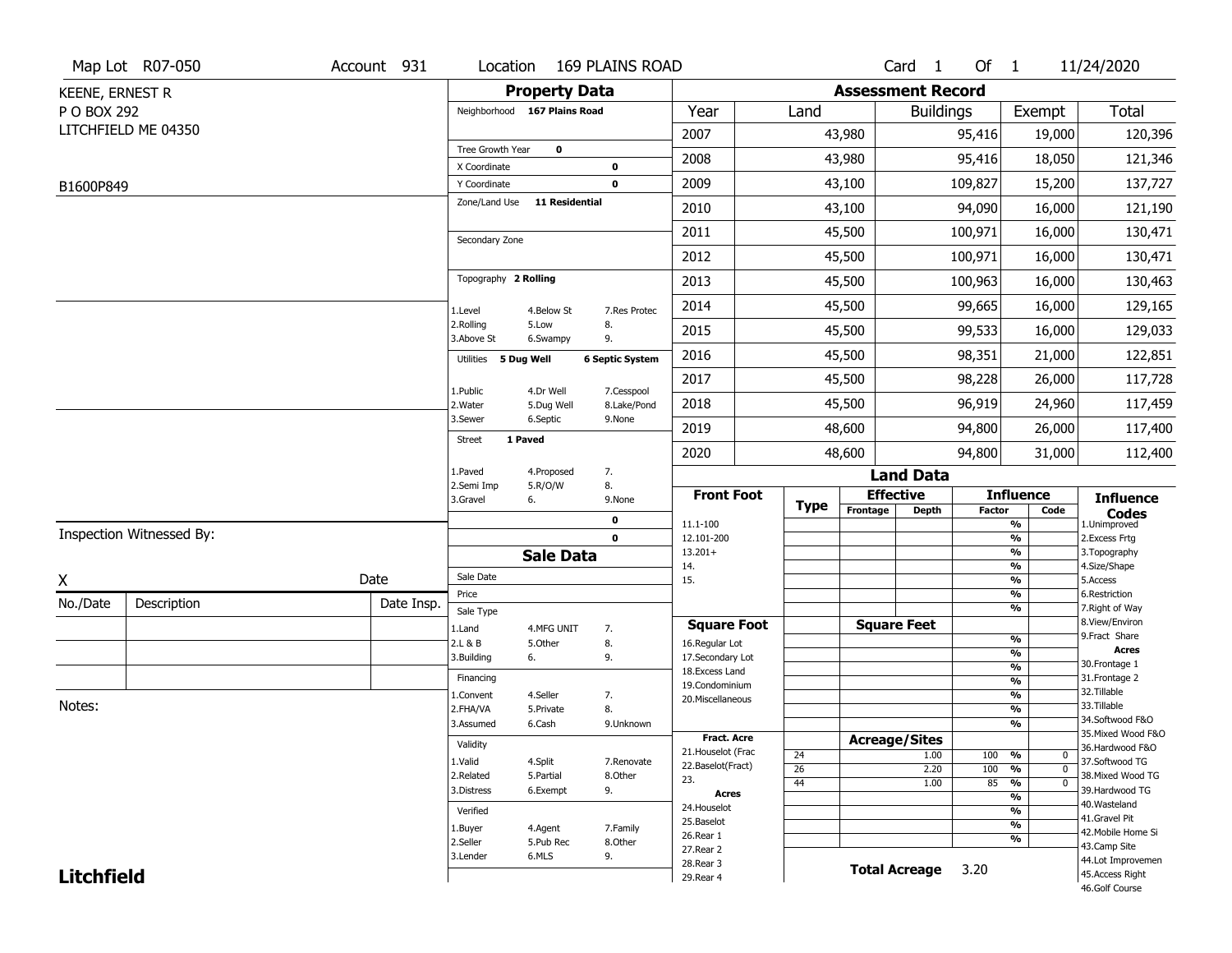|                        | Map Lot R07-050          | Account 931 | Location                      |                      | <b>169 PLAINS ROAD</b> |                                    |                 |                          | Card <sub>1</sub>    | Of 1          |                                | 11/24/2020                          |
|------------------------|--------------------------|-------------|-------------------------------|----------------------|------------------------|------------------------------------|-----------------|--------------------------|----------------------|---------------|--------------------------------|-------------------------------------|
| <b>KEENE, ERNEST R</b> |                          |             |                               | <b>Property Data</b> |                        |                                    |                 | <b>Assessment Record</b> |                      |               |                                |                                     |
| P O BOX 292            |                          |             | Neighborhood 167 Plains Road  |                      |                        | Year                               | Land            |                          | <b>Buildings</b>     |               | Exempt                         | <b>Total</b>                        |
|                        | LITCHFIELD ME 04350      |             |                               |                      |                        | 2007                               |                 | 43,980                   |                      | 95,416        | 19,000                         | 120,396                             |
|                        |                          |             | Tree Growth Year              | $\mathbf 0$          |                        | 2008                               |                 | 43,980                   |                      | 95,416        | 18,050                         | 121,346                             |
|                        |                          |             | X Coordinate                  |                      | 0                      | 2009                               |                 | 43,100                   |                      | 109,827       |                                |                                     |
| B1600P849              |                          |             | Y Coordinate<br>Zone/Land Use | 11 Residential       | 0                      |                                    |                 |                          |                      |               | 15,200                         | 137,727                             |
|                        |                          |             |                               |                      |                        | 2010                               |                 | 43,100                   |                      | 94,090        | 16,000                         | 121,190                             |
|                        |                          |             | Secondary Zone                |                      |                        | 2011                               |                 | 45,500                   |                      | 100,971       | 16,000                         | 130,471                             |
|                        |                          |             |                               |                      |                        | 2012                               |                 | 45,500                   |                      | 100,971       | 16,000                         | 130,471                             |
|                        |                          |             | Topography 2 Rolling          |                      |                        | 2013                               |                 | 45,500                   |                      | 100,963       | 16,000                         | 130,463                             |
|                        |                          |             | 1.Level                       | 4.Below St           | 7.Res Protec           | 2014                               |                 | 45,500                   |                      | 99,665        | 16,000                         | 129,165                             |
|                        |                          |             | 2.Rolling<br>3.Above St       | 5.Low<br>6.Swampy    | 8.<br>9.               | 2015                               |                 | 45,500                   |                      | 99,533        | 16,000                         | 129,033                             |
|                        |                          |             | Utilities 5 Dug Well          |                      | <b>6 Septic System</b> | 2016                               |                 | 45,500                   |                      | 98,351        | 21,000                         | 122,851                             |
|                        |                          |             | 1.Public                      | 4.Dr Well            | 7.Cesspool             | 2017                               |                 | 45,500                   |                      | 98,228        | 26,000                         | 117,728                             |
|                        |                          |             | 2. Water                      | 5.Dug Well           | 8.Lake/Pond            | 2018                               |                 | 45,500                   |                      | 96,919        | 24,960                         | 117,459                             |
|                        |                          |             | 3.Sewer                       | 6.Septic             | 9.None                 | 2019                               |                 | 48,600                   |                      | 94,800        | 26,000                         | 117,400                             |
|                        |                          |             | <b>Street</b>                 | 1 Paved              |                        | 2020                               |                 | 48,600                   |                      | 94,800        | 31,000                         | 112,400                             |
|                        |                          |             | 1.Paved                       | 4.Proposed           | 7.                     |                                    |                 |                          | <b>Land Data</b>     |               |                                |                                     |
|                        |                          |             | 2.Semi Imp<br>3.Gravel        | 5.R/O/W<br>6.        | 8.<br>9.None           | <b>Front Foot</b>                  | <b>Type</b>     | <b>Effective</b>         |                      |               | <b>Influence</b>               | <b>Influence</b>                    |
|                        |                          |             |                               |                      | 0                      | 11.1-100                           |                 | Frontage                 | Depth                | <b>Factor</b> | Code<br>%                      | <b>Codes</b><br>1.Unimproved        |
|                        | Inspection Witnessed By: |             |                               |                      | $\mathbf 0$            | 12.101-200                         |                 |                          |                      |               | $\frac{9}{6}$                  | 2. Excess Frtg                      |
|                        |                          |             |                               | <b>Sale Data</b>     |                        | $13.201+$<br>14.                   |                 |                          |                      |               | %<br>%                         | 3. Topography<br>4.Size/Shape       |
| X                      |                          | Date        | Sale Date                     |                      |                        | 15.                                |                 |                          |                      |               | $\frac{9}{6}$                  | 5.Access                            |
| No./Date               | Description              | Date Insp.  | Price<br>Sale Type            |                      |                        |                                    |                 |                          |                      |               | %<br>%                         | 6.Restriction<br>7. Right of Way    |
|                        |                          |             | 1.Land                        | 4.MFG UNIT           | 7.                     | <b>Square Foot</b>                 |                 |                          | <b>Square Feet</b>   |               |                                | 8.View/Environ                      |
|                        |                          |             | 2.L & B                       | 5.Other              | 8.                     | 16.Regular Lot                     |                 |                          |                      |               | $\frac{9}{6}$<br>$\frac{9}{6}$ | 9. Fract Share<br><b>Acres</b>      |
|                        |                          |             | 3.Building                    | 6.                   | 9.                     | 17.Secondary Lot<br>18.Excess Land |                 |                          |                      |               | $\frac{9}{6}$                  | 30.Frontage 1                       |
|                        |                          |             | Financing                     |                      |                        | 19.Condominium                     |                 |                          |                      |               | $\frac{9}{6}$                  | 31. Frontage 2                      |
| Notes:                 |                          |             | 1.Convent                     | 4.Seller             | 7.                     | 20.Miscellaneous                   |                 |                          |                      |               | $\frac{9}{6}$                  | 32.Tillable<br>33.Tillable          |
|                        |                          |             | 2.FHA/VA<br>3.Assumed         | 5.Private<br>6.Cash  | 8.                     |                                    |                 |                          |                      |               | $\frac{9}{6}$<br>%             | 34.Softwood F&O                     |
|                        |                          |             |                               |                      | 9.Unknown              | <b>Fract. Acre</b>                 |                 | <b>Acreage/Sites</b>     |                      |               |                                | 35. Mixed Wood F&O                  |
|                        |                          |             | Validity                      |                      |                        | 21. Houselot (Frac                 | 24              |                          | 1.00                 | 100           | %<br>0                         | 36.Hardwood F&O                     |
|                        |                          |             | 1.Valid                       | 4.Split              | 7.Renovate             | 22.Baselot(Fract)                  | $\overline{26}$ |                          | 2.20                 | 100           | $\frac{9}{6}$<br>$\mathbf 0$   | 37.Softwood TG                      |
|                        |                          |             | 2.Related<br>3.Distress       | 5.Partial            | 8.Other                | 23.                                | 44              |                          | 1.00                 | 85            | $\frac{9}{6}$<br>$\mathbf 0$   | 38. Mixed Wood TG<br>39.Hardwood TG |
|                        |                          |             |                               | 6.Exempt             | 9.                     | <b>Acres</b>                       |                 |                          |                      |               | $\frac{9}{6}$                  | 40. Wasteland                       |
|                        |                          |             | Verified                      |                      |                        | 24. Houselot<br>25.Baselot         |                 |                          |                      |               | $\frac{9}{6}$                  | 41.Gravel Pit                       |
|                        |                          |             | 1.Buyer                       | 4.Agent              | 7.Family               | 26.Rear 1                          |                 |                          |                      |               | $\frac{9}{6}$<br>%             | 42. Mobile Home Si                  |
|                        |                          |             | 2.Seller                      | 5.Pub Rec            | 8.Other                | 27.Rear 2                          |                 |                          |                      |               |                                | 43.Camp Site                        |
|                        |                          |             | 3.Lender                      | 6.MLS                | 9.                     | 28. Rear 3                         |                 |                          | <b>Total Acreage</b> | 3.20          |                                | 44.Lot Improvemen                   |
| <b>Litchfield</b>      |                          |             |                               |                      |                        | 29. Rear 4                         |                 |                          |                      |               |                                | 45.Access Right<br>46.Golf Course   |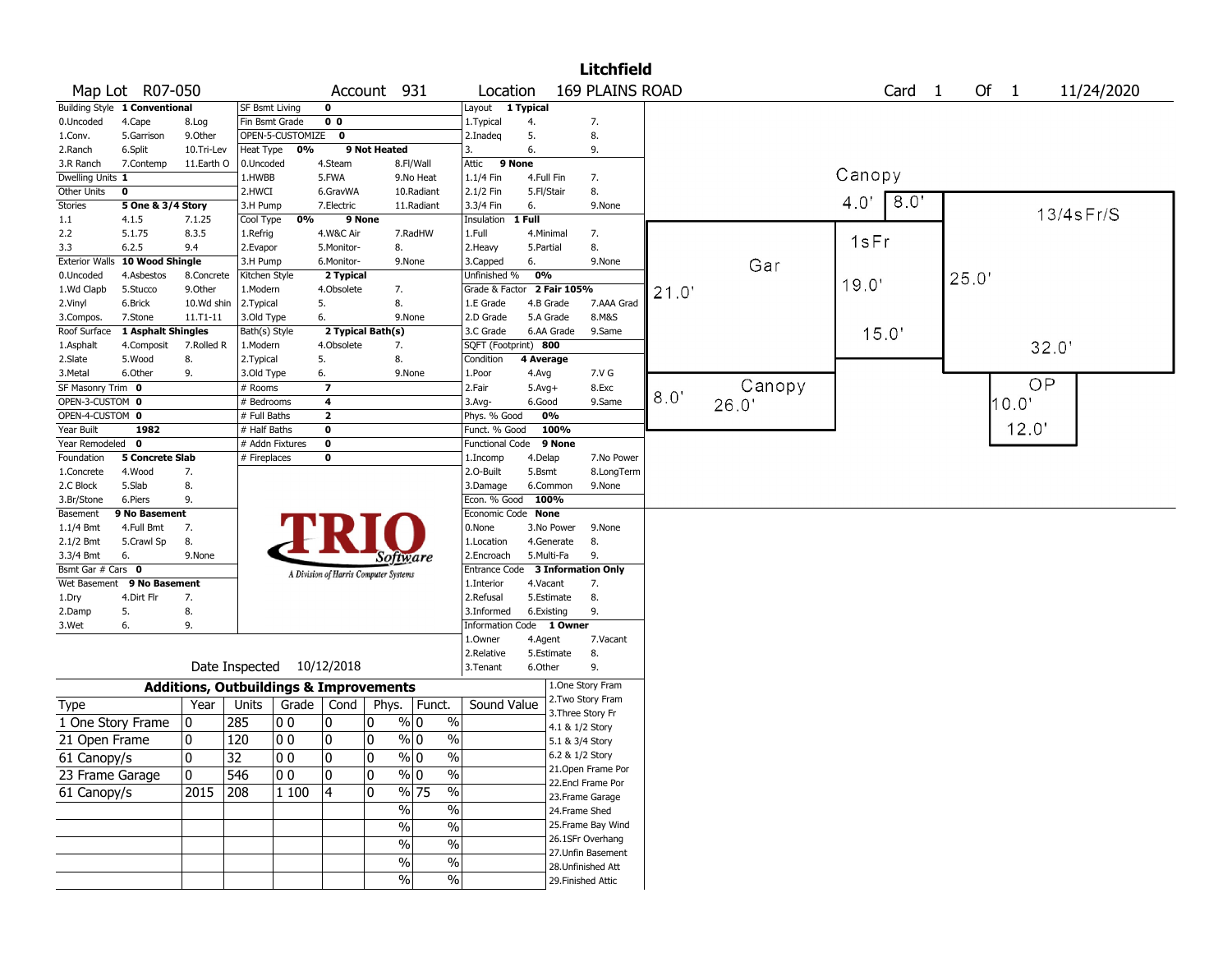|                          |                               |                                                   |                      |                    |                                       |              |                  |                                  |                       |                                      | <b>Litchfield</b> |      |        |               |            |       |       |                 |
|--------------------------|-------------------------------|---------------------------------------------------|----------------------|--------------------|---------------------------------------|--------------|------------------|----------------------------------|-----------------------|--------------------------------------|-------------------|------|--------|---------------|------------|-------|-------|-----------------|
|                          | Map Lot R07-050               |                                                   |                      |                    |                                       | Account 931  |                  | Location                         |                       |                                      | 169 PLAINS ROAD   |      |        |               | Card<br>-1 |       | Of 1  | 11/24/2020      |
|                          | Building Style 1 Conventional |                                                   | SF Bsmt Living       |                    | 0                                     |              |                  | Layout 1 Typical                 |                       |                                      |                   |      |        |               |            |       |       |                 |
| 0.Uncoded                | 4.Cape                        | 8.Log                                             | Fin Bsmt Grade       |                    | 0 <sub>0</sub>                        |              |                  | 1.Typical                        | 4.                    | 7.                                   |                   |      |        |               |            |       |       |                 |
| 1.Conv.                  | 5.Garrison                    | 9.Other                                           |                      | OPEN-5-CUSTOMIZE 0 |                                       |              |                  | 2.Inadeq                         | 5.                    | 8.                                   |                   |      |        |               |            |       |       |                 |
| 2.Ranch                  | 6.Split                       | 10.Tri-Lev                                        | Heat Type            | 0%                 |                                       | 9 Not Heated |                  | 3.                               | 6.                    | 9.                                   |                   |      |        |               |            |       |       |                 |
| 3.R Ranch                | 7.Contemp                     | 11.Earth O                                        | 0.Uncoded            |                    | 4.Steam                               |              | 8.Fl/Wall        | Attic                            | 9 None                |                                      |                   |      |        | Canopy        |            |       |       |                 |
| Dwelling Units 1         |                               |                                                   | 1.HWBB               |                    | 5.FWA                                 |              | 9.No Heat        | 1.1/4 Fin                        | 4.Full Fin            | 7.                                   |                   |      |        |               |            |       |       |                 |
| Other Units              | 0                             |                                                   | 2.HWCI               |                    | 6.GravWA                              |              | 10.Radiant       | 2.1/2 Fin                        | 5.Fl/Stair            | 8.                                   |                   |      |        | $4.0^{\circ}$ | 8.0'       |       |       |                 |
| <b>Stories</b>           | 5 One & 3/4 Story             |                                                   | 3.H Pump             |                    | 7.Electric                            |              | 11.Radiant       | 3.3/4 Fin                        | 6.                    |                                      | 9.None            |      |        |               |            |       |       | $13/4$ s $Fr/S$ |
| 1.1<br>2.2               | 4.1.5<br>5.1.75               | 7.1.25<br>8.3.5                                   | Cool Type            | 0%                 |                                       | 9 None       | 7.RadHW          | Insulation<br>1.Full             | 1 Full<br>4.Minimal   | 7.                                   |                   |      |        |               |            |       |       |                 |
| 3.3                      | 6.2.5                         | 9.4                                               | 1.Refrig<br>2.Evapor |                    | 4.W&C Air<br>5.Monitor-               | 8.           |                  | 2. Heavy                         | 5.Partial             | 8.                                   |                   |      |        | 1sFr          |            |       |       |                 |
| <b>Exterior Walls</b>    | 10 Wood Shingle               |                                                   | 3.H Pump             |                    | 6.Monitor-                            |              | 9.None           | 3.Capped                         | 6.                    |                                      | 9.None            |      |        |               |            |       |       |                 |
| 0.Uncoded                | 4.Asbestos                    | 8.Concrete                                        | Kitchen Style        |                    | 2 Typical                             |              |                  | Unfinished %                     | 0%                    |                                      |                   |      | Gar    |               |            | 25.0' |       |                 |
| 1.Wd Clapb               | 5.Stucco                      | 9.Other                                           | 1.Modern             |                    | 4.Obsolete                            | 7.           |                  | Grade & Factor 2 Fair 105%       |                       |                                      |                   | 21.0 |        | 19.0'         |            |       |       |                 |
| 2.Vinyl                  | 6.Brick                       | 10.Wd shin                                        | 2. Typical           |                    | 5.                                    | 8.           |                  | 1.E Grade                        | 4.B Grade             |                                      | 7.AAA Grad        |      |        |               |            |       |       |                 |
| 3.Compos.                | 7.Stone                       | $11. T1 - 11$                                     | 3.Old Type           |                    | 6.                                    |              | 9.None           | 2.D Grade                        | 5.A Grade             |                                      | 8.M&S             |      |        |               |            |       |       |                 |
| Roof Surface             | 1 Asphalt Shingles            |                                                   | Bath(s) Style        |                    | 2 Typical Bath(s)                     |              |                  | 3.C Grade                        |                       | 6.AA Grade                           | 9.Same            |      |        | 15.0'         |            |       |       |                 |
| 1.Asphalt                | 4.Composit                    | 7.Rolled R                                        | 1.Modern             |                    | 4.Obsolete                            | 7.           |                  | SQFT (Footprint) 800             |                       |                                      |                   |      |        |               |            |       | 32.0' |                 |
| 2.Slate                  | 5.Wood                        | 8.                                                | 2. Typical           |                    | 5.                                    | 8.           |                  | Condition                        | 4 Average             |                                      |                   |      |        |               |            |       |       |                 |
| 3.Metal                  | 6.Other                       | 9.                                                | 3.Old Type           |                    | 6.                                    |              | 9.None           | 1.Poor                           | 4.Avg                 |                                      | 7.V G             |      |        |               |            |       |       |                 |
| SF Masonry Trim 0        |                               |                                                   | # Rooms              |                    | $\overline{\phantom{a}}$              |              |                  | 2.Fair                           | $5.$ Avg $+$          |                                      | 8.Exc             |      | Canopy |               |            |       | OP    |                 |
| OPEN-3-CUSTOM 0          |                               |                                                   | # Bedrooms           |                    | 4                                     |              |                  | 3.Avg-                           | 6.Good                |                                      | 9.Same            | 8.0  | 26.0   |               |            |       | 10.0  |                 |
| OPEN-4-CUSTOM 0          |                               |                                                   | # Full Baths         |                    | $\mathbf{2}$                          |              |                  | Phys. % Good                     | 0%                    |                                      |                   |      |        |               |            |       |       |                 |
| Year Built               | 1982                          |                                                   | # Half Baths         |                    | 0                                     |              |                  | Funct. % Good                    |                       | 100%                                 |                   |      |        |               |            |       | 12.0' |                 |
| Year Remodeled 0         |                               |                                                   |                      | # Addn Fixtures    | $\bf o$                               |              |                  | <b>Functional Code</b>           |                       | 9 None                               |                   |      |        |               |            |       |       |                 |
| Foundation               | <b>5 Concrete Slab</b>        |                                                   | # Fireplaces         |                    | $\bf o$                               |              |                  | 1.Incomp                         | 4.Delap               |                                      | 7.No Power        |      |        |               |            |       |       |                 |
| 1.Concrete               | 4.Wood                        | 7.                                                |                      |                    |                                       |              |                  | 2.0-Built                        | 5.Bsmt                |                                      | 8.LongTerm        |      |        |               |            |       |       |                 |
| 2.C Block                | 5.Slab                        | 8.                                                |                      |                    |                                       |              |                  | 3.Damage                         | 6.Common              |                                      | 9.None            |      |        |               |            |       |       |                 |
| 3.Br/Stone               | 6.Piers                       | 9.                                                |                      |                    |                                       |              |                  | Econ. % Good 100%                |                       |                                      |                   |      |        |               |            |       |       |                 |
| Basement                 | 9 No Basement                 |                                                   |                      |                    |                                       |              |                  | Economic Code None               |                       |                                      |                   |      |        |               |            |       |       |                 |
| 1.1/4 Bmt                | 4.Full Bmt                    | 7.                                                |                      |                    |                                       |              |                  | 0.None                           |                       | 3.No Power                           | 9.None            |      |        |               |            |       |       |                 |
| 2.1/2 Bmt                | 5.Crawl Sp                    | 8.                                                |                      |                    |                                       |              |                  | 1.Location                       | 4.Generate            | 8.                                   |                   |      |        |               |            |       |       |                 |
| 3.3/4 Bmt                | 6.                            | 9.None                                            |                      |                    |                                       |              | Software         | 2.Encroach                       | 5.Multi-Fa            | 9.                                   |                   |      |        |               |            |       |       |                 |
| Bsmt Gar # Cars 0        |                               |                                                   |                      |                    | A Division of Harris Computer Systems |              |                  | Entrance Code 3 Information Only |                       |                                      |                   |      |        |               |            |       |       |                 |
|                          | Wet Basement 9 No Basement    |                                                   |                      |                    |                                       |              |                  | 1.Interior                       | 4.Vacant              | 7.                                   |                   |      |        |               |            |       |       |                 |
| 1.Dry                    | 4.Dirt Flr                    | 7.                                                |                      |                    |                                       |              |                  | 2.Refusal                        | 5.Estimate            | 8.                                   |                   |      |        |               |            |       |       |                 |
| 2.Damp                   | 5.                            | 8.                                                |                      |                    |                                       |              |                  | 3.Informed                       | 6.Existing            | 9.                                   |                   |      |        |               |            |       |       |                 |
| 3.Wet                    | 6.                            | 9.                                                |                      |                    |                                       |              |                  | <b>Information Code</b>          |                       | 1 Owner                              | 7.Vacant          |      |        |               |            |       |       |                 |
|                          |                               |                                                   |                      |                    |                                       |              |                  | 1.Owner<br>2.Relative            | 4.Agent<br>5.Estimate | 8.                                   |                   |      |        |               |            |       |       |                 |
|                          |                               |                                                   |                      |                    | Date Inspected 10/12/2018             |              |                  | 3.Tenant                         | 6.Other               | 9.                                   |                   |      |        |               |            |       |       |                 |
|                          |                               |                                                   |                      |                    |                                       |              |                  |                                  |                       |                                      |                   |      |        |               |            |       |       |                 |
|                          |                               | <b>Additions, Outbuildings &amp; Improvements</b> |                      |                    |                                       |              |                  |                                  |                       | 1.One Story Fram                     |                   |      |        |               |            |       |       |                 |
| <b>Type</b>              |                               | Year                                              | Units                | Grade              | Cond                                  | Phys.        | Funct.           | Sound Value                      |                       | 2.Two Story Fram                     |                   |      |        |               |            |       |       |                 |
| 1 One Story Frame        |                               | 0                                                 | 285                  | O O                | 0                                     | 0            | $\frac{9}{0}$ 0  | $\%$                             |                       | 3. Three Story Fr<br>4.1 & 1/2 Story |                   |      |        |               |            |       |       |                 |
| 21 Open Frame            |                               | 0                                                 | 120                  | O O                | 0                                     | 0            | $\sqrt[6]{0}$    | $\%$                             |                       | 5.1 & 3/4 Story                      |                   |      |        |               |            |       |       |                 |
|                          |                               | 0                                                 | 32                   | $ 00\rangle$       | 0                                     | 0            | $\sqrt[9]{0}$    | $\sqrt{6}$                       |                       | 6.2 & 1/2 Story                      |                   |      |        |               |            |       |       |                 |
| $\overline{61}$ Canopy/s |                               |                                                   |                      |                    |                                       |              |                  |                                  |                       | 21.Open Frame Por                    |                   |      |        |               |            |       |       |                 |
| 23 Frame Garage          |                               | 10                                                | 546                  | 00                 | 10                                    | 0            | $\%$ 0           | $\sqrt{6}$                       |                       | 22.Encl Frame Por                    |                   |      |        |               |            |       |       |                 |
| 61 Canopy/s              |                               | 2015                                              | 208                  | 1 100              | 4                                     | 0            | $\frac{9}{6}$ 75 | $\overline{\frac{0}{0}}$         |                       | 23. Frame Garage                     |                   |      |        |               |            |       |       |                 |
|                          |                               |                                                   |                      |                    |                                       |              | $\sqrt{6}$       | $\overline{\frac{0}{0}}$         |                       | 24.Frame Shed                        |                   |      |        |               |            |       |       |                 |
|                          |                               |                                                   |                      |                    |                                       |              | $\%$             | $\%$                             |                       | 25. Frame Bay Wind                   |                   |      |        |               |            |       |       |                 |
|                          |                               |                                                   |                      |                    |                                       |              | $\sqrt{6}$       | $\sqrt{6}$                       |                       | 26.1SFr Overhang                     |                   |      |        |               |            |       |       |                 |
|                          |                               |                                                   |                      |                    |                                       |              |                  |                                  |                       | 27.Unfin Basement                    |                   |      |        |               |            |       |       |                 |
|                          |                               |                                                   |                      |                    |                                       |              | $\%$             | $\frac{9}{6}$                    |                       | 28. Unfinished Att                   |                   |      |        |               |            |       |       |                 |
|                          |                               |                                                   |                      |                    |                                       |              | $\sqrt{6}$       | $\frac{9}{6}$                    |                       | 29. Finished Attic                   |                   |      |        |               |            |       |       |                 |
|                          |                               |                                                   |                      |                    |                                       |              |                  |                                  |                       |                                      |                   |      |        |               |            |       |       |                 |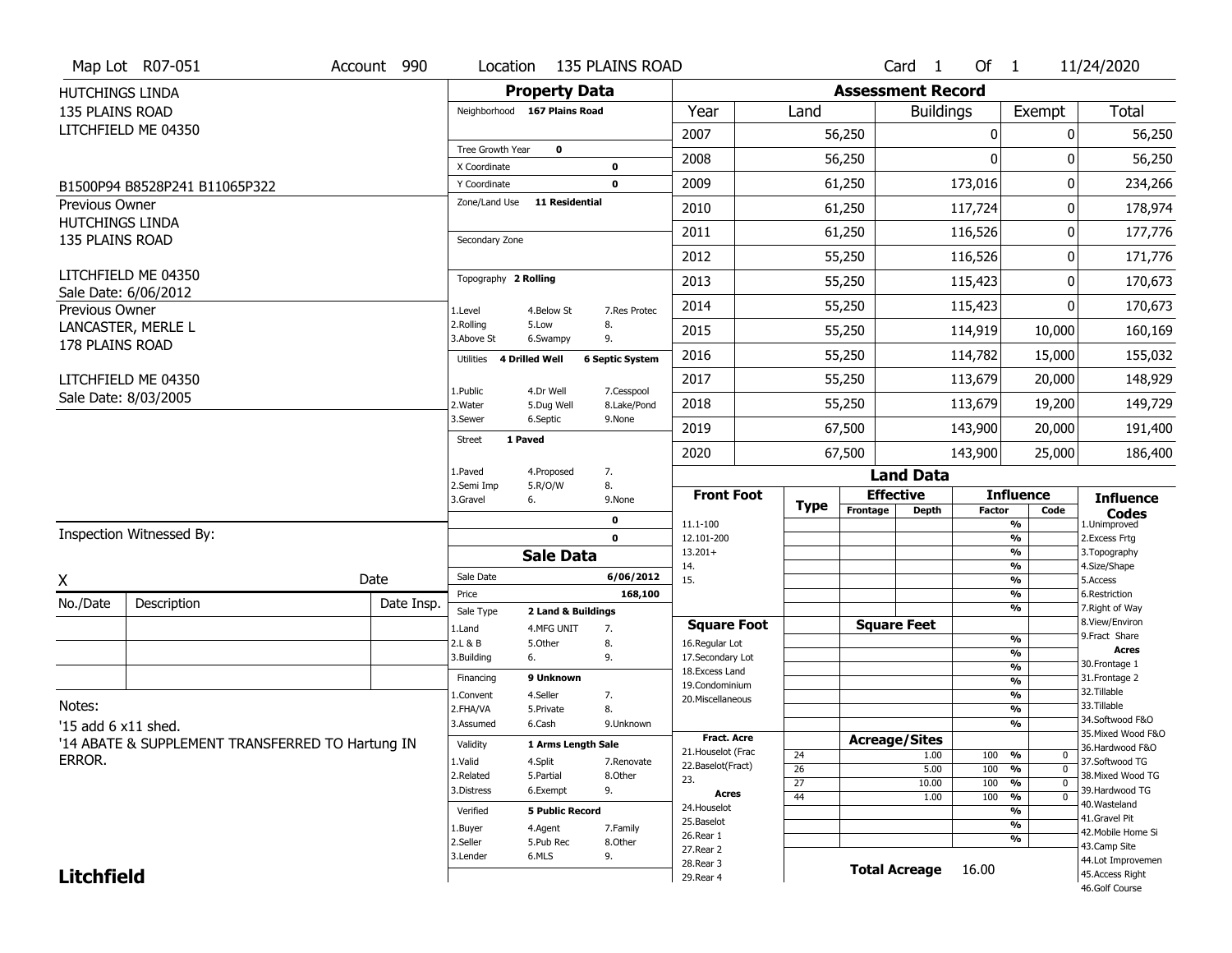|                                                 | Map Lot R07-051                                  | Account 990 | Location                |                                  | <b>135 PLAINS ROAD</b> |                                   |                       |                          | Card <sub>1</sub>    | Of $1$        |                                 | 11/24/2020                           |
|-------------------------------------------------|--------------------------------------------------|-------------|-------------------------|----------------------------------|------------------------|-----------------------------------|-----------------------|--------------------------|----------------------|---------------|---------------------------------|--------------------------------------|
| HUTCHINGS LINDA                                 |                                                  |             |                         | <b>Property Data</b>             |                        |                                   |                       | <b>Assessment Record</b> |                      |               |                                 |                                      |
| <b>135 PLAINS ROAD</b>                          |                                                  |             |                         | Neighborhood 167 Plains Road     |                        | Year                              | Land                  |                          | <b>Buildings</b>     |               | Exempt                          | <b>Total</b>                         |
|                                                 | LITCHFIELD ME 04350                              |             |                         |                                  |                        | 2007                              |                       | 56,250                   |                      | 0             | 0                               | 56,250                               |
|                                                 |                                                  |             | Tree Growth Year        | $\mathbf 0$                      |                        | 2008                              |                       |                          |                      | $\mathbf{0}$  | 0                               | 56,250                               |
|                                                 |                                                  |             | X Coordinate            |                                  | 0                      |                                   |                       | 56,250                   |                      |               |                                 |                                      |
|                                                 | B1500P94 B8528P241 B11065P322                    |             | Y Coordinate            |                                  | $\mathbf 0$            | 2009                              |                       | 61,250                   |                      | 173,016       | 0                               | 234,266                              |
| <b>Previous Owner</b><br><b>HUTCHINGS LINDA</b> |                                                  |             | Zone/Land Use           | <b>11 Residential</b>            |                        | 2010                              |                       | 61,250                   |                      | 117,724       | 0                               | 178,974                              |
| 135 PLAINS ROAD                                 |                                                  |             | Secondary Zone          |                                  |                        | 2011                              |                       | 61,250                   |                      | 116,526       | 0                               | 177,776                              |
|                                                 |                                                  |             |                         |                                  |                        | 2012                              |                       | 55,250                   |                      | 116,526       | 0                               | 171,776                              |
|                                                 | LITCHFIELD ME 04350<br>Sale Date: 6/06/2012      |             | Topography 2 Rolling    |                                  |                        | 2013                              |                       | 55,250                   |                      | 115,423       | 0                               | 170,673                              |
| Previous Owner                                  |                                                  |             | 1.Level                 | 4.Below St                       | 7.Res Protec           | 2014                              |                       | 55,250                   |                      | 115,423       | 0                               | 170,673                              |
|                                                 | LANCASTER, MERLE L                               |             | 2.Rolling<br>3.Above St | 5.Low<br>6.Swampy                | 8.<br>9.               | 2015                              |                       | 55,250                   |                      | 114,919       | 10,000                          | 160,169                              |
| 178 PLAINS ROAD                                 |                                                  |             | Utilities               | <b>4 Drilled Well</b>            | <b>6 Septic System</b> | 2016                              |                       | 55,250                   |                      | 114,782       | 15,000                          | 155,032                              |
|                                                 | LITCHFIELD ME 04350                              |             |                         |                                  | 7.Cesspool             | 2017                              |                       | 55,250                   |                      | 113,679       | 20,000                          | 148,929                              |
|                                                 | Sale Date: 8/03/2005                             |             | 1.Public<br>2. Water    | 4.Dr Well<br>5.Dug Well          | 8.Lake/Pond            | 2018                              |                       | 55,250                   |                      | 113,679       | 19,200                          | 149,729                              |
|                                                 |                                                  |             | 3.Sewer                 | 6.Septic                         | 9.None                 | 2019                              |                       | 67,500                   |                      | 143,900       | 20,000                          | 191,400                              |
|                                                 |                                                  |             | <b>Street</b>           | 1 Paved                          |                        | 2020                              |                       | 67,500                   |                      | 143,900       | 25,000                          | 186,400                              |
|                                                 |                                                  |             | 1.Paved                 | 4.Proposed                       | 7.                     |                                   |                       |                          | <b>Land Data</b>     |               |                                 |                                      |
|                                                 |                                                  |             | 2.Semi Imp<br>3.Gravel  | 5.R/O/W<br>6.                    | 8.<br>9.None           | <b>Front Foot</b>                 |                       |                          | <b>Effective</b>     |               | <b>Influence</b>                | <b>Influence</b>                     |
|                                                 |                                                  |             |                         |                                  | 0                      | 11.1-100                          | <b>Type</b>           | Frontage                 | <b>Depth</b>         | <b>Factor</b> | Code<br>%                       | <b>Codes</b><br>1.Unimproved         |
|                                                 | Inspection Witnessed By:                         |             |                         |                                  | $\mathbf 0$            | 12.101-200                        |                       |                          |                      |               | $\frac{9}{6}$                   | 2.Excess Frtg                        |
|                                                 |                                                  |             |                         | <b>Sale Data</b>                 |                        | $13.201+$<br>14.                  |                       |                          |                      |               | %<br>%                          | 3. Topography<br>4.Size/Shape        |
| X                                               |                                                  | Date        | Sale Date               |                                  | 6/06/2012              | 15.                               |                       |                          |                      |               | %                               | 5.Access                             |
| No./Date                                        | Description                                      | Date Insp.  | Price                   |                                  | 168,100                |                                   |                       |                          |                      |               | %<br>%                          | 6.Restriction<br>7. Right of Way     |
|                                                 |                                                  |             | Sale Type<br>1.Land     | 2 Land & Buildings<br>4.MFG UNIT | 7.                     | <b>Square Foot</b>                |                       |                          | <b>Square Feet</b>   |               |                                 | 8.View/Environ                       |
|                                                 |                                                  |             | 2.L & B                 | 5.Other                          | 8.                     | 16.Regular Lot                    |                       |                          |                      |               | $\frac{9}{6}$                   | 9. Fract Share                       |
|                                                 |                                                  |             | 3.Building              | 6.                               | 9.                     | 17.Secondary Lot                  |                       |                          |                      |               | %<br>$\frac{9}{6}$              | Acres<br>30. Frontage 1              |
|                                                 |                                                  |             | Financing               | 9 Unknown                        |                        | 18. Excess Land<br>19.Condominium |                       |                          |                      |               | $\overline{\frac{9}{6}}$        | 31. Frontage 2                       |
|                                                 |                                                  |             | 1.Convent               | 4.Seller                         | 7.                     | 20.Miscellaneous                  |                       |                          |                      |               | $\frac{9}{6}$                   | 32. Tillable                         |
| Notes:                                          |                                                  |             | 2.FHA/VA                | 5.Private                        | 8.                     |                                   |                       |                          |                      |               | $\frac{9}{6}$                   | 33.Tillable<br>34.Softwood F&O       |
| '15 add 6 x11 shed.                             |                                                  |             | 3.Assumed               | 6.Cash                           | 9.Unknown              | <b>Fract, Acre</b>                |                       |                          |                      |               | %                               | 35. Mixed Wood F&O                   |
|                                                 | '14 ABATE & SUPPLEMENT TRANSFERRED TO Hartung IN |             | Validity                | 1 Arms Length Sale               |                        | 21. Houselot (Frac                |                       |                          | <b>Acreage/Sites</b> |               |                                 | 36.Hardwood F&O                      |
| ERROR.                                          |                                                  |             | 1.Valid                 | 4.Split                          | 7.Renovate             | 22.Baselot(Fract)                 | 24<br>$\overline{26}$ |                          | 1.00<br>5.00         | 100<br>100    | %<br>0<br>$\overline{0}$<br>%   | 37.Softwood TG                       |
|                                                 |                                                  |             | 2.Related               | 5.Partial                        | 8.Other                | 23.                               | 27                    |                          | 10.00                | 100           | $\overline{0}$<br>%             | 38. Mixed Wood TG                    |
|                                                 |                                                  |             | 3.Distress              | 6.Exempt                         | 9.                     | Acres                             | 44                    |                          | 1.00                 | 100           | $\frac{9}{6}$<br>$\overline{0}$ | 39.Hardwood TG                       |
|                                                 |                                                  |             | Verified                | <b>5 Public Record</b>           |                        | 24. Houselot                      |                       |                          |                      |               | %                               | 40. Wasteland<br>41.Gravel Pit       |
|                                                 |                                                  |             | 1.Buyer                 | 4.Agent                          | 7.Family               | 25.Baselot<br>26.Rear 1           |                       |                          |                      |               | %                               | 42. Mobile Home Si                   |
|                                                 |                                                  |             | 2.Seller                | 5.Pub Rec                        | 8.Other                | 27.Rear 2                         |                       |                          |                      |               | %                               | 43.Camp Site                         |
|                                                 |                                                  |             | 3.Lender                | 6.MLS                            | 9.                     | 28. Rear 3                        |                       |                          | <b>Total Acreage</b> | 16.00         |                                 | 44.Lot Improvemen<br>45.Access Right |
| <b>Litchfield</b>                               |                                                  |             |                         |                                  |                        |                                   |                       |                          |                      |               |                                 |                                      |